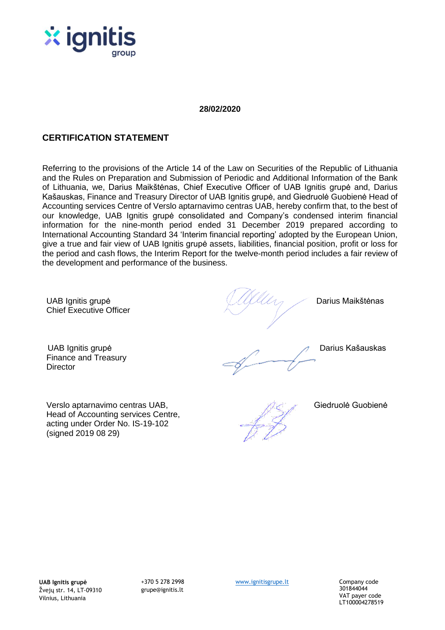

# **28/02/2020**

# **CERTIFICATION STATEMENT**

Referring to the provisions of the Article 14 of the Law on Securities of the Republic of Lithuania and the Rules on Preparation and Submission of Periodic and Additional Information of the Bank of Lithuania, we, Darius Maikštėnas, Chief Executive Officer of UAB Ignitis grupė and, Darius Kašauskas, Finance and Treasury Director of UAB Ignitis grupė, and Giedruolė Guobienė Head of Accounting services Centre of Verslo aptarnavimo centras UAB, hereby confirm that, to the best of our knowledge, UAB Ignitis grupė consolidated and Company's condensed interim financial information for the nine-month period ended 31 December 2019 prepared according to International Accounting Standard 34 'Interim financial reporting' adopted by the European Union, give a true and fair view of UAB Ignitis grupė assets, liabilities, financial position, profit or loss for the period and cash flows, the Interim Report for the twelve-month period includes a fair review of the development and performance of the business.

UAB Ignitis grupė Chief Executive Officer

Darius Maikštėnas

Finance and Treasury **Director** 

(signed 2019 08 29)

Verslo aptarnavimo centras UAB, Head of Accounting services Centre, acting under Order No. IS-19-102

UAB Ignitis grupė Darius Kašauskas Parašas

Giedruolė Guobienė

301844044 VAT payer code LT100004278519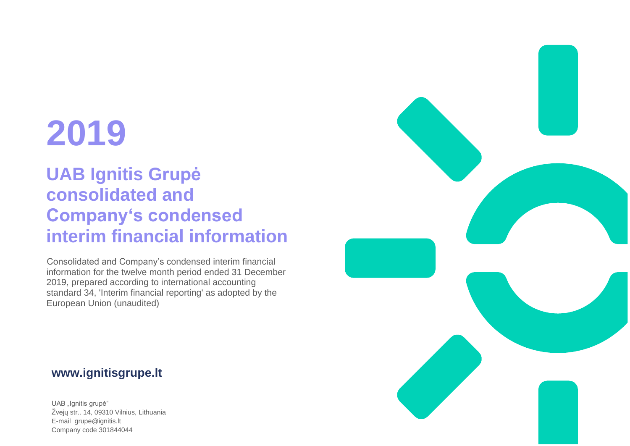# **2019**

# **UAB Ignitis Grupė consolidated and Company's condensed interim financial information**

Consolidated and Company's condensed interim financial information for the twelve month period ended 31 December 2019, prepared according to international accounting standard 34, 'Interim financial reporting' as adopted by the European Union (unaudited)

# **www.ignitisgrupe.lt**

UAB "Ignitis grupė" Žvejų str.. 14, 09310 Vilnius, Lithuania E-mail grupe@ignitis.lt Company code 301844044

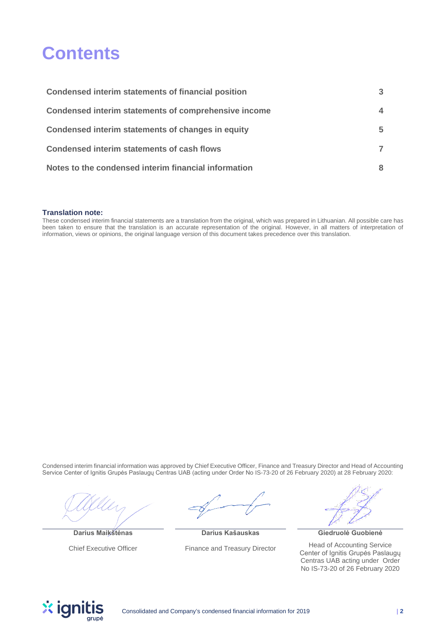# <span id="page-2-1"></span><span id="page-2-0"></span>**Contents**

| Condensed interim statements of financial position   | 3  |
|------------------------------------------------------|----|
| Condensed interim statements of comprehensive income |    |
| Condensed interim statements of changes in equity    | 5. |
| <b>Condensed interim statements of cash flows</b>    |    |
| Notes to the condensed interim financial information |    |

#### **Translation note:**

These condensed interim financial statements are a translation from the original, which was prepared in Lithuanian. All possible care has been taken to ensure that the translation is an accurate representation of the original. However, in all matters of interpretation of information, views or opinions, the original language version of this document takes precedence over this translation.

Condensed interim financial information was approved by Chief Executive Officer, Finance and Treasury Director and Head of Accounting Service Center of Ignitis Grupės Paslaugų Centras UAB (acting under Order No IS-73-20 of 26 February 2020) at 28 February 2020:

**Darius Maikštėnas**

Chief Executive Officer

**Darius Kašauskas** Finance and Treasury Director

**Giedruolė Guobienė**

Head of Accounting Service Center of Ignitis Grupės Paslaugų Centras UAB acting under Order No IS-73-20 of 26 February 2020

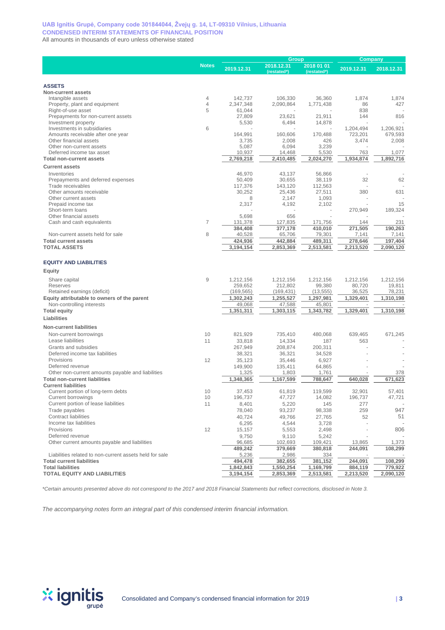#### **UAB Ignitis Grupė, Company code 301844044, Žvejų g. 14, LT-09310 Vilnius, Lithuania CONDENSED INTERIM STATEMENTS OF FINANCIAL POSITION** All amounts in thousands of euro unless otherwise stated

|                                                          |                     |                   | Group                     |                           |                | Company          |  |
|----------------------------------------------------------|---------------------|-------------------|---------------------------|---------------------------|----------------|------------------|--|
|                                                          | <b>Notes</b>        | 2019.12.31        | 2018.12.31<br>(restated*) | 2018 01 01<br>(restated*) | 2019.12.31     | 2018.12.31       |  |
|                                                          |                     |                   |                           |                           |                |                  |  |
| <b>ASSETS</b>                                            |                     |                   |                           |                           |                |                  |  |
| Non-current assets                                       |                     |                   |                           |                           |                |                  |  |
| Intangible assets                                        | $\overline{4}$      | 142,737           | 106,330                   | 36,360                    | 1,874          | 1,874            |  |
| Property, plant and equipment                            | $\overline{4}$<br>5 | 2,347,348         | 2,090,864                 | 1,771,438                 | 86             | 427              |  |
| Right-of-use asset<br>Prepayments for non-current assets |                     | 61,044<br>27,809  | 23,621                    | 21,911                    | 838<br>144     | 816              |  |
| Investment property                                      |                     | 5,530             | 6,494                     | 14,878                    |                |                  |  |
| Investments in subsidiaries                              | 6                   |                   |                           |                           | 1,204,494      | 1,206,921        |  |
| Amounts receivable after one year                        |                     | 164,991           | 160,606                   | 170,488                   | 723,201        | 679,593          |  |
| Other financial assets                                   |                     | 3,735             | 2,008                     | 426                       | 3,474          | 2,008            |  |
| Other non-current assets                                 |                     | 5,087             | 6,094                     | 3,239                     |                |                  |  |
| Deferred income tax asset                                |                     | 10,937            | 14,468                    | 5,530                     | 763            | 1,077            |  |
| <b>Total non-current assets</b>                          |                     | 2,769,218         | 2,410,485                 | 2,024,270                 | 1.934.874      | 1,892,716        |  |
| <b>Current assets</b>                                    |                     |                   |                           |                           |                |                  |  |
| Inventories                                              |                     | 46,970            | 43,137                    | 56,866                    |                |                  |  |
| Prepayments and deferred expenses                        |                     | 50,409            | 30,655                    | 38,119                    | 32             | 62               |  |
| Trade receivables                                        |                     | 117,376           | 143,120                   | 112,563                   |                |                  |  |
| Other amounts receivable                                 |                     | 30,252            | 25,436                    | 27,511                    | 380            | 631              |  |
| Other current assets                                     |                     | 8                 | 2,147                     | 1,093                     |                |                  |  |
| Prepaid income tax                                       |                     | 2,317             | 4,192                     | 2,102                     |                | 15               |  |
| Short-term loans                                         |                     |                   |                           | ä,                        | 270,949        | 189,324          |  |
| Other financial assets                                   |                     | 5,698             | 656                       |                           |                |                  |  |
| Cash and cash equivalents                                | $\overline{7}$      | 131,378           | 127,835                   | 171,756                   | 144<br>271.505 | 231              |  |
| Non-current assets held for sale                         | 8                   | 384,408<br>40,528 | 377,178<br>65,706         | 410,010<br>79,301         | 7,141          | 190,263<br>7,141 |  |
| <b>Total current assets</b>                              |                     | 424,936           | 442,884                   | 489,311                   | 278,646        | 197,404          |  |
| <b>TOTAL ASSETS</b>                                      |                     | 3,194,154         | 2,853,369                 | 2,513,581                 | 2,213,520      | 2,090,120        |  |
|                                                          |                     |                   |                           |                           |                |                  |  |
| <b>EQUITY AND LIABILITIES</b>                            |                     |                   |                           |                           |                |                  |  |
| Equity                                                   |                     |                   |                           |                           |                |                  |  |
| Share capital                                            | $\overline{9}$      | 1,212,156         | 1,212,156                 | 1,212,156                 | 1,212,156      | 1,212,156        |  |
| Reserves                                                 |                     | 259,652           | 212,802                   | 99,380                    | 80,720         | 19,811           |  |
| Retained earnings (deficit)                              |                     | (169, 565)        | (169, 431)                | (13, 555)                 | 36,525         | 78,231           |  |
| Equity attributable to owners of the parent              |                     | 1,302,243         | 1,255,527                 | 1,297,981                 | 1,329,401      | 1,310,198        |  |
| Non-controlling interests                                |                     | 49,068            | 47,588                    | 45,801                    |                |                  |  |
| <b>Total equity</b>                                      |                     | 1,351,311         | 1,303,115                 | 1,343,782                 | 1,329,401      | 1,310,198        |  |
| Liabilities                                              |                     |                   |                           |                           |                |                  |  |
| <b>Non-current liabilities</b>                           |                     |                   |                           |                           |                |                  |  |
| Non-current borrowings                                   | 10                  | 821,929           | 735,410                   | 480,068                   | 639,465        | 671,245          |  |
| Lease liabilities                                        | 11                  | 33,818            | 14,334                    | 187                       | 563            |                  |  |
| Grants and subsidies                                     |                     | 267,949           | 208,874                   | 200,311                   |                |                  |  |
| Deferred income tax liabilities                          |                     | 38,321            | 36,321                    | 34,528                    |                |                  |  |
| Provisions                                               | 12                  | 35,123            | 35,446                    | 6,927                     |                |                  |  |
| Deferred revenue                                         |                     | 149,900           | 135,411                   | 64,865                    |                |                  |  |
| Other non-current amounts payable and liabilities        |                     | 1,325             | 1,803                     | 1,761                     |                | 378              |  |
| <b>Total non-current liabilities</b>                     |                     | 1,348,365         | 1,167,599                 | 788,647                   | 640,028        | 671.623          |  |
| <b>Current liabilities</b>                               |                     |                   |                           |                           |                |                  |  |
| Current portion of long-term debts                       | 10                  | 37,453            | 61,819                    | 119,599                   | 32,901         | 57,401           |  |
| Current borrowings                                       | 10                  | 196,737           | 47,727                    | 14,082                    | 196,737        | 47,721           |  |
| Current portion of lease liabilities                     | 11                  | 8,401             | 5,220                     | 145                       | 277            |                  |  |
| Trade payables                                           |                     | 78,040            | 93,237                    | 98,338                    | 259            | 947              |  |
| <b>Contract liabilities</b>                              |                     | 40,724            | 49,766                    | 27,765                    | 52             | 51               |  |
| Income tax liabilities                                   |                     | 6,295             | 4,544                     | 3,728                     |                |                  |  |
| Provisions                                               | 12                  | 15,157            | 5,553                     | 2,498                     |                | 806              |  |
| Deferred revenue                                         |                     | 9,750             | 9,110                     | 5,242                     |                |                  |  |
| Other current amounts payable and liabilities            |                     | 96,685            | 102,693                   | 109,421                   | 13,865         | 1,373            |  |
|                                                          |                     | 489,242           | 379,669                   | 380,818                   | 244,091        | 108,299          |  |
| Liabilities related to non-current assets held for sale  |                     | 5,236             | 2,986                     | 334                       |                |                  |  |
| <b>Total current liabilities</b>                         |                     | 494,478           | 382,655                   | 381,152                   | 244,091        | 108,299          |  |
| <b>Total liabilities</b>                                 |                     | 1,842,843         | 1,550,254                 | 1,169,799                 | 884,119        | 779,922          |  |
| <b>TOTAL EQUITY AND LIABILITIES</b>                      |                     | 3,194,154         | 2,853,369                 | 2,513,581                 | 2,213,520      | 2,090,120        |  |

*\*Certain amounts presented above do not correspond to the 2017 and 2018 Financial Statements but reflect corrections, disclosed in Note 3.*

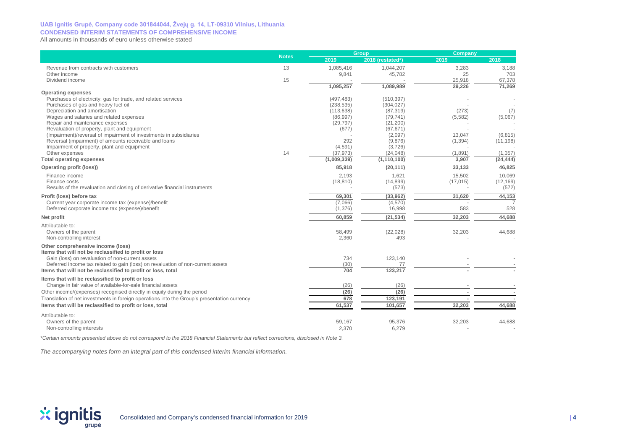#### **UAB Ignitis Grupė, Company code 301844044, Žvejų g. 14, LT-09310 Vilnius, Lithuania CONDENSED INTERIM STATEMENTS OF COMPREHENSIVE INCOME**

All amounts in thousands of euro unless otherwise stated

|                                                                                             | <b>Notes</b> |                       | Group                | Company   |                      |  |
|---------------------------------------------------------------------------------------------|--------------|-----------------------|----------------------|-----------|----------------------|--|
|                                                                                             |              | 2019                  | 2018 (restated*)     | 2019      | 2018                 |  |
| Revenue from contracts with customers                                                       | 13           | 1,085,416             | 1,044,207            | 3,283     | 3,188                |  |
| Other income                                                                                |              | 9,841                 | 45,782               | 25        | 703                  |  |
| Dividend income                                                                             | 15           |                       |                      | 25,918    | 67,378               |  |
| <b>Operating expenses</b>                                                                   |              | 1,095,257             | 1,089,989            | 29,226    | 71,269               |  |
| Purchases of electricity, gas for trade, and related services                               |              | (497, 483)            | (510, 397)           |           |                      |  |
| Purchases of gas and heavy fuel oil                                                         |              | (238, 535)            | (304, 027)           |           |                      |  |
| Depreciation and amortisation                                                               |              | (113, 638)            | (87, 319)            | (273)     | (7)                  |  |
| Wages and salaries and related expenses                                                     |              | (86,997)              | (79, 741)            | (5, 582)  | (5,067)              |  |
| Repair and maintenance expenses                                                             |              | (29, 797)             | (21, 200)            |           |                      |  |
| Revaluation of property, plant and equipment                                                |              | (677)                 | (67, 671)            |           |                      |  |
| (Impairment)/reversal of impairment of investments in subsidiaries                          |              |                       | (2,097)              | 13,047    | (6, 815)             |  |
| Reversal (impairment) of amounts receivable and loans                                       |              | 292                   | (9,876)              | (1, 394)  | (11, 198)            |  |
| Impairment of property, plant and equipment<br>Other expenses                               | 14           | (4, 591)<br>(37, 973) | (3,726)<br>(24, 048) | (1,891)   |                      |  |
| <b>Total operating expenses</b>                                                             |              | (1,009,339)           | (1, 110, 100)        | 3,907     | (1,357)<br>(24, 444) |  |
| Operating profit (loss))                                                                    |              | 85,918                | (20, 111)            | 33,133    | 46,825               |  |
| Finance income                                                                              |              | 2,193                 | 1,621                | 15,502    | 10,069               |  |
| Finance costs                                                                               |              | (18, 810)             | (14, 899)            | (17, 015) | (12, 169)            |  |
| Results of the revaluation and closing of derivative financial instruments                  |              |                       | (573)                |           | (572)                |  |
| Profit (loss) before tax                                                                    |              | 69,301                | (33,962)             | 31,620    | 44,153               |  |
| Current year corporate income tax (expense)/benefit                                         |              | (7,066)               | (4,570)              |           |                      |  |
| Deferred corporate income tax (expense)/benefit                                             |              | (1, 376)              | 16,998               | 583       | 528                  |  |
| Net profit                                                                                  |              | 60,859                | (21, 534)            | 32,203    | 44.688               |  |
| Attributable to:                                                                            |              |                       |                      |           |                      |  |
| Owners of the parent                                                                        |              | 58,499                | (22, 028)            | 32,203    | 44,688               |  |
| Non-controlling interest                                                                    |              | 2,360                 | 493                  |           |                      |  |
| Other comprehensive income (loss)<br>Items that will not be reclassified to profit or loss  |              |                       |                      |           |                      |  |
| Gain (loss) on revaluation of non-current assets                                            |              | 734                   | 123,140              |           |                      |  |
| Deferred income tax related to gain (loss) on revaluation of non-current assets             |              | (30)                  | 77                   |           |                      |  |
| Items that will not be reclassified to profit or loss, total                                |              | 704                   | 123,217              |           |                      |  |
| Items that will be reclassified to profit or loss                                           |              |                       |                      |           |                      |  |
| Change in fair value of available-for-sale financial assets                                 |              | (26)                  | (26)                 |           |                      |  |
| Other income/(expenses) recognised directly in equity during the period                     |              | (26)                  | (26)                 |           |                      |  |
| Translation of net investments in foreign operations into the Group's presentation currency |              | 678                   | 123.191              |           |                      |  |
| Items that will be reclassified to profit or loss, total                                    |              | 61,537                | 101,657              | 32,203    | 44,688               |  |
| Attributable to:                                                                            |              |                       |                      |           |                      |  |
| Owners of the parent                                                                        |              | 59,167                | 95,376               | 32,203    | 44,688               |  |
| Non-controlling interests                                                                   |              | 2,370                 | 6,279                |           |                      |  |

*\*Certain amounts presented above do not correspond to the 2018 Financial Statements but reflect corrections, disclosed in Note 3.*

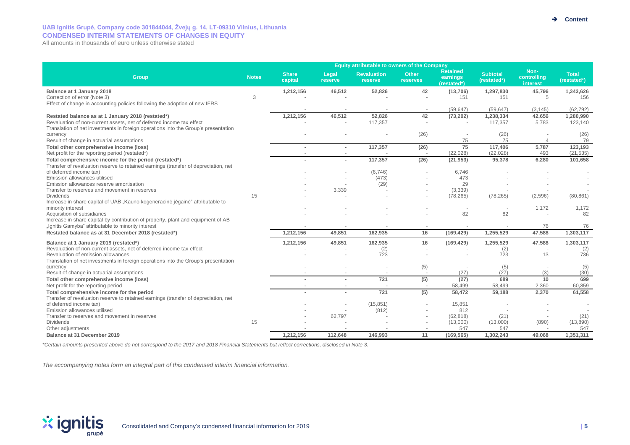# **UAB Ignitis Grupė, Company code 301844044, Žvejų g. 14, LT-09310 Vilnius, Lithuania CONDENSED INTERIM STATEMENTS OF CHANGES IN EQUITY**

All amounts in thousands of euro unless otherwise stated

| <b>Share</b><br><b>Subtotal</b><br><b>Total</b><br><b>Revaluation</b><br><b>Other</b><br>Legal<br>controlling<br>Group<br><b>Notes</b><br>earnings<br>capital<br>(restated*)<br>reserve<br>reserve<br>reserves<br>(restated*)<br>(restated*)<br>interest<br>46,512<br>52,826<br>42<br>1,343,626<br>Balance at 1 January 2018<br>1,212,156<br>(13,706)<br>1,297,830<br>45,796<br>Correction of error (Note 3)<br>3<br>151<br>5<br>156<br>151<br>Effect of change in accounting policies following the adoption of new IFRS<br>(59, 647)<br>(59, 647)<br>(62, 792)<br>(3, 145)<br>52,826<br>1,212,156<br>46,512<br>42<br>1,238,334<br>42,656<br>1,280,990<br>Restated balance as at 1 January 2018 (restated*)<br>(73, 202)<br>Revaluation of non-current assets, net of deferred income tax effect<br>117,357<br>117,357<br>5,783<br>123,140<br>Translation of net investments in foreign operations into the Group's presentation<br>(26)<br>(26)<br>(26)<br>currency<br>75<br>75<br>79<br>Result of change in actuarial assumptions<br>$\Delta$<br>75<br>123,193<br>117,357<br>117,406<br>5,787<br>Total other comprehensive income (loss)<br>(26)<br>$\sim$<br>Net profit for the reporting period (restated*)<br>(22, 028)<br>(21, 535)<br>(22, 028)<br>493<br>117,357<br>(26)<br>101,658<br>Total comprehensive income for the period (restated*)<br>(21, 953)<br>95,378<br>6,280<br>Transfer of revaluation reserve to retained earnings (transfer of depreciation, net<br>of deferred income tax)<br>(6,746)<br>6.746<br>Emission allowances utilised<br>(473)<br>473<br>Emission allowances reserve amortisation<br>(29)<br>29<br>(3,339)<br>Transfer to reserves and movement in reserves<br>3,339<br>15<br>(78, 265)<br>(2,596)<br><b>Dividends</b><br>(78, 265)<br>(80, 861)<br>Increase in share capital of UAB "Kauno kogeneracinė jėgainė" attributable to |                   |  | <b>Equity attributable to owners of the Company</b> |                 |       |       |
|-------------------------------------------------------------------------------------------------------------------------------------------------------------------------------------------------------------------------------------------------------------------------------------------------------------------------------------------------------------------------------------------------------------------------------------------------------------------------------------------------------------------------------------------------------------------------------------------------------------------------------------------------------------------------------------------------------------------------------------------------------------------------------------------------------------------------------------------------------------------------------------------------------------------------------------------------------------------------------------------------------------------------------------------------------------------------------------------------------------------------------------------------------------------------------------------------------------------------------------------------------------------------------------------------------------------------------------------------------------------------------------------------------------------------------------------------------------------------------------------------------------------------------------------------------------------------------------------------------------------------------------------------------------------------------------------------------------------------------------------------------------------------------------------------------------------------------------------------------------------------|-------------------|--|-----------------------------------------------------|-----------------|-------|-------|
|                                                                                                                                                                                                                                                                                                                                                                                                                                                                                                                                                                                                                                                                                                                                                                                                                                                                                                                                                                                                                                                                                                                                                                                                                                                                                                                                                                                                                                                                                                                                                                                                                                                                                                                                                                                                                                                                         |                   |  |                                                     | <b>Retained</b> | Non-  |       |
|                                                                                                                                                                                                                                                                                                                                                                                                                                                                                                                                                                                                                                                                                                                                                                                                                                                                                                                                                                                                                                                                                                                                                                                                                                                                                                                                                                                                                                                                                                                                                                                                                                                                                                                                                                                                                                                                         |                   |  |                                                     |                 |       |       |
|                                                                                                                                                                                                                                                                                                                                                                                                                                                                                                                                                                                                                                                                                                                                                                                                                                                                                                                                                                                                                                                                                                                                                                                                                                                                                                                                                                                                                                                                                                                                                                                                                                                                                                                                                                                                                                                                         |                   |  |                                                     |                 |       |       |
|                                                                                                                                                                                                                                                                                                                                                                                                                                                                                                                                                                                                                                                                                                                                                                                                                                                                                                                                                                                                                                                                                                                                                                                                                                                                                                                                                                                                                                                                                                                                                                                                                                                                                                                                                                                                                                                                         |                   |  |                                                     |                 |       |       |
|                                                                                                                                                                                                                                                                                                                                                                                                                                                                                                                                                                                                                                                                                                                                                                                                                                                                                                                                                                                                                                                                                                                                                                                                                                                                                                                                                                                                                                                                                                                                                                                                                                                                                                                                                                                                                                                                         |                   |  |                                                     |                 |       |       |
|                                                                                                                                                                                                                                                                                                                                                                                                                                                                                                                                                                                                                                                                                                                                                                                                                                                                                                                                                                                                                                                                                                                                                                                                                                                                                                                                                                                                                                                                                                                                                                                                                                                                                                                                                                                                                                                                         |                   |  |                                                     |                 |       |       |
|                                                                                                                                                                                                                                                                                                                                                                                                                                                                                                                                                                                                                                                                                                                                                                                                                                                                                                                                                                                                                                                                                                                                                                                                                                                                                                                                                                                                                                                                                                                                                                                                                                                                                                                                                                                                                                                                         |                   |  |                                                     |                 |       |       |
|                                                                                                                                                                                                                                                                                                                                                                                                                                                                                                                                                                                                                                                                                                                                                                                                                                                                                                                                                                                                                                                                                                                                                                                                                                                                                                                                                                                                                                                                                                                                                                                                                                                                                                                                                                                                                                                                         |                   |  |                                                     |                 |       |       |
|                                                                                                                                                                                                                                                                                                                                                                                                                                                                                                                                                                                                                                                                                                                                                                                                                                                                                                                                                                                                                                                                                                                                                                                                                                                                                                                                                                                                                                                                                                                                                                                                                                                                                                                                                                                                                                                                         |                   |  |                                                     |                 |       |       |
|                                                                                                                                                                                                                                                                                                                                                                                                                                                                                                                                                                                                                                                                                                                                                                                                                                                                                                                                                                                                                                                                                                                                                                                                                                                                                                                                                                                                                                                                                                                                                                                                                                                                                                                                                                                                                                                                         |                   |  |                                                     |                 |       |       |
|                                                                                                                                                                                                                                                                                                                                                                                                                                                                                                                                                                                                                                                                                                                                                                                                                                                                                                                                                                                                                                                                                                                                                                                                                                                                                                                                                                                                                                                                                                                                                                                                                                                                                                                                                                                                                                                                         |                   |  |                                                     |                 |       |       |
|                                                                                                                                                                                                                                                                                                                                                                                                                                                                                                                                                                                                                                                                                                                                                                                                                                                                                                                                                                                                                                                                                                                                                                                                                                                                                                                                                                                                                                                                                                                                                                                                                                                                                                                                                                                                                                                                         |                   |  |                                                     |                 |       |       |
|                                                                                                                                                                                                                                                                                                                                                                                                                                                                                                                                                                                                                                                                                                                                                                                                                                                                                                                                                                                                                                                                                                                                                                                                                                                                                                                                                                                                                                                                                                                                                                                                                                                                                                                                                                                                                                                                         |                   |  |                                                     |                 |       |       |
|                                                                                                                                                                                                                                                                                                                                                                                                                                                                                                                                                                                                                                                                                                                                                                                                                                                                                                                                                                                                                                                                                                                                                                                                                                                                                                                                                                                                                                                                                                                                                                                                                                                                                                                                                                                                                                                                         |                   |  |                                                     |                 |       |       |
|                                                                                                                                                                                                                                                                                                                                                                                                                                                                                                                                                                                                                                                                                                                                                                                                                                                                                                                                                                                                                                                                                                                                                                                                                                                                                                                                                                                                                                                                                                                                                                                                                                                                                                                                                                                                                                                                         |                   |  |                                                     |                 |       |       |
|                                                                                                                                                                                                                                                                                                                                                                                                                                                                                                                                                                                                                                                                                                                                                                                                                                                                                                                                                                                                                                                                                                                                                                                                                                                                                                                                                                                                                                                                                                                                                                                                                                                                                                                                                                                                                                                                         |                   |  |                                                     |                 |       |       |
|                                                                                                                                                                                                                                                                                                                                                                                                                                                                                                                                                                                                                                                                                                                                                                                                                                                                                                                                                                                                                                                                                                                                                                                                                                                                                                                                                                                                                                                                                                                                                                                                                                                                                                                                                                                                                                                                         | minority interest |  |                                                     |                 | 1,172 | 1,172 |
| 82<br>Acquisition of subsidiaries<br>82<br>82<br>Increase in share capital by contribution of property, plant and equipment of AB                                                                                                                                                                                                                                                                                                                                                                                                                                                                                                                                                                                                                                                                                                                                                                                                                                                                                                                                                                                                                                                                                                                                                                                                                                                                                                                                                                                                                                                                                                                                                                                                                                                                                                                                       |                   |  |                                                     |                 |       |       |
| "Ignitis Gamyba" attributable to minority interest<br>76<br>76                                                                                                                                                                                                                                                                                                                                                                                                                                                                                                                                                                                                                                                                                                                                                                                                                                                                                                                                                                                                                                                                                                                                                                                                                                                                                                                                                                                                                                                                                                                                                                                                                                                                                                                                                                                                          |                   |  |                                                     |                 |       |       |
| 16<br>1,255,529<br>47.588<br>1,303,117<br>Restated balance as at 31 December 2018 (restated*)<br>1,212,156<br>49,851<br>162,935<br>(169, 429)                                                                                                                                                                                                                                                                                                                                                                                                                                                                                                                                                                                                                                                                                                                                                                                                                                                                                                                                                                                                                                                                                                                                                                                                                                                                                                                                                                                                                                                                                                                                                                                                                                                                                                                           |                   |  |                                                     |                 |       |       |
| 1,212,156<br>49,851<br>162,935<br>16<br>1,255,529<br>47,588<br>1,303,117<br>Balance at 1 January 2019 (restated*)<br>(169, 429)                                                                                                                                                                                                                                                                                                                                                                                                                                                                                                                                                                                                                                                                                                                                                                                                                                                                                                                                                                                                                                                                                                                                                                                                                                                                                                                                                                                                                                                                                                                                                                                                                                                                                                                                         |                   |  |                                                     |                 |       |       |
| Revaluation of non-current assets, net of deferred income tax effect<br>(2)<br>(2)<br>(2)<br>723<br>13<br>736<br>Revaluation of emission allowances<br>723                                                                                                                                                                                                                                                                                                                                                                                                                                                                                                                                                                                                                                                                                                                                                                                                                                                                                                                                                                                                                                                                                                                                                                                                                                                                                                                                                                                                                                                                                                                                                                                                                                                                                                              |                   |  |                                                     |                 |       |       |
| Translation of net investments in foreign operations into the Group's presentation                                                                                                                                                                                                                                                                                                                                                                                                                                                                                                                                                                                                                                                                                                                                                                                                                                                                                                                                                                                                                                                                                                                                                                                                                                                                                                                                                                                                                                                                                                                                                                                                                                                                                                                                                                                      |                   |  |                                                     |                 |       |       |
| (5)<br>(5)<br>(5)<br>currency<br>(27)<br>(27)<br>(3)<br>(30)<br>Result of change in actuarial assumptions                                                                                                                                                                                                                                                                                                                                                                                                                                                                                                                                                                                                                                                                                                                                                                                                                                                                                                                                                                                                                                                                                                                                                                                                                                                                                                                                                                                                                                                                                                                                                                                                                                                                                                                                                               |                   |  |                                                     |                 |       |       |
| 721<br>(5)<br>(27)<br>689<br>10<br>699<br>Total other comprehensive income (loss)                                                                                                                                                                                                                                                                                                                                                                                                                                                                                                                                                                                                                                                                                                                                                                                                                                                                                                                                                                                                                                                                                                                                                                                                                                                                                                                                                                                                                                                                                                                                                                                                                                                                                                                                                                                       |                   |  |                                                     |                 |       |       |
| Net profit for the reporting period<br>58,499<br>58,499<br>2,360<br>60,859                                                                                                                                                                                                                                                                                                                                                                                                                                                                                                                                                                                                                                                                                                                                                                                                                                                                                                                                                                                                                                                                                                                                                                                                                                                                                                                                                                                                                                                                                                                                                                                                                                                                                                                                                                                              |                   |  |                                                     |                 |       |       |
| 721<br>(5)<br>58,472<br>2,370<br>61,558<br>Total comprehensive income for the period<br>59,188                                                                                                                                                                                                                                                                                                                                                                                                                                                                                                                                                                                                                                                                                                                                                                                                                                                                                                                                                                                                                                                                                                                                                                                                                                                                                                                                                                                                                                                                                                                                                                                                                                                                                                                                                                          |                   |  |                                                     |                 |       |       |
| Transfer of revaluation reserve to retained earnings (transfer of depreciation, net                                                                                                                                                                                                                                                                                                                                                                                                                                                                                                                                                                                                                                                                                                                                                                                                                                                                                                                                                                                                                                                                                                                                                                                                                                                                                                                                                                                                                                                                                                                                                                                                                                                                                                                                                                                     |                   |  |                                                     |                 |       |       |
| of deferred income tax)<br>(15, 851)<br>15,851<br>812<br>Emission allowances utilised<br>(812)                                                                                                                                                                                                                                                                                                                                                                                                                                                                                                                                                                                                                                                                                                                                                                                                                                                                                                                                                                                                                                                                                                                                                                                                                                                                                                                                                                                                                                                                                                                                                                                                                                                                                                                                                                          |                   |  |                                                     |                 |       |       |
| Transfer to reserves and movement in reserves<br>62,797<br>(62, 818)<br>(21)<br>(21)                                                                                                                                                                                                                                                                                                                                                                                                                                                                                                                                                                                                                                                                                                                                                                                                                                                                                                                                                                                                                                                                                                                                                                                                                                                                                                                                                                                                                                                                                                                                                                                                                                                                                                                                                                                    |                   |  |                                                     |                 |       |       |
| <b>Dividends</b><br>15<br>(13,000)<br>(890)<br>(13,890)<br>(13,000)                                                                                                                                                                                                                                                                                                                                                                                                                                                                                                                                                                                                                                                                                                                                                                                                                                                                                                                                                                                                                                                                                                                                                                                                                                                                                                                                                                                                                                                                                                                                                                                                                                                                                                                                                                                                     |                   |  |                                                     |                 |       |       |
| 547<br>Other adjustments<br>547<br>547                                                                                                                                                                                                                                                                                                                                                                                                                                                                                                                                                                                                                                                                                                                                                                                                                                                                                                                                                                                                                                                                                                                                                                                                                                                                                                                                                                                                                                                                                                                                                                                                                                                                                                                                                                                                                                  |                   |  |                                                     |                 |       |       |
| 11<br>(169, 565)<br>1,302,243<br>1,351,311<br>Balance at 31 December 2019<br>1,212,156<br>112,648<br>146,993<br>49.068                                                                                                                                                                                                                                                                                                                                                                                                                                                                                                                                                                                                                                                                                                                                                                                                                                                                                                                                                                                                                                                                                                                                                                                                                                                                                                                                                                                                                                                                                                                                                                                                                                                                                                                                                  |                   |  |                                                     |                 |       |       |

*\*Certain amounts presented above do not correspond to the 2017 and 2018 Financial Statements but reflect corrections, disclosed in Note 3.*

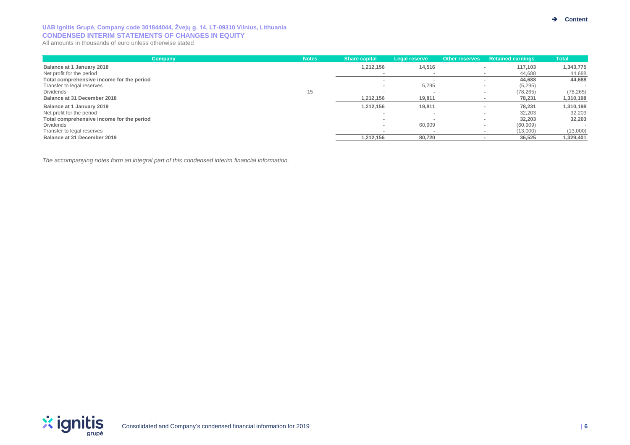### **UAB Ignitis Grupė, Company code 301844044, Žvejų g. 14, LT-09310 Vilnius, Lithuania CONDENSED INTERIM STATEMENTS OF CHANGES IN EQUITY**

All amounts in thousands of euro unless otherwise stated

| Company                                   | <b>Notes</b> | <b>Share capital</b> | Legal reserve | <b>Other reserves</b> | <b>Retained earnings</b>           | Total     |
|-------------------------------------------|--------------|----------------------|---------------|-----------------------|------------------------------------|-----------|
| Balance at 1 January 2018                 |              | 1,212,156            | 14,516        |                       | 117.103                            | 1,343,775 |
| Net profit for the period                 |              |                      |               |                       | 44,688                             | 44,688    |
| Total comprehensive income for the period |              |                      |               |                       | 44,688                             | 44,688    |
| Transfer to legal reserves                |              |                      | 5,295         |                       | (5, 295)<br>$\blacksquare$         |           |
| Dividends                                 | 15           |                      |               |                       | (78, 265)                          | (78, 265) |
| Balance at 31 December 2018               |              | 1,212,156            | 19,811        |                       | 78,231                             | 1,310,198 |
| Balance at 1 January 2019                 |              | 1,212,156            | 19,811        |                       | 78,231<br>$\overline{\phantom{a}}$ | 1,310,198 |
| Net profit for the period                 |              |                      |               |                       | 32.203                             | 32,203    |
| Total comprehensive income for the period |              |                      |               |                       | 32,203                             | 32,203    |
| Dividends                                 |              |                      | 60,909        |                       | (60, 909)<br>$\blacksquare$        | $\sim$    |
| Transfer to legal reserves                |              |                      |               |                       | (13,000)                           | (13,000)  |
| Balance at 31 December 2019               |              | 1,212,156            | 80,720        |                       | 36.525                             | 1,329,401 |

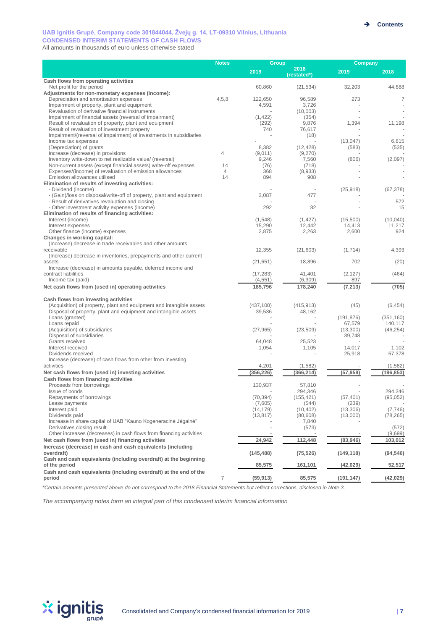#### **UAB Ignitis Grupė, Company code 301844044, Žvejų g. 14, LT-09310 Vilnius, Lithuania CONDENSED INTERIM STATEMENTS OF CASH FLOWS**

All amounts in thousands of euro unless otherwise stated

|                                                                                                                            | <b>Notes</b> | Group        |                     | Company            |            |  |
|----------------------------------------------------------------------------------------------------------------------------|--------------|--------------|---------------------|--------------------|------------|--|
|                                                                                                                            |              | 2019         | 2018<br>(restated*) | 2019               | 2018       |  |
| Cash flows from operating activities                                                                                       |              |              |                     |                    |            |  |
| Net profit for the period<br>Adjustments for non-monetary expenses (income):                                               |              | 60,860       | (21, 534)           | 32,203             | 44,688     |  |
| Depreciation and amortisation expenses                                                                                     | 4,5,8        | 122,650      | 96,589              | 273                | 7          |  |
| Impairment of property, plant and equipment                                                                                |              | 4,591        | 3,726               |                    |            |  |
| Revaluation of derivative financial instruments                                                                            |              |              | (10,003)            |                    |            |  |
| Impairment of financial assets (reversal of impairment)                                                                    |              | (1, 422)     | (354)               |                    |            |  |
| Result of revaluation of property, plant and equipment<br>Result of revaluation of investment property                     |              | (292)<br>740 | 9,876<br>76,617     | 1,394              | 11,198     |  |
| Impairment/(reversal of impairment) of investments in subsidiaries                                                         |              |              | (18)                |                    |            |  |
| Income tax expenses                                                                                                        |              |              |                     | (13, 047)          | 6,815      |  |
| (Depreciation) of grants                                                                                                   |              | 8,382        | (12, 428)           | (583)              | (535)      |  |
| Increase (decrease) in provisions                                                                                          | 4            | (9,011)      | (9,270)             |                    |            |  |
| Inventory write-down to net realizable value/ (reversal)                                                                   | 14           | 9,246        | 7,560               | (806)              | (2,097)    |  |
| Non-current assets (except financial assets) write-off expenses<br>Expenses/(income) of revaluation of emission allowances | 4            | (76)<br>368  | (718)<br>(8,933)    |                    |            |  |
| Emission allowances utilised                                                                                               | 14           | 894          | 908                 |                    |            |  |
| Elimination of results of investing activities:                                                                            |              |              |                     |                    |            |  |
| - Dividend (income)                                                                                                        |              |              |                     | (25, 918)          | (67, 378)  |  |
| - (Gain)/loss on disposal/write-off of property, plant and equipment                                                       |              | 3,087        | 477                 |                    |            |  |
| - Result of derivatives revaluation and closing<br>- Other investment activity expenses (income)                           |              | 292          | 82                  |                    | 572<br>15  |  |
| Elimination of results of financing activities:                                                                            |              |              |                     |                    |            |  |
| Interest (income)                                                                                                          |              | (1,548)      | (1, 427)            | (15,500)           | (10.040)   |  |
| Interest expenses                                                                                                          |              | 15,290       | 12,442              | 14,413             | 11,217     |  |
| Other finance (income) expenses                                                                                            |              | 2,875        | 2,263               | 2,600              | 924        |  |
| Changes in working capital:                                                                                                |              |              |                     |                    |            |  |
| (Increase) decrease in trade receivables and other amounts<br>receivable                                                   |              | 12.355       | (21, 603)           | (1,714)            | 4,393      |  |
| (Increase) decrease in inventories, prepayments and other current                                                          |              |              |                     |                    |            |  |
| assets                                                                                                                     |              | (21, 651)    | 18,896              | 702                | (20)       |  |
| Increase (decrease) in amounts payable, deferred income and                                                                |              |              |                     |                    |            |  |
| contract liabilities                                                                                                       |              | (17, 283)    | 41,401              | (2, 127)           | (464)      |  |
| Income tax (paid)                                                                                                          |              | (4, 551)     | (6,309)             | 897                |            |  |
| Net cash flows from (used in) operating activities                                                                         |              | 185,796      | 178,240             | (7, 213)           | (705)      |  |
| Cash flows from investing activities                                                                                       |              |              |                     |                    |            |  |
| (Acquisition) of property, plant and equipment and intangible assets                                                       |              | (437, 100)   | (415, 913)          | (45)               | (6, 454)   |  |
| Disposal of property, plant and equipment and intangible assets                                                            |              | 39,536       | 48,162              |                    |            |  |
| Loans (granted)                                                                                                            |              |              |                     | (191, 876)         | (351, 160) |  |
| Loans repaid                                                                                                               |              |              |                     | 67,579             | 140,117    |  |
| (Acquisition) of subsidiaries<br>Disposal of subsidiaries                                                                  |              | (27, 965)    | (23, 509)           | (13,300)<br>39,748 | (46, 254)  |  |
| Grants received                                                                                                            |              | 64,048       | 25,523              |                    |            |  |
| Interest received                                                                                                          |              | 1,054        | 1,105               | 14,017             | 1,102      |  |
| Dividends received                                                                                                         |              |              |                     | 25,918             | 67,378     |  |
| Increase (decrease) of cash flows from other from investing                                                                |              |              |                     |                    |            |  |
| activities                                                                                                                 |              | 4,201        | (1, 582)            |                    | (1, 582)   |  |
| Net cash flows from (used in) investing activities<br>Cash flows from financing activities                                 |              | (356, 226)   | (366, 214)          | (57, 959)          | (196, 853) |  |
| Proceeds from borrowings                                                                                                   |              | 130,937      | 57,810              |                    |            |  |
| Issue of bonds                                                                                                             |              |              | 294,346             |                    | 294.346    |  |
| Repayments of borrowings                                                                                                   |              | (70, 394)    | (155, 421)          | (57, 401)          | (95,052)   |  |
| Lease payments                                                                                                             |              | (7,605)      | (544)               | (239)              |            |  |
| Interest paid                                                                                                              |              | (14, 179)    | (10, 402)           | (13,306)           | (7, 746)   |  |
| Dividends paid<br>Increase in share capital of UAB "Kauno Kogeneracine Jegaine"                                            |              | (13, 817)    | (80, 608)<br>7,840  | (13,000)           | (78, 265)  |  |
| Derivatives closing result                                                                                                 |              |              | (573)               |                    | (572)      |  |
| Other increases (decreases) in cash flows from financing activities                                                        |              |              |                     |                    | (9,699)    |  |
| Net cash flows from (used in) financing activities                                                                         |              | 24,942       | 112,448             | (83,946)           | 103,012    |  |
| Increase (decrease) in cash and cash equivalents (including                                                                |              |              |                     |                    |            |  |
| overdraft)                                                                                                                 |              | (145, 488)   | (75, 526)           | (149, 118)         | (94, 546)  |  |
| Cash and cash equivalents (including overdraft) at the beginning                                                           |              |              |                     |                    |            |  |
| of the period<br>Cash and cash equivalents (including overdraft) at the end of the                                         |              | 85,575       | 161,101             | (42, 029)          | 52,517     |  |
| period                                                                                                                     | 7            | (59, 913)    | 85,575              | (191, 147)         | (42, 029)  |  |

*\*Certain amounts presented above do not correspond to the 2018 Financial Statements but reflect corrections, disclosed in Note 3.*

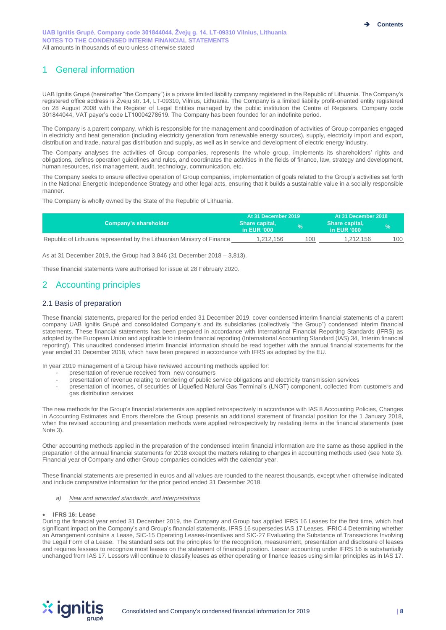# 1 General information

UAB Ignitis Grupė (hereinafter "the Company") is a private limited liability company registered in the Republic of Lithuania. The Company's registered office address is Žvejų str. 14, LT-09310, Vilnius, Lithuania. The Company is a limited liability profit-oriented entity registered on 28 August 2008 with the Register of Legal Entities managed by the public institution the Centre of Registers. Company code 301844044, VAT payer's code LT10004278519. The Company has been founded for an indefinite period.

The Company is a parent company, which is responsible for the management and coordination of activities of Group companies engaged in electricity and heat generation (including electricity generation from renewable energy sources), supply, electricity import and export, distribution and trade, natural gas distribution and supply, as well as in service and development of electric energy industry.

The Company analyses the activities of Group companies, represents the whole group, implements its shareholders' rights and obligations, defines operation guidelines and rules, and coordinates the activities in the fields of finance, law, strategy and development, human resources, risk management, audit, technology, communication, etc.

The Company seeks to ensure effective operation of Group companies, implementation of goals related to the Group's activities set forth in the National Energetic Independence Strategy and other legal acts, ensuring that it builds a sustainable value in a socially responsible manner.

The Company is wholly owned by the State of the Republic of Lithuania.

|                                                                         | At 31 December 2019             |              | At 31 December 2018           |     |  |
|-------------------------------------------------------------------------|---------------------------------|--------------|-------------------------------|-----|--|
| Company's shareholder \                                                 | Share capital,<br>in EUR $'000$ | $\mathbf{0}$ | Share capital,<br>in EUR '000 |     |  |
| Republic of Lithuania represented by the Lithuanian Ministry of Finance | 1.212.156                       | 100          | 1.212.156                     | 100 |  |

As at 31 December 2019, the Group had 3,846 (31 December 2018 – 3,813).

These financial statements were authorised for issue at 28 February 2020.

# 2 Accounting principles

#### 2.1 Basis of preparation

These financial statements, prepared for the period ended 31 December 2019, cover condensed interim financial statements of a parent company UAB Ignitis Grupė and consolidated Company's and its subsidiaries (collectively "the Group") condensed interim financial statements. These financial statements has been prepared in accordance with International Financial Reporting Standards (IFRS) as adopted by the European Union and applicable to interim financial reporting (International Accounting Standard (IAS) 34, 'Interim financial reporting'). This unaudited condensed interim financial information should be read together with the annual financial statements for the year ended 31 December 2018, which have been prepared in accordance with IFRS as adopted by the EU.

In year 2019 management of a Group have reviewed accounting methods applied for:

- presentation of revenue received from new consumers
	- presentation of revenue relating to rendering of public service obligations and electricity transmission services
- presentation of incomes, of securities of Liquefied Natural Gas Terminal's (LNGT) component, collected from customers and gas distribution services

The new methods for the Group's financial statements are applied retrospectively in accordance with IAS 8 Accounting Policies, Changes in Accounting Estimates and Errors therefore the Group presents an additional statement of financial position for the 1 January 2018, when the revised accounting and presentation methods were applied retrospectively by restating items in the financial statements (see Note 3).

Other accounting methods applied in the preparation of the condensed interim financial information are the same as those applied in the preparation of the annual financial statements for 2018 except the matters relating to changes in accounting methods used (see Note 3). Financial year of Company and other Group companies coincides with the calendar year.

These financial statements are presented in euros and all values are rounded to the nearest thousands, except when otherwise indicated and include comparative information for the prior period ended 31 December 2018.

*a) New and amended standards, and interpretations*

#### • **IFRS 16: Lease**

During the financial year ended 31 December 2019, the Company and Group has applied IFRS 16 Leases for the first time, which had significant impact on the Company's and Group's financial statements. IFRS 16 supersedes IAS 17 Leases, IFRIC 4 Determining whether an Arrangement contains a Lease, SIC-15 Operating Leases-Incentives and SIC-27 Evaluating the Substance of Transactions Involving the Legal Form of a Lease. The standard sets out the principles for the recognition, measurement, presentation and disclosure of leases and requires lessees to recognize most leases on the statement of financial position. Lessor accounting under IFRS 16 is substantially unchanged from IAS 17. Lessors will continue to classify leases as either operating or finance leases using similar principles as in IAS 17.

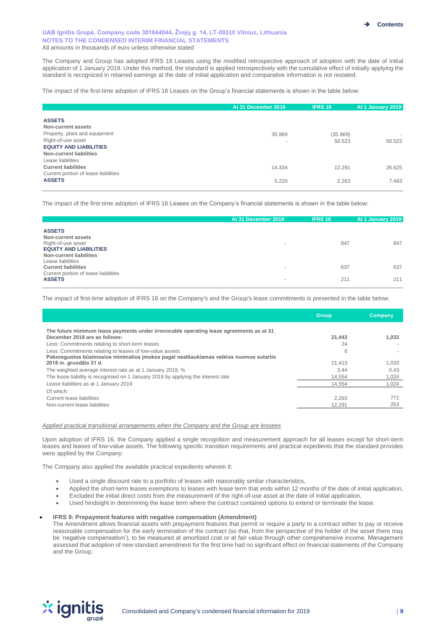The Company and Group has adopted IFRS 16 Leases using the modified retrospective approach of adoption with the date of initial application of 1 January 2019. Under this method, the standard is applied retrospectively with the cumulative effect of initially applying the standard is recognized in retained earnings at the date of initial application and comparative information is not restated.

The impact of the first-time adoption of IFRS 16 Leases on the Group's financial statements is shown in the table below:

|                                                                                                                                                        | At 31 December 2018                | <b>IFRS 16</b>     | At 1 January 2019                  |
|--------------------------------------------------------------------------------------------------------------------------------------------------------|------------------------------------|--------------------|------------------------------------|
| <b>ASSETS</b><br>Non-current assets<br>Property, plant and equipment<br>Right-of-use asset<br><b>EQUITY AND LIABILITIES</b><br>Non-current liabilities | 35.969<br>$\overline{\phantom{a}}$ | (35.969)<br>50.523 | $\overline{\phantom{a}}$<br>50.523 |
| Lease liabilities<br><b>Current liabilities</b><br>Current portion of lease liabilities<br><b>ASSETS</b>                                               | 14.334<br>5.220                    | 12.291<br>2.263    | 26.625<br>7.483                    |

The impact of the first-time adoption of IFRS 16 Leases on the Company's financial statements is shown in the table below:

|                                                                                                                       | At 31 December 2018      | <b>IFRS 16</b> | At 1 January 2019 |
|-----------------------------------------------------------------------------------------------------------------------|--------------------------|----------------|-------------------|
| <b>ASSETS</b><br>Non-current assets<br>Right-of-use asset<br><b>EQUITY AND LIABILITIES</b><br>Non-current liabilities | $\,$                     | 847            | 847               |
| Lease liabilities<br><b>Current liabilities</b><br>Current portion of lease liabilities                               | $\overline{\phantom{a}}$ | 637            | 637               |
| <b>ASSETS</b>                                                                                                         | $\,$                     | 211            | 211               |

The impact of first-time adoption of IFRS 16 on the Company's and the Group's lease commitments is presented in the table below:

|                                                                                                                          | <b>Group</b> | Company |
|--------------------------------------------------------------------------------------------------------------------------|--------------|---------|
| The future minimum lease payments under irrevocable operating lease agreements as at 31<br>December 2018 are as follows: | 21.443       | 1.033   |
| Less: Commitments relating to short-term leases                                                                          | 24           |         |
| Less: Commitments relating to leases of low-value assets                                                                 | 6            |         |
| Pakoreguotos būsimosios minimalios imokos pagal neatšaukiamas veiklos nuomos sutartis<br>2018 m. gruodžio 31 d.          | 21.413       | 1.033   |
| The weighted average interest rate as at 1 January 2019, %                                                               | 3.44         | 0.43    |
| The lease liability is recognised on 1 January 2019 by applying the interest rate                                        | 14.554       | 1.024   |
| Lease liabilities as at 1 January 2019                                                                                   | 14.554       | 1.024   |
| Of which:                                                                                                                |              |         |
| Current lease liabilities                                                                                                | 2.263        | 771     |
| Non-current lease liabilities                                                                                            | 12.291       | 253     |

#### *Applied practical transitional arrangements when the Company and the Group are lessees*

Upon adoption of IFRS 16, the Company applied a single recognition and measurement approach for all leases except for short-term leases and leases of low-value assets. The following specific transition requirements and practical expedients that the standard provides were applied by the Company:

The Company also applied the available practical expedients wherein it:

- Used a single discount rate to a portfolio of leases with reasonably similar characteristics,
- Applied the short-term leases exemptions to leases with lease term that ends within 12 months of the date of initial application,
- Excluded the initial direct costs from the measurement of the right-of-use asset at the date of initial application,
- Used hindsight in determining the lease term where the contract contained options to extend or terminate the lease.

#### • **IFRS 9: Prepayment features with negative compensation (Amendment)**

The Amendment allows financial assets with prepayment features that permit or require a party to a contract either to pay or receive reasonable compensation for the early termination of the contract (so that, from the perspective of the holder of the asset there may be 'negative compensation'), to be measured at amortized cost or at fair value through other comprehensive income. Management assessed that adoption of new standard amendment for the first time had no significant effect on financial statements of the Company and the Group.

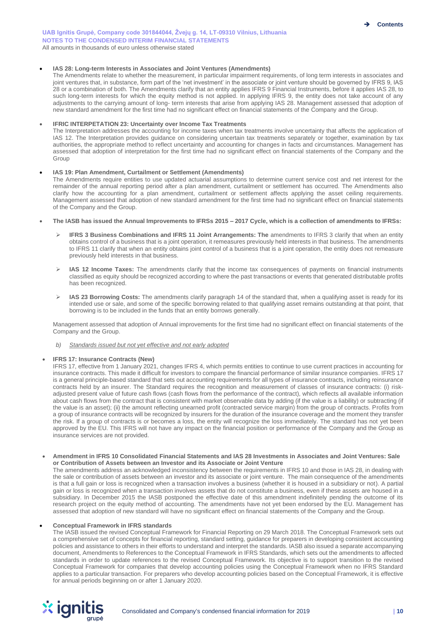#### • **IAS 28: Long-term Interests in Associates and Joint Ventures (Amendments)**

The Amendments relate to whether the measurement, in particular impairment requirements, of long term interests in associates and joint ventures that, in substance, form part of the 'net investment' in the associate or joint venture should be governed by IFRS 9, IAS 28 or a combination of both. The Amendments clarify that an entity applies IFRS 9 Financial Instruments, before it applies IAS 28, to such long-term interests for which the equity method is not applied. In applying IFRS 9, the entity does not take account of any adjustments to the carrying amount of long- term interests that arise from applying IAS 28. Management assessed that adoption of new standard amendment for the first time had no significant effect on financial statements of the Company and the Group.

#### **IFRIC INTERPETATION 23: Uncertainty over Income Tax Treatments**

The Interpretation addresses the accounting for income taxes when tax treatments involve uncertainty that affects the application of IAS 12. The Interpretation provides guidance on considering uncertain tax treatments separately or together, examination by tax authorities, the appropriate method to reflect uncertainty and accounting for changes in facts and circumstances. Management has assessed that adoption of interpretation for the first time had no significant effect on financial statements of the Company and the Group

#### • **IAS 19: Plan Amendment, Curtailment or Settlement (Amendments)**

The Amendments require entities to use updated actuarial assumptions to determine current service cost and net interest for the remainder of the annual reporting period after a plan amendment, curtailment or settlement has occurred. The Amendments also clarify how the accounting for a plan amendment, curtailment or settlement affects applying the asset ceiling requirements. Management assessed that adoption of new standard amendment for the first time had no significant effect on financial statements of the Company and the Group.

- **The IASB has issued the Annual Improvements to IFRSs 2015 – 2017 Cycle, which is a collection of amendments to IFRSs:**
	- ➢ **IFRS 3 Business Combinations and IFRS 11 Joint Arrangements: The** amendments to IFRS 3 clarify that when an entity obtains control of a business that is a joint operation, it remeasures previously held interests in that business. The amendments to IFRS 11 clarify that when an entity obtains joint control of a business that is a joint operation, the entity does not remeasure previously held interests in that business.
	- ➢ **IAS 12 Income Taxes:** The amendments clarify that the income tax consequences of payments on financial instruments classified as equity should be recognized according to where the past transactions or events that generated distributable profits has been recognized.
	- ➢ **IAS 23 Borrowing Costs:** The amendments clarify paragraph 14 of the standard that, when a qualifying asset is ready for its intended use or sale, and some of the specific borrowing related to that qualifying asset remains outstanding at that point, that borrowing is to be included in the funds that an entity borrows generally.

Management assessed that adoption of Annual improvements for the first time had no significant effect on financial statements of the Company and the Group.

*b) Standards issued but not yet effective and not early adopted*

#### • **IFRS 17: Insurance Contracts (New)**

IFRS 17, effective from 1 January 2021, changes IFRS 4, which permits entities to continue to use current practices in accounting for insurance contracts. This made it difficult for investors to compare the financial performance of similar insurance companies. IFRS 17 is a general principle-based standard that sets out accounting requirements for all types of insurance contracts, including reinsurance contracts held by an insurer. The Standard requires the recognition and measurement of classes of insurance contracts: (i) riskadjusted present value of future cash flows (cash flows from the performance of the contract), which reflects all available information about cash flows from the contract that is consistent with market observable data by adding (if the value is a liability) or subtracting (if the value is an asset); (ii) the amount reflecting unearned profit (contracted service margin) from the group of contracts. Profits from a group of insurance contracts will be recognized by insurers for the duration of the insurance coverage and the moment they transfer the risk. If a group of contracts is or becomes a loss, the entity will recognize the loss immediately. The standard has not yet been approved by the EU. This IFRS will not have any impact on the financial position or performance of the Company and the Group as insurance services are not provided.

#### • **Amendment in IFRS 10 Consolidated Financial Statements and IAS 28 Investments in Associates and Joint Ventures: Sale or Contribution of Assets between an Investor and its Associate or Joint Venture**

The amendments address an acknowledged inconsistency between the requirements in IFRS 10 and those in IAS 28, in dealing with the sale or contribution of assets between an investor and its associate or joint venture. The main consequence of the amendments is that a full gain or loss is recognized when a transaction involves a business (whether it is housed in a subsidiary or not). A partial gain or loss is recognized when a transaction involves assets that do not constitute a business, even if these assets are housed in a subsidiary. In December 2015 the IASB postponed the effective date of this amendment indefinitely pending the outcome of its research project on the equity method of accounting. The amendments have not yet been endorsed by the EU. Management has assessed that adoption of new standard will have no significant effect on financial statements of the Company and the Group.

#### • **Conceptual Framework in IFRS standards**

The IASB issued the revised Conceptual Framework for Financial Reporting on 29 March 2018. The Conceptual Framework sets out a comprehensive set of concepts for financial reporting, standard setting, guidance for preparers in developing consistent accounting policies and assistance to others in their efforts to understand and interpret the standards. IASB also issued a separate accompanying document, Amendments to References to the Conceptual Framework in IFRS Standards, which sets out the amendments to affected standards in order to update references to the revised Conceptual Framework. Its objective is to support transition to the revised Conceptual Framework for companies that develop accounting policies using the Conceptual Framework when no IFRS Standard applies to a particular transaction. For preparers who develop accounting policies based on the Conceptual Framework, it is effective for annual periods beginning on or after 1 January 2020.

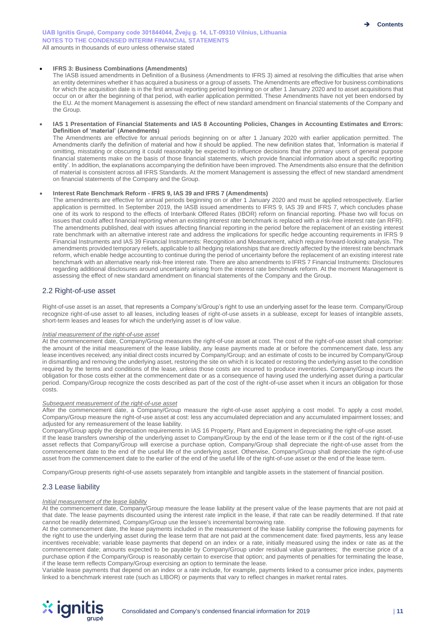#### • **IFRS 3: Business Combinations (Amendments)**

The IASB issued amendments in Definition of a Business (Amendments to IFRS 3) aimed at resolving the difficulties that arise when an entity determines whether it has acquired a business or a group of assets. The Amendments are effective for business combinations for which the acquisition date is in the first annual reporting period beginning on or after 1 January 2020 and to asset acquisitions that occur on or after the beginning of that period, with earlier application permitted. These Amendments have not yet been endorsed by the EU. At the moment Management is assessing the effect of new standard amendment on financial statements of the Company and the Group.

#### • **IAS 1 Presentation of Financial Statements and IAS 8 Accounting Policies, Changes in Accounting Estimates and Errors: Definition of 'material' (Amendments)**

The Amendments are effective for annual periods beginning on or after 1 January 2020 with earlier application permitted. The Amendments clarify the definition of material and how it should be applied. The new definition states that, 'Information is material if omitting, misstating or obscuring it could reasonably be expected to influence decisions that the primary users of general purpose financial statements make on the basis of those financial statements, which provide financial information about a specific reporting entity'. In addition, the explanations accompanying the definition have been improved. The Amendments also ensure that the definition of material is consistent across all IFRS Standards. At the moment Management is assessing the effect of new standard amendment on financial statements of the Company and the Group.

#### • **Interest Rate Benchmark Reform - IFRS 9, IAS 39 and IFRS 7 (Amendments)**

The amendments are effective for annual periods beginning on or after 1 January 2020 and must be applied retrospectively. Earlier application is permitted. In September 2019, the IASB issued amendments to IFRS 9, IAS 39 and IFRS 7, which concludes phase one of its work to respond to the effects of Interbank Offered Rates (IBOR) reform on financial reporting. Phase two will focus on issues that could affect financial reporting when an existing interest rate benchmark is replaced with a risk-free interest rate (an RFR). The amendments published, deal with issues affecting financial reporting in the period before the replacement of an existing interest rate benchmark with an alternative interest rate and address the implications for specific hedge accounting requirements in IFRS 9 Financial Instruments and IAS 39 Financial Instruments: Recognition and Measurement, which require forward-looking analysis. The amendments provided temporary reliefs, applicable to all hedging relationships that are directly affected by the interest rate benchmark reform, which enable hedge accounting to continue during the period of uncertainty before the replacement of an existing interest rate benchmark with an alternative nearly risk-free interest rate. There are also amendments to IFRS 7 Financial Instruments: Disclosures regarding additional disclosures around uncertainty arising from the interest rate benchmark reform. At the moment Management is assessing the effect of new standard amendment on financial statements of the Company and the Group.

#### 2.2 Right-of-use asset

Right-of-use asset is an asset, that represents a Company's/Group's right to use an underlying asset for the lease term. Company/Group recognize right-of-use asset to all leases, including leases of right-of-use assets in a sublease, except for leases of intangible assets, short-term leases and leases for which the underlying asset is of low value.

#### *Initial measurement of the right-of-use asset*

At the commencement date, Company/Group measures the right-of-use asset at cost. The cost of the right-of-use asset shall comprise: the amount of the initial measurement of the lease liability, any lease payments made at or before the commencement date, less any lease incentives received; any initial direct costs incurred by Company/Group; and an estimate of costs to be incurred by Company/Group in dismantling and removing the underlying asset, restoring the site on which it is located or restoring the underlying asset to the condition required by the terms and conditions of the lease, unless those costs are incurred to produce inventories. Company/Group incurs the obligation for those costs either at the commencement date or as a consequence of having used the underlying asset during a particular period. Company/Group recognize the costs described as part of the cost of the right-of-use asset when it incurs an obligation for those costs.

#### *Subsequent measurement of the right-of-use asset*

After the commencement date, a Company/Group measure the right-of-use asset applying a cost model. To apply a cost model, Company/Group measure the right-of-use asset at cost: less any accumulated depreciation and any accumulated impairment losses; and adjusted for any remeasurement of the lease liability.

Company/Group apply the depreciation requirements in IAS 16 Property, Plant and Equipment in depreciating the right-of-use asset. If the lease transfers ownership of the underlying asset to Company/Group by the end of the lease term or if the cost of the right-of-use asset reflects that Company/Group will exercise a purchase option, Company/Group shall depreciate the right-of-use asset from the commencement date to the end of the useful life of the underlying asset. Otherwise, Company/Group shall depreciate the right-of-use asset from the commencement date to the earlier of the end of the useful life of the right-of-use asset or the end of the lease term.

Company/Group presents right-of-use assets separately from intangible and tangible assets in the statement of financial position.

#### 2.3 Lease liability

#### *Initial measurement of the lease liability*

At the commencement date, Company/Group measure the lease liability at the present value of the lease payments that are not paid at that date. The lease payments discounted using the interest rate implicit in the lease, if that rate can be readily determined. If that rate cannot be readily determined, Company/Group use the lessee's incremental borrowing rate.

At the commencement date, the lease payments included in the measurement of the lease liability comprise the following payments for the right to use the underlying asset during the lease term that are not paid at the commencement date: fixed payments, less any lease incentives receivable; variable lease payments that depend on an index or a rate, initially measured using the index or rate as at the commencement date; amounts expected to be payable by Company/Group under residual value guarantees; the exercise price of a purchase option if the Company/Group is reasonably certain to exercise that option; and payments of penalties for terminating the lease, if the lease term reflects Company/Group exercising an option to terminate the lease.

Variable lease payments that depend on an index or a rate include, for example, payments linked to a consumer price index, payments linked to a benchmark interest rate (such as LIBOR) or payments that vary to reflect changes in market rental rates.

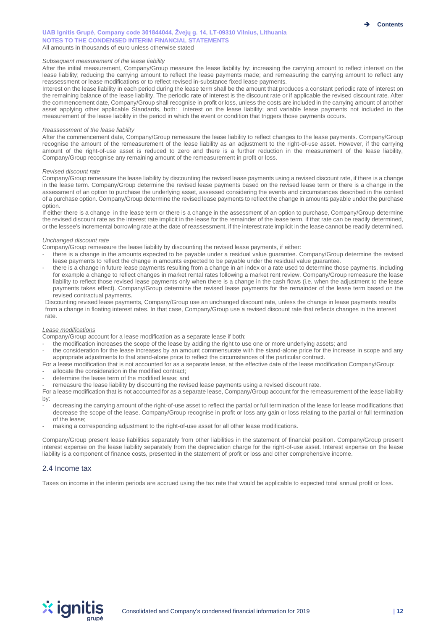#### *Subsequent measurement of the lease liability*

After the initial measurement, Company/Group measure the lease liability by: increasing the carrying amount to reflect interest on the lease liability; reducing the carrying amount to reflect the lease payments made; and remeasuring the carrying amount to reflect any reassessment or lease modifications or to reflect revised in-substance fixed lease payments.

Interest on the lease liability in each period during the lease term shall be the amount that produces a constant periodic rate of interest on the remaining balance of the lease liability. The periodic rate of interest is the discount rate or if applicable the revised discount rate. After the commencement date, Company/Group shall recognise in profit or loss, unless the costs are included in the carrying amount of another asset applying other applicable Standards, both: interest on the lease liability; and variable lease payments not included in the measurement of the lease liability in the period in which the event or condition that triggers those payments occurs.

#### *Reassessment of the lease liability*

After the commencement date, Company/Group remeasure the lease liability to reflect changes to the lease payments. Company/Group recognise the amount of the remeasurement of the lease liability as an adjustment to the right-of-use asset. However, if the carrying amount of the right-of-use asset is reduced to zero and there is a further reduction in the measurement of the lease liability, Company/Group recognise any remaining amount of the remeasurement in profit or loss.

#### *Revised discount rate*

Company/Group remeasure the lease liability by discounting the revised lease payments using a revised discount rate, if there is a change in the lease term. Company/Group determine the revised lease payments based on the revised lease term or there is a change in the assessment of an option to purchase the underlying asset, assessed considering the events and circumstances described in the context of a purchase option. Company/Group determine the revised lease payments to reflect the change in amounts payable under the purchase option.

If either there is a change in the lease term or there is a change in the assessment of an option to purchase, Company/Group determine the revised discount rate as the interest rate implicit in the lease for the remainder of the lease term, if that rate can be readily determined, or the lessee's incremental borrowing rate at the date of reassessment, if the interest rate implicit in the lease cannot be readily determined.

#### *Unchanged discount rate*

Company/Group remeasure the lease liability by discounting the revised lease payments, if either:

- there is a change in the amounts expected to be payable under a residual value guarantee. Company/Group determine the revised lease payments to reflect the change in amounts expected to be payable under the residual value guarantee.
- there is a change in future lease payments resulting from a change in an index or a rate used to determine those payments, including for example a change to reflect changes in market rental rates following a market rent review. Company/Group remeasure the lease liability to reflect those revised lease payments only when there is a change in the cash flows (i.e. when the adjustment to the lease payments takes effect). Company/Group determine the revised lease payments for the remainder of the lease term based on the revised contractual payments.

Discounting revised lease payments, Company/Group use an unchanged discount rate, unless the change in lease payments results from a change in floating interest rates. In that case, Company/Group use a revised discount rate that reflects changes in the interest rate.

#### *Lease modifications*

Company/Group account for a lease modification as a separate lease if both:

- the modification increases the scope of the lease by adding the right to use one or more underlying assets; and
- the consideration for the lease increases by an amount commensurate with the stand-alone price for the increase in scope and any appropriate adjustments to that stand-alone price to reflect the circumstances of the particular contract.
- For a lease modification that is not accounted for as a separate lease, at the effective date of the lease modification Company/Group:
- allocate the consideration in the modified contract;
- determine the lease term of the modified lease; and
- remeasure the lease liability by discounting the revised lease payments using a revised discount rate.

For a lease modification that is not accounted for as a separate lease, Company/Group account for the remeasurement of the lease liability by:

- decreasing the carrying amount of the right-of-use asset to reflect the partial or full termination of the lease for lease modifications that decrease the scope of the lease. Company/Group recognise in profit or loss any gain or loss relating to the partial or full termination of the lease;
- making a corresponding adjustment to the right-of-use asset for all other lease modifications.

Company/Group present lease liabilities separately from other liabilities in the statement of financial position. Company/Group present interest expense on the lease liability separately from the depreciation charge for the right-of-use asset. Interest expense on the lease liability is a component of finance costs, presented in the statement of profit or loss and other comprehensive income.

#### 2.4 Income tax

Taxes on income in the interim periods are accrued using the tax rate that would be applicable to expected total annual profit or loss.

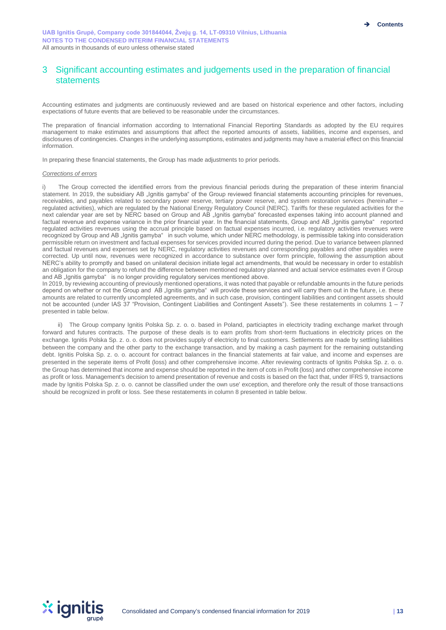# 3 Significant accounting estimates and judgements used in the preparation of financial statements

Accounting estimates and judgments are continuously reviewed and are based on historical experience and other factors, including expectations of future events that are believed to be reasonable under the circumstances.

The preparation of financial information according to International Financial Reporting Standards as adopted by the EU requires management to make estimates and assumptions that affect the reported amounts of assets, liabilities, income and expenses, and disclosures of contingencies. Changes in the underlying assumptions, estimates and judgments may have a material effect on this financial information.

In preparing these financial statements, the Group has made adjustments to prior periods.

#### *Corrections of errors*

The Group corrected the identified errors from the previous financial periods during the preparation of these interim financial statement. In 2019, the subsidiary AB "Ignitis gamyba" of the Group reviewed financial statements accounting principles for revenues, receivables, and payables related to secondary power reserve, tertiary power reserve, and system restoration services (hereinafter – regulated activities), which are regulated by the National Energy Regulatory Council (NERC). Tariffs for these regulated activities for the next calendar year are set by NERC based on Group and AB "Ignitis gamyba" forecasted expenses taking into account planned and factual revenue and expense variance in the prior financial year. In the financial statements, Group and AB "Ignitis gamyba" reported regulated activities revenues using the accrual principle based on factual expenses incurred, i.e. regulatory activities revenues were recognized by Group and AB "Ignitis gamyba" in such volume, which under NERC methodology, is permissible taking into consideration permissible return on investment and factual expenses for services provided incurred during the period. Due to variance between planned and factual revenues and expenses set by NERC, regulatory activities revenues and corresponding payables and other payables were corrected. Up until now, revenues were recognized in accordance to substance over form principle, following the assumption about NERC's ability to promptly and based on unilateral decision initiate legal act amendments, that would be necessary in order to establish an obligation for the company to refund the difference between mentioned regulatory planned and actual service estimates even if Group and AB "Ignitis gamyba" is no longer providing regulatory services mentioned above.

In 2019, by reviewing accounting of previously mentioned operations, it was noted that payable or refundable amounts in the future periods depend on whether or not the Group and AB "Ignitis gamyba" will provide these services and will carry them out in the future, i.e. these amounts are related to currently uncompleted agreements, and in such case, provision, contingent liabilities and contingent assets should not be accounted (under IAS 37 "Provision, Contingent Liabilities and Contingent Assets"). See these restatements in columns 1 – 7 presented in table below.

ii) The Group company Ignitis Polska Sp. z. o. o. based in Poland, particiaptes in electricity trading exchange market through forward and futures contracts. The purpose of these deals is to earn profits from short-term fluctuations in electricity prices on the exchange. Ignitis Polska Sp. z. o. o. does not provides supply of electricity to final customers. Settlements are made by settling liabilities between the company and the other party to the exchange transaction, and by making a cash payment for the remaining outstanding debt. Ignitis Polska Sp. z. o. o. account for contract balances in the financial statements at fair value, and income and expenses are presented in the seperate items of Profit (loss) and other comprehensive income. After reviewing contracts of Ignitis Polska Sp. z. o. o. the Group has determined that income and expense should be reported in the item of cots in Profit (loss) and other comprehensive income as profit or loss. Management's decision to amend presentation of revenue and costs is based on the fact that, under IFRS 9, transactions made by Ignitis Polska Sp. z. o. o. cannot be classified under the own use' exception, and therefore only the result of those transactions should be recognized in profit or loss. See these restatements in column 8 presented in table below.

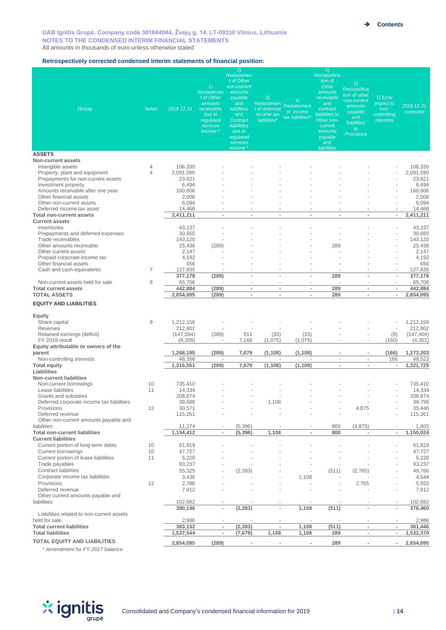#### **Retrospectively corrected condensed interim statements of financial position:**

| Group                                                                                                                                                                                                       | <b>Notes</b>        | 2018 12 31                                                  | 1)<br>Restatemen<br>t of Other<br>amounts<br>receivable<br>due to<br>regulated<br>services<br>income * | 2)<br>Restatemen<br>t of Other<br>non-current<br>amounts<br>payable<br>and<br>liabilities<br>and<br>Contract<br><b>liabilities</b><br>due to<br>regulated<br>services<br>income * | 3)<br>Restatemen<br>t of deferred<br>income tax<br>liabilities* | 4)<br><b>Restatement</b><br>of income<br>tax liabilities* | 5)<br>Reclassifica<br>tion of<br>Other<br>amounts<br>receivable<br>and<br>contract<br>liabilities to<br>Other non-<br>current<br>amounts<br>payable<br>and<br>liabilities | 6)<br>Reclassifica<br>tion of other<br>non-current<br>amounts<br>payable<br>and<br>liabilities<br>to<br><b>Provisions</b> | 7) Error<br>impact to<br>non-<br>controlling<br>interests | 2018 12 31<br>corrected                                     |
|-------------------------------------------------------------------------------------------------------------------------------------------------------------------------------------------------------------|---------------------|-------------------------------------------------------------|--------------------------------------------------------------------------------------------------------|-----------------------------------------------------------------------------------------------------------------------------------------------------------------------------------|-----------------------------------------------------------------|-----------------------------------------------------------|---------------------------------------------------------------------------------------------------------------------------------------------------------------------------|---------------------------------------------------------------------------------------------------------------------------|-----------------------------------------------------------|-------------------------------------------------------------|
| <b>ASSETS</b>                                                                                                                                                                                               |                     |                                                             |                                                                                                        |                                                                                                                                                                                   |                                                                 |                                                           |                                                                                                                                                                           |                                                                                                                           |                                                           |                                                             |
| <b>Non-current assets</b><br>Intangible assets<br>Property, plant and equipment<br>Prepayments for non-current assets<br>Investment property<br>Amounts receivable after one year<br>Other financial assets | 4<br>$\overline{4}$ | 106,330<br>2,091,590<br>23,621<br>6,494<br>160,606<br>2,008 |                                                                                                        |                                                                                                                                                                                   |                                                                 |                                                           |                                                                                                                                                                           |                                                                                                                           | Ĩ.                                                        | 106,330<br>2,091,590<br>23,621<br>6,494<br>160,606<br>2,008 |
| Other non-current assets                                                                                                                                                                                    |                     | 6,094                                                       |                                                                                                        |                                                                                                                                                                                   |                                                                 |                                                           |                                                                                                                                                                           |                                                                                                                           |                                                           | 6,094                                                       |
| Deferred income tax asset<br><b>Total non-current assets</b>                                                                                                                                                |                     | 14,468<br>2,411,211                                         | ٠<br>$\overline{a}$                                                                                    | $\sim$<br>$\overline{a}$                                                                                                                                                          | $\overline{\phantom{a}}$<br>$\overline{\phantom{a}}$            | ٠<br>$\overline{a}$                                       | $\overline{\phantom{a}}$<br>$\overline{a}$                                                                                                                                | $\overline{\phantom{a}}$<br>L,                                                                                            | $\overline{\phantom{a}}$<br>$\overline{\phantom{a}}$      | 14,468<br>2,411,211                                         |
| <b>Current assets</b><br>Inventories                                                                                                                                                                        |                     | 43,137                                                      |                                                                                                        |                                                                                                                                                                                   |                                                                 |                                                           |                                                                                                                                                                           |                                                                                                                           | Ĩ.                                                        | 43,137                                                      |
| Prepayments and deferred expenses<br>Trade receivables                                                                                                                                                      |                     | 30,655<br>143,120                                           |                                                                                                        |                                                                                                                                                                                   |                                                                 |                                                           |                                                                                                                                                                           |                                                                                                                           | Î,                                                        | 30,655<br>143,120                                           |
| Other amounts receivable                                                                                                                                                                                    |                     | 25,436<br>2,147                                             | (289)                                                                                                  |                                                                                                                                                                                   |                                                                 |                                                           | 289                                                                                                                                                                       |                                                                                                                           |                                                           | 25,436<br>2,147                                             |
| Other current assets<br>Prepaid corporate income tax                                                                                                                                                        |                     | 4,192                                                       |                                                                                                        |                                                                                                                                                                                   |                                                                 |                                                           |                                                                                                                                                                           |                                                                                                                           |                                                           | 4,192                                                       |
| Other financial assets                                                                                                                                                                                      |                     | 656                                                         |                                                                                                        |                                                                                                                                                                                   |                                                                 |                                                           |                                                                                                                                                                           |                                                                                                                           | ä,                                                        | 656                                                         |
| Cash and cash equivalents                                                                                                                                                                                   | 7                   | 127,835<br>377,178                                          | (289)                                                                                                  | $\overline{a}$                                                                                                                                                                    | $\overline{a}$                                                  | $\overline{a}$                                            | 289                                                                                                                                                                       | ä,<br>Ĭ.                                                                                                                  | ٠<br>$\overline{\phantom{a}}$                             | 127,835<br>377,178                                          |
| Non-current assets held for sale                                                                                                                                                                            | 8                   | 65,706                                                      |                                                                                                        |                                                                                                                                                                                   |                                                                 | ٠                                                         |                                                                                                                                                                           |                                                                                                                           | ÷,                                                        | 65,706                                                      |
| <b>Total current assets</b><br><b>TOTAL ASSETS</b>                                                                                                                                                          |                     | 442,884<br>2,854,095                                        | (289)<br>(289)                                                                                         | $\overline{\phantom{a}}$<br>$\overline{\phantom{0}}$                                                                                                                              | $\overline{\phantom{a}}$<br>$\overline{\phantom{a}}$            | $\sim$<br>$\blacksquare$                                  | 289<br>289                                                                                                                                                                | $\sim$<br>$\overline{\phantom{a}}$                                                                                        | $\sim$<br>$\overline{\phantom{a}}$                        | 442,884<br>2,854,095                                        |
| <b>EQUITY AND LIABILITIES</b>                                                                                                                                                                               |                     |                                                             |                                                                                                        |                                                                                                                                                                                   |                                                                 |                                                           |                                                                                                                                                                           |                                                                                                                           |                                                           |                                                             |
|                                                                                                                                                                                                             |                     |                                                             |                                                                                                        |                                                                                                                                                                                   |                                                                 |                                                           |                                                                                                                                                                           |                                                                                                                           |                                                           |                                                             |
| Equity<br>Share capital<br><b>Reserves</b>                                                                                                                                                                  | 9                   | 1,212,156<br>212,802                                        |                                                                                                        |                                                                                                                                                                                   |                                                                 |                                                           |                                                                                                                                                                           |                                                                                                                           | Ĩ.                                                        | 1,212,156<br>212,802                                        |
| Retained earnings (deficit)<br>FY 2018 result                                                                                                                                                               |                     | (147, 554)                                                  | (289)                                                                                                  | 511                                                                                                                                                                               | (33)                                                            | (33)                                                      |                                                                                                                                                                           | ÷,                                                                                                                        | (6)                                                       | (147, 404)<br>(4, 351)                                      |
| Equity attributable to owners of the                                                                                                                                                                        |                     | (9,209)                                                     |                                                                                                        | 7,168                                                                                                                                                                             | (1,075)                                                         | (1,075)                                                   |                                                                                                                                                                           |                                                                                                                           | (160)                                                     |                                                             |
| parent<br>Non-controlling interests                                                                                                                                                                         |                     | 1,268,195<br>48,356                                         | (289)                                                                                                  | 7,679<br>$\overline{\phantom{a}}$                                                                                                                                                 | (1, 108)                                                        | (1, 108)                                                  | ٠<br>÷,                                                                                                                                                                   | $\blacksquare$<br>$\overline{\phantom{a}}$                                                                                | (166)<br>166                                              | 1,273,203<br>48,522                                         |
| <b>Total equity</b>                                                                                                                                                                                         |                     | 1,316,551                                                   | (289)                                                                                                  | 7,679                                                                                                                                                                             | (1, 108)                                                        | (1, 108)                                                  | $\overline{\phantom{a}}$                                                                                                                                                  | $\overline{a}$                                                                                                            | ×,                                                        | 1,321,725                                                   |
| Liabilities<br><b>Non-current liabilities</b>                                                                                                                                                               |                     |                                                             |                                                                                                        |                                                                                                                                                                                   |                                                                 |                                                           |                                                                                                                                                                           |                                                                                                                           |                                                           |                                                             |
| Non-current borrowings                                                                                                                                                                                      | 10                  | 735,410                                                     |                                                                                                        |                                                                                                                                                                                   |                                                                 |                                                           |                                                                                                                                                                           |                                                                                                                           |                                                           | 735,410                                                     |
| Lease liabilities                                                                                                                                                                                           | 11                  | 14,334                                                      |                                                                                                        |                                                                                                                                                                                   |                                                                 |                                                           |                                                                                                                                                                           |                                                                                                                           | ä,                                                        | 14,334                                                      |
| Grants and subsidies<br>Deferred corporate income tax liabilities                                                                                                                                           |                     | 208,874<br>38,688                                           |                                                                                                        |                                                                                                                                                                                   | 1,108                                                           |                                                           |                                                                                                                                                                           |                                                                                                                           |                                                           | 208,874<br>39,796                                           |
| Provisions                                                                                                                                                                                                  | 12                  | 30,571                                                      |                                                                                                        |                                                                                                                                                                                   |                                                                 |                                                           |                                                                                                                                                                           | 4,875                                                                                                                     |                                                           | 35,446                                                      |
| Deferred revenue<br>Other non-current amounts payable and<br>liabilities                                                                                                                                    |                     | 115,261<br>11,274                                           |                                                                                                        | (5, 396)                                                                                                                                                                          |                                                                 |                                                           | 800                                                                                                                                                                       | (4, 875)                                                                                                                  |                                                           | 115,261<br>1,803                                            |
| <b>Total non-current liabilities</b>                                                                                                                                                                        |                     | 1,154,412                                                   | $\mathbf{r}$                                                                                           | (5, 396)                                                                                                                                                                          | 1,108                                                           | $\mathbf{r}$                                              | 800                                                                                                                                                                       |                                                                                                                           | $\overline{\phantom{a}}$                                  | 1,150,924                                                   |
| <b>Current liabilities</b><br>Current portion of long-term debts                                                                                                                                            | 10                  | 61,819                                                      |                                                                                                        |                                                                                                                                                                                   |                                                                 |                                                           |                                                                                                                                                                           |                                                                                                                           |                                                           | 61,819                                                      |
| Current borrowings                                                                                                                                                                                          | 10                  | 47,727                                                      |                                                                                                        |                                                                                                                                                                                   |                                                                 |                                                           |                                                                                                                                                                           |                                                                                                                           |                                                           | 47,727                                                      |
| Current portion of lease liabilities                                                                                                                                                                        | 11                  | 5,220                                                       |                                                                                                        |                                                                                                                                                                                   |                                                                 |                                                           |                                                                                                                                                                           |                                                                                                                           |                                                           | 5,220                                                       |
| Trade payables<br>Contract liabilities                                                                                                                                                                      |                     | 93,237<br>55,325                                            |                                                                                                        | (2, 283)                                                                                                                                                                          |                                                                 |                                                           | (511)                                                                                                                                                                     | (2,765)                                                                                                                   |                                                           | 93,237<br>49,766                                            |
| Corporate income tax liabilities                                                                                                                                                                            |                     | 3,436                                                       |                                                                                                        |                                                                                                                                                                                   |                                                                 | 1,108                                                     |                                                                                                                                                                           |                                                                                                                           |                                                           | 4,544                                                       |
| Provisions                                                                                                                                                                                                  | 12                  | 2,788                                                       |                                                                                                        |                                                                                                                                                                                   |                                                                 |                                                           |                                                                                                                                                                           | 2,765                                                                                                                     |                                                           | 5,553                                                       |
| Deferred revenue<br>Other current amounts payable and                                                                                                                                                       |                     | 7,912                                                       |                                                                                                        |                                                                                                                                                                                   |                                                                 |                                                           |                                                                                                                                                                           |                                                                                                                           | ä,                                                        | 7,912                                                       |
| liabilities                                                                                                                                                                                                 |                     | 102,682                                                     |                                                                                                        |                                                                                                                                                                                   |                                                                 |                                                           |                                                                                                                                                                           |                                                                                                                           |                                                           | 102,682                                                     |
| Liabilities related to non-current assets                                                                                                                                                                   |                     | 380,146                                                     | $\overline{\phantom{a}}$                                                                               | (2, 283)                                                                                                                                                                          | $\overline{\phantom{a}}$                                        | 1,108                                                     | (511)                                                                                                                                                                     |                                                                                                                           | $\overline{\phantom{a}}$                                  | 378,460                                                     |
| held for sale                                                                                                                                                                                               |                     | 2,986                                                       |                                                                                                        |                                                                                                                                                                                   |                                                                 |                                                           |                                                                                                                                                                           |                                                                                                                           |                                                           | 2,986                                                       |
| <b>Total current liabilities</b><br><b>Total liabilities</b>                                                                                                                                                |                     | 383,132<br>1,537,544                                        | $\overline{\phantom{a}}$<br>$\overline{\phantom{a}}$                                                   | (2, 283)<br>(7,679)                                                                                                                                                               | $\sim$<br>1,108                                                 | 1,108<br>1,108                                            | (511)<br>289                                                                                                                                                              | $\overline{\phantom{a}}$<br>$\blacksquare$                                                                                | $\sim$<br>$\overline{\phantom{a}}$                        | 381,446<br>1,532,370                                        |
| <b>TOTAL EQUITY AND LIABILITIES</b>                                                                                                                                                                         |                     |                                                             |                                                                                                        |                                                                                                                                                                                   |                                                                 |                                                           |                                                                                                                                                                           |                                                                                                                           |                                                           |                                                             |
|                                                                                                                                                                                                             |                     | 2,854,095                                                   | (289)                                                                                                  | $\blacksquare$                                                                                                                                                                    | $\overline{\phantom{a}}$                                        | $\blacksquare$                                            | 289                                                                                                                                                                       | $\blacksquare$                                                                                                            | $\overline{\phantom{a}}$                                  | 2,854,095                                                   |



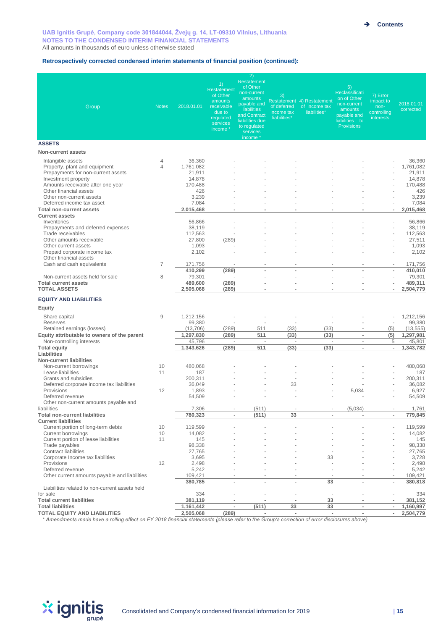#### **Retrospectively corrected condensed interim statements of financial position (continued):**

| Group                                                                                                                                                                                                      | <b>Notes</b>   | 2018.01.01                                                         | 1)<br>Restatement<br>of Other<br>amounts<br>receivable<br>due to<br>regulated<br>services<br>income * | 2)<br>Restatement<br>of Other<br>non-current<br>amounts<br>payable and<br>liabilities<br>and Contract<br>liabilities due<br>to regulated<br>services<br>income * | 3)<br>of deferred<br>income tax<br>liabilities* | Restatement 4) Restatement<br>of income tax<br>liabilities* | 6)<br>Reclassificati<br>on of Other<br>non-current<br>amounts<br>payable and<br>liabilities to<br><b>Provisions</b> | 7) Error<br>impact to<br>non-<br>controlling<br>interests | 2018.01.01<br>corrected                                            |
|------------------------------------------------------------------------------------------------------------------------------------------------------------------------------------------------------------|----------------|--------------------------------------------------------------------|-------------------------------------------------------------------------------------------------------|------------------------------------------------------------------------------------------------------------------------------------------------------------------|-------------------------------------------------|-------------------------------------------------------------|---------------------------------------------------------------------------------------------------------------------|-----------------------------------------------------------|--------------------------------------------------------------------|
| <b>ASSETS</b>                                                                                                                                                                                              |                |                                                                    |                                                                                                       |                                                                                                                                                                  |                                                 |                                                             |                                                                                                                     |                                                           |                                                                    |
| <b>Non-current assets</b>                                                                                                                                                                                  |                |                                                                    |                                                                                                       |                                                                                                                                                                  |                                                 |                                                             |                                                                                                                     |                                                           |                                                                    |
| Intangible assets<br>Property, plant and equipment<br>Prepayments for non-current assets<br>Investment property<br>Amounts receivable after one year<br>Other financial assets<br>Other non-current assets | 4<br>4         | 36,360<br>1,761,082<br>21.911<br>14,878<br>170,488<br>426<br>3,239 |                                                                                                       |                                                                                                                                                                  |                                                 |                                                             |                                                                                                                     | J.                                                        | 36,360<br>1,761,082<br>21,911<br>14,878<br>170,488<br>426<br>3,239 |
| Deferred income tax asset                                                                                                                                                                                  |                | 7,084                                                              |                                                                                                       | $\overline{\phantom{a}}$                                                                                                                                         | ٠                                               |                                                             | ٠                                                                                                                   | $\sim$                                                    | 7,084                                                              |
| <b>Total non-current assets</b><br><b>Current assets</b>                                                                                                                                                   |                | 2,015,468                                                          | ×,                                                                                                    | $\overline{a}$                                                                                                                                                   | $\blacksquare$                                  |                                                             | $\overline{a}$                                                                                                      | $\overline{\phantom{a}}$                                  | 2,015,468                                                          |
| Inventories<br>Prepayments and deferred expenses<br>Trade receivables                                                                                                                                      |                | 56,866<br>38,119<br>112,563                                        |                                                                                                       |                                                                                                                                                                  |                                                 |                                                             |                                                                                                                     | ÷.                                                        | 56,866<br>38,119<br>112,563                                        |
| Other amounts receivable<br>Other current assets<br>Prepaid corporate income tax                                                                                                                           |                | 27,800<br>1,093<br>2,102                                           | (289)                                                                                                 |                                                                                                                                                                  |                                                 |                                                             |                                                                                                                     | ÷.                                                        | 27,511<br>1,093<br>2,102                                           |
| Other financial assets<br>Cash and cash equivalents                                                                                                                                                        | $\overline{7}$ | 171,756                                                            | ä,                                                                                                    | ä,                                                                                                                                                               | ä,                                              | $\sim$                                                      | ä,                                                                                                                  | $\overline{\phantom{a}}$                                  | 171,756                                                            |
|                                                                                                                                                                                                            |                | 410,299                                                            | (289)                                                                                                 | ÷.                                                                                                                                                               | ÷.                                              | $\overline{a}$                                              | ä,                                                                                                                  | $\overline{\phantom{a}}$                                  | 410.010                                                            |
| Non-current assets held for sale                                                                                                                                                                           | 8              | 79,301                                                             |                                                                                                       |                                                                                                                                                                  |                                                 |                                                             |                                                                                                                     |                                                           | 79,301                                                             |
| <b>Total current assets</b><br><b>TOTAL ASSETS</b>                                                                                                                                                         |                | 489,600<br>2,505,068                                               | (289)<br>(289)                                                                                        | ä,<br>$\overline{a}$                                                                                                                                             | ٠<br>$\overline{\phantom{a}}$                   | ä,<br>$\blacksquare$                                        | ä,<br>×,                                                                                                            | $\overline{\phantom{a}}$<br>$\blacksquare$                | 489.311<br>2,504,779                                               |
| <b>EQUITY AND LIABILITIES</b>                                                                                                                                                                              |                |                                                                    |                                                                                                       |                                                                                                                                                                  |                                                 |                                                             |                                                                                                                     |                                                           |                                                                    |
| Equity                                                                                                                                                                                                     |                |                                                                    |                                                                                                       |                                                                                                                                                                  |                                                 |                                                             |                                                                                                                     |                                                           |                                                                    |
| Share capital<br>Reserves                                                                                                                                                                                  | 9              | 1,212,156<br>99,380                                                |                                                                                                       |                                                                                                                                                                  |                                                 |                                                             |                                                                                                                     | $\sim$<br>÷.                                              | 1,212,156<br>99,380                                                |
| Retained earnings (losses)                                                                                                                                                                                 |                | (13,706)                                                           | (289)                                                                                                 | 511                                                                                                                                                              | (33)                                            | (33)                                                        | $\overline{\phantom{a}}$                                                                                            | (5)                                                       | (13, 555)                                                          |
| Equity attributable to owners of the parent                                                                                                                                                                |                | 1,297,830                                                          | (289)                                                                                                 | 511                                                                                                                                                              | (33)                                            | (33)                                                        | ×,                                                                                                                  | (5)                                                       | 1,297,981                                                          |
| Non-controlling interests<br><b>Total equity</b>                                                                                                                                                           |                | 45,796<br>1,343,626                                                | ×.<br>(289)                                                                                           | $\sim$<br>511                                                                                                                                                    | ×.<br>(33)                                      | ×.<br>(33)                                                  | ÷.<br>$\sim$                                                                                                        | 5<br>$\overline{\phantom{a}}$                             | 45,801<br>1,343,782                                                |
| Liabilities<br><b>Non-current liabilities</b>                                                                                                                                                              |                |                                                                    |                                                                                                       |                                                                                                                                                                  |                                                 |                                                             |                                                                                                                     |                                                           |                                                                    |
| Non-current borrowings<br>Lease liabilities                                                                                                                                                                | 10<br>11       | 480,068<br>187                                                     |                                                                                                       |                                                                                                                                                                  |                                                 |                                                             |                                                                                                                     |                                                           | 480,068<br>187                                                     |
| Grants and subsidies                                                                                                                                                                                       |                | 200,311                                                            |                                                                                                       |                                                                                                                                                                  | ÷                                               |                                                             |                                                                                                                     |                                                           | 200.311                                                            |
| Deferred corporate income tax liabilities<br>Provisions                                                                                                                                                    | 12             | 36,049<br>1,893                                                    |                                                                                                       |                                                                                                                                                                  | 33                                              |                                                             | 5,034                                                                                                               |                                                           | 36.082<br>6,927                                                    |
| Deferred revenue<br>Other non-current amounts payable and                                                                                                                                                  |                | 54,509                                                             |                                                                                                       |                                                                                                                                                                  |                                                 |                                                             |                                                                                                                     |                                                           | 54,509                                                             |
| liabilities                                                                                                                                                                                                |                | 7,306                                                              | $\overline{\phantom{a}}$                                                                              | (511)                                                                                                                                                            | $\sim$                                          | $\overline{\phantom{a}}$                                    | (5,034)                                                                                                             | $\overline{\phantom{a}}$                                  | 1,761                                                              |
| <b>Total non-current liabilities</b><br><b>Current liabilities</b>                                                                                                                                         |                | 780,323                                                            | $\overline{\phantom{a}}$                                                                              | (511)                                                                                                                                                            | 33                                              | $\blacksquare$                                              | $\blacksquare$                                                                                                      | $\sim$                                                    | 779,845                                                            |
| Current portion of long-term debts                                                                                                                                                                         | 10             | 119,599                                                            |                                                                                                       |                                                                                                                                                                  |                                                 |                                                             |                                                                                                                     |                                                           | 119,599                                                            |
| Current borrowings<br>Current portion of lease liabilities                                                                                                                                                 | 10<br>11       | 14,082<br>145                                                      |                                                                                                       |                                                                                                                                                                  |                                                 |                                                             |                                                                                                                     |                                                           | 14,082<br>145                                                      |
| Trade payables<br>Contract liabilities                                                                                                                                                                     |                | 98,338<br>27,765                                                   |                                                                                                       |                                                                                                                                                                  |                                                 |                                                             |                                                                                                                     |                                                           | 98,338<br>27,765                                                   |
| Corporate Income tax liabilities                                                                                                                                                                           |                | 3,695                                                              |                                                                                                       |                                                                                                                                                                  |                                                 | 33                                                          |                                                                                                                     |                                                           | 3,728                                                              |
| Provisions<br>Deferred revenue                                                                                                                                                                             | 12             | 2,498<br>5,242                                                     |                                                                                                       |                                                                                                                                                                  |                                                 |                                                             |                                                                                                                     | $\sim$                                                    | 2,498<br>5,242                                                     |
| Other current amounts payable and liabilities                                                                                                                                                              |                | 109,421<br>380.785                                                 | ÷,                                                                                                    | $\overline{a}$                                                                                                                                                   | $\overline{\phantom{a}}$                        | 33                                                          | ×,                                                                                                                  | $\overline{\phantom{a}}$                                  | 109,421<br>380,818                                                 |
| Liabilities related to non-current assets held<br>for sale                                                                                                                                                 |                | 334                                                                |                                                                                                       |                                                                                                                                                                  |                                                 |                                                             |                                                                                                                     |                                                           | 334                                                                |
| <b>Total current liabilities</b>                                                                                                                                                                           |                | 381,119                                                            | $\overline{\phantom{a}}$                                                                              | $\sim$                                                                                                                                                           | $\overline{\phantom{a}}$                        | 33                                                          | $\sim$                                                                                                              | $\overline{\phantom{a}}$                                  | 381,152                                                            |
| <b>Total liabilities</b>                                                                                                                                                                                   |                | 1,161,442                                                          | $\overline{\phantom{a}}$                                                                              | (511)                                                                                                                                                            | 33                                              | 33                                                          | $\blacksquare$                                                                                                      | $\overline{\phantom{a}}$                                  | 1,160,997                                                          |
| <b>TOTAL EQUITY AND LIABILITIES</b>                                                                                                                                                                        |                | 2,505,068                                                          | (289)                                                                                                 | $\sim$                                                                                                                                                           | $\overline{\phantom{a}}$                        | $\overline{\phantom{a}}$                                    | $\overline{\phantom{a}}$                                                                                            | $\overline{\phantom{a}}$                                  | 2,504,779                                                          |

*\* Amendments made have a rolling effect on FY 2018 financial statements (please refer to the Group's correction of error disclosures above)* 

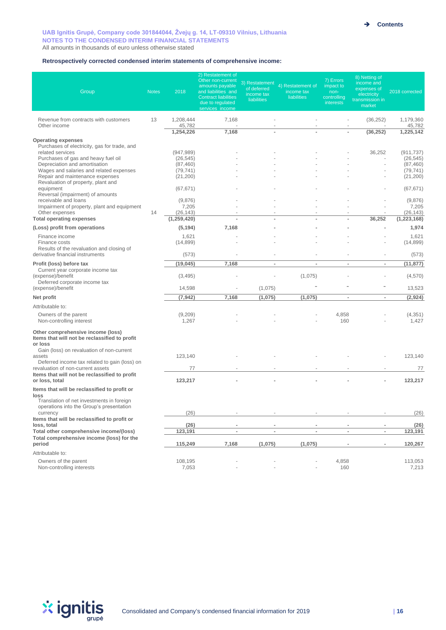#### **Retrospectively corrected condensed interim statements of comprehensive income:**

| Group                                                                                                                                                                                                                                                                                                                                                                                                                                                                  | <b>Notes</b> | 2018                                                                                                                                       | 2) Restatement of<br>Other non-current<br>amounts payable<br>and liabilities and<br><b>Contract liabilities</b><br>due to regulated<br>services income | 3) Restatement<br>of deferred<br>income tax<br><b>liabilities</b> | 4) Restatement of<br>income tax<br><b>liabilities</b> | 7) Errors<br>impact to<br>non-<br>controlling<br>interests | 8) Netting of<br>income and<br>expenses of<br>electricity<br>transmission in<br>market | 2018 corrected                                                                                                                             |
|------------------------------------------------------------------------------------------------------------------------------------------------------------------------------------------------------------------------------------------------------------------------------------------------------------------------------------------------------------------------------------------------------------------------------------------------------------------------|--------------|--------------------------------------------------------------------------------------------------------------------------------------------|--------------------------------------------------------------------------------------------------------------------------------------------------------|-------------------------------------------------------------------|-------------------------------------------------------|------------------------------------------------------------|----------------------------------------------------------------------------------------|--------------------------------------------------------------------------------------------------------------------------------------------|
| Revenue from contracts with customers<br>Other income                                                                                                                                                                                                                                                                                                                                                                                                                  | 13           | 1,208,444<br>45,782                                                                                                                        | 7,168                                                                                                                                                  |                                                                   |                                                       |                                                            | (36, 252)                                                                              | 1,179,360<br>45,782                                                                                                                        |
| <b>Operating expenses</b><br>Purchases of electricity, gas for trade, and<br>related services<br>Purchases of gas and heavy fuel oil<br>Depreciation and amortisation<br>Wages and salaries and related expenses<br>Repair and maintenance expenses<br>Revaluation of property, plant and<br>equipment<br>Reversal (impairment) of amounts<br>receivable and loans<br>Impairment of property, plant and equipment<br>Other expenses<br><b>Total operating expenses</b> | 14           | 1,254,226<br>(947, 989)<br>(26, 545)<br>(87, 460)<br>(79, 741)<br>(21, 200)<br>(67, 671)<br>(9,876)<br>7,205<br>(26, 143)<br>(1, 259, 420) | 7,168                                                                                                                                                  |                                                                   |                                                       |                                                            | (36, 252)<br>36,252<br>36,252                                                          | 1,225,142<br>(911, 737)<br>(26, 545)<br>(87, 460)<br>(79, 741)<br>(21, 200)<br>(67, 671)<br>(9,876)<br>7,205<br>(26, 143)<br>(1, 223, 168) |
| (Loss) profit from operations<br>Finance income<br>Finance costs<br>Results of the revaluation and closing of<br>derivative financial instruments                                                                                                                                                                                                                                                                                                                      |              | (5, 194)<br>1,621<br>(14, 899)<br>(573)                                                                                                    | 7,168                                                                                                                                                  |                                                                   |                                                       |                                                            | ä,<br>ä,                                                                               | 1,974<br>1,621<br>(14, 899)<br>(573)                                                                                                       |
| Profit (loss) before tax<br>Current year corporate income tax<br>(expense)/benefit<br>Deferred corporate income tax<br>(expense)/benefit                                                                                                                                                                                                                                                                                                                               |              | (19, 045)<br>(3, 495)<br>14,598                                                                                                            | 7,168                                                                                                                                                  | $\blacksquare$<br>(1,075)                                         | $\overline{\phantom{a}}$<br>(1,075)                   | $\overline{\phantom{a}}$                                   | $\overline{\phantom{a}}$                                                               | (11, 877)<br>(4,570)<br>13,523                                                                                                             |
| Net profit<br>Attributable to:<br>Owners of the parent                                                                                                                                                                                                                                                                                                                                                                                                                 |              | (7, 942)<br>(9,209)                                                                                                                        | 7,168                                                                                                                                                  | (1,075)                                                           | (1,075)                                               | $\sim$<br>4,858                                            | $\sim$                                                                                 | (2,924)<br>(4, 351)                                                                                                                        |
| Non-controlling interest<br>Other comprehensive income (loss)<br>Items that will not be reclassified to profit<br>or loss<br>Gain (loss) on revaluation of non-current<br>assets<br>Deferred income tax related to gain (loss) on<br>revaluation of non-current assets<br>Items that will not be reclassified to profit<br>or loss, total                                                                                                                              |              | 1,267<br>123,140<br>77<br>123,217                                                                                                          |                                                                                                                                                        |                                                                   |                                                       | 160                                                        |                                                                                        | 1,427<br>123,140<br>77<br>123,217                                                                                                          |
| Items that will be reclassified to profit or<br>loss<br>Translation of net investments in foreign<br>operations into the Group's presentation<br>currency<br>Items that will be reclassified to profit or                                                                                                                                                                                                                                                              |              | (26)                                                                                                                                       |                                                                                                                                                        | ÷,                                                                |                                                       |                                                            |                                                                                        | (26)                                                                                                                                       |
| loss, total<br>Total other comprehensive income/(loss)<br>Total comprehensive income (loss) for the<br>period                                                                                                                                                                                                                                                                                                                                                          |              | (26)<br>123,191<br>115,249                                                                                                                 | ٠<br>7,168                                                                                                                                             | ٠<br>$\overline{a}$<br>(1,075)                                    | $\blacksquare$<br>(1,075)                             | $\overline{\phantom{a}}$<br>$\overline{a}$<br>×,           | $\overline{\phantom{a}}$<br>٠                                                          | (26)<br>123,191<br>120,267                                                                                                                 |
| Attributable to:<br>Owners of the parent<br>Non-controlling interests                                                                                                                                                                                                                                                                                                                                                                                                  |              | 108,195<br>7,053                                                                                                                           |                                                                                                                                                        | ä,                                                                | ÷,                                                    | 4,858<br>160                                               |                                                                                        | 113,053<br>7,213                                                                                                                           |

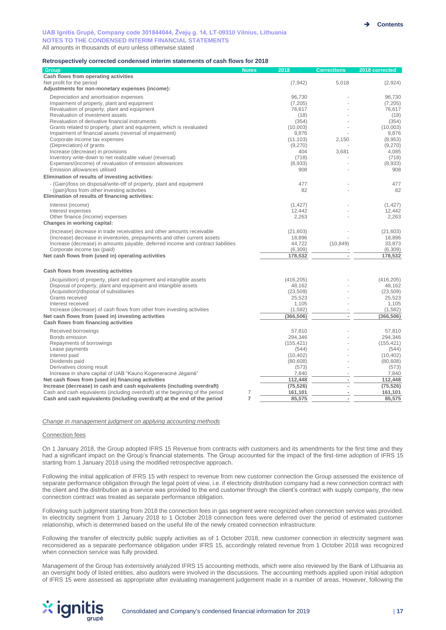#### **Retrospectively corrected condensed interim statements of cash flows for 2018**

| Group                                                                                         | <b>Notes</b>   | 2018                   | <b>Corrections</b> | 2018 corrected         |
|-----------------------------------------------------------------------------------------------|----------------|------------------------|--------------------|------------------------|
| Cash flows from operating activities                                                          |                |                        |                    |                        |
| Net profit for the period                                                                     |                | (7, 942)               | 5,018              | (2,924)                |
| Adjustments for non-monetary expenses (income):                                               |                |                        |                    |                        |
| Depreciation and amortisation expenses                                                        |                | 96,730                 |                    | 96.730                 |
| Impairment of property, plant and equipment                                                   |                | (7, 205)               |                    | (7, 205)               |
| Revaluation of property, plant and equipment                                                  |                | 76.617                 |                    | 76.617                 |
| Revaluation of investment assets                                                              |                | (18)                   |                    | (18)                   |
| Revaluation of derivative financial instruments                                               |                | (354)                  |                    | (354)                  |
| Grants related to property, plant and equipment, which is revaluated                          |                | (10,003)               |                    | (10,003)               |
| Impairment of financial assets (reversal of impairment)                                       |                | 9,876                  |                    | 9,876                  |
| Corporate income tax expenses                                                                 |                | (11, 103)              | 2,150              | (8,953)                |
| (Depreciation) of grants                                                                      |                | (9,270)<br>404         | 3,681              | (9,270)                |
| Increase (decrease) in provisions<br>Inventory write-down to net realizable value/ (reversal) |                | (718)                  |                    | 4,085<br>(718)         |
| Expenses/(income) of revaluation of emission allowances                                       |                | (8,933)                |                    | (8,933)                |
| Emission allowances utilised                                                                  |                | 908                    |                    | 908                    |
| Elimination of results of investing activities:                                               |                |                        |                    |                        |
| - (Gain)/loss on disposal/write-off of property, plant and equipment                          |                | 477                    |                    | 477                    |
| - (gain)/loss from other investing activities                                                 |                | 82                     |                    | 82                     |
| Elimination of results of financing activities:                                               |                |                        |                    |                        |
| Interest (income)                                                                             |                | (1, 427)               |                    | (1, 427)               |
| Interest expenses                                                                             |                | 12,442                 |                    | 12,442                 |
| Other finance (income) expenses                                                               |                | 2,263                  |                    | 2,263                  |
| Changes in working capital:                                                                   |                |                        |                    |                        |
| (Increase) decrease in trade receivables and other amounts receivable                         |                | (21,603)               |                    | (21, 603)              |
| (Increase) decrease in inventories, prepayments and other current assets                      |                | 18,896                 |                    | 18,896                 |
| Increase (decrease) in amounts payable, deferred income and contract liabilities              |                | 44.722                 | (10, 849)          | 33.873                 |
| Corporate income tax (paid)                                                                   |                | (6, 309)               |                    | (6,309)                |
| Net cash flows from (used in) operating activities                                            |                | 178,532                |                    | 178,532                |
|                                                                                               |                |                        |                    |                        |
| Cash flows from investing activities                                                          |                |                        |                    |                        |
| (Acquisition) of property, plant and equipment and intangible assets                          |                | (416, 205)             |                    | (416, 205)             |
| Disposal of property, plant and equipment and intangible assets                               |                | 48,162                 |                    | 48,162                 |
| (Acquisition)/disposal of subsidiaries                                                        |                | (23, 509)              |                    | (23, 509)              |
| Grants received                                                                               |                | 25,523                 |                    | 25,523                 |
| Interest received                                                                             |                | 1,105                  |                    | 1,105                  |
| Increase (decrease) of cash flows from other from investing activities                        |                | (1, 582)               |                    | (1, 582)               |
| Net cash flows from (used in) investing activities                                            |                | (366, 506)             |                    | (366, 506)             |
| Cash flows from financing activities                                                          |                |                        |                    |                        |
| Received borrowings                                                                           |                | 57,810                 |                    | 57,810                 |
| Bonds emission                                                                                |                | 294,346                |                    | 294,346                |
| Repayments of borrowings                                                                      |                | (155, 421)             |                    | (155, 421)             |
| Lease payments                                                                                |                | (544)                  |                    | (544)                  |
| Interest paid<br>Dividends paid                                                               |                | (10, 402)<br>(80, 608) |                    | (10, 402)<br>(80, 608) |
| Derivatives closing result                                                                    |                | (573)                  |                    | (573)                  |
| Increase in share capital of UAB "Kauno Kogeneracine Jegaine"                                 |                | 7,840                  |                    | 7,840                  |
| Net cash flows from (used in) financing activities                                            |                | 112,448                |                    | 112,448                |
| Increase (decrease) in cash and cash equivalents (including overdraft)                        |                | (75, 526)              |                    | (75, 526)              |
| Cash and cash equivalents (including overdraft) at the beginning of the period                | 7              | 161,101                |                    | 161,101                |
| Cash and cash equivalents (including overdraft) at the end of the period                      | $\overline{7}$ | 85,575                 |                    | 85,575                 |

#### *Change in management judgment on applying accounting methods*

#### Connection fees

On 1 January 2018, the Group adopted IFRS 15 Revenue from contracts with customers and its amendments for the first time and they had a significant impact on the Group's financial statements. The Group accounted for the impact of the first-time adoption of IFRS 15 starting from 1 January 2018 using the modified retrospective approach.

Following the initial application of IFRS 15 with respect to revenue from new customer connection the Group assessed the existence of separate performance obligation through the legal point of view, i.e. if electricity distribution company had a new connection contract with the client and the distribution as a service was provided to the end customer through the client's contract with supply company, the new connection contract was treated as separate performance obligation.

Following such judgment starting from 2018 the connection fees in gas segment were recognized when connection service was provided. In electricity segment from 1 January 2018 to 1 October 2018 connection fees were deferred over the period of estimated customer relationship, which is determined based on the useful life of the newly created connection infrastructure.

Following the transfer of electricity public supply activities as of 1 October 2018, new customer connection in electricity segment was reconsidered as a separate performance obligation under IFRS 15, accordingly related revenue from 1 October 2018 was recognized when connection service was fully provided.

Management of the Group has extensively analyzed IFRS 15 accounting methods, which were also reviewed by the Bank of Lithuania as an oversight body of listed entities, also auditors were involved in the discussions. The accounting methods applied upon initial adoption of IFRS 15 were assessed as appropriate after evaluating management judgement made in a number of areas. However, following the

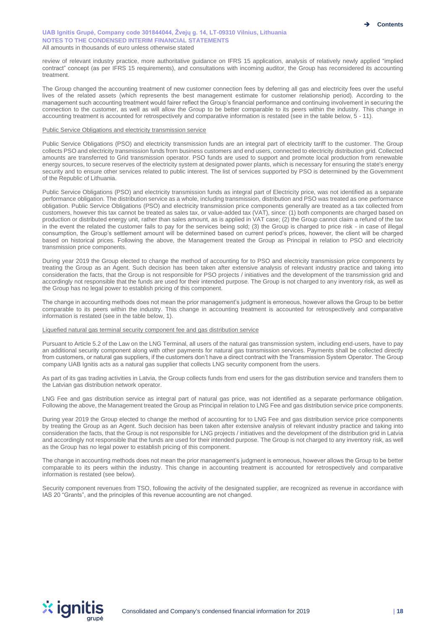review of relevant industry practice, more authoritative guidance on IFRS 15 application, analysis of relatively newly applied "implied contract" concept (as per IFRS 15 requirements), and consultations with incoming auditor, the Group has reconsidered its accounting treatment.

The Group changed the accounting treatment of new customer connection fees by deferring all gas and electricity fees over the useful lives of the related assets (which represents the best management estimate for customer relationship period). According to the management such accounting treatment would fairer reflect the Group's financial performance and continuing involvement in securing the connection to the customer, as well as will allow the Group to be better comparable to its peers within the industry. This change in accounting treatment is accounted for retrospectively and comparative information is restated (see in the table below, 5 - 11).

#### Public Service Obligations and electricity transmission service

Public Service Obligations (PSO) and electricity transmission funds are an integral part of electricity tariff to the customer. The Group collects PSO and electricity transmission funds from business customers and end users, connected to electricity distribution grid. Collected amounts are transferred to Grid transmission operator. PSO funds are used to support and promote local production from renewable energy sources, to secure reserves of the electricity system at designated power plants, which is necessary for ensuring the state's energy security and to ensure other services related to public interest. The list of services supported by PSO is determined by the Government of the Republic of Lithuania.

Public Service Obligations (PSO) and electricity transmission funds as integral part of Electricity price, was not identified as a separate performance obligation. The distribution service as a whole, including transmission, distribution and PSO was treated as one performance obligation. Public Service Obligations (PSO) and electricity transmission price components generally are treated as a tax collected from customers, however this tax cannot be treated as sales tax, or value-added tax (VAT), since: (1) both components are charged based on production or distributed energy unit, rather than sales amount, as is applied in VAT case; (2) the Group cannot claim a refund of the tax in the event the related the customer fails to pay for the services being sold; (3) the Group is charged to price risk - in case of illegal consumption, the Group's settlement amount will be determined based on current period's prices, however, the client will be charged based on historical prices. Following the above, the Management treated the Group as Principal in relation to PSO and electricity transmission price components.

During year 2019 the Group elected to change the method of accounting for to PSO and electricity transmission price components by treating the Group as an Agent. Such decision has been taken after extensive analysis of relevant industry practice and taking into consideration the facts, that the Group is not responsible for PSO projects / initiatives and the development of the transmission grid and accordingly not responsible that the funds are used for their intended purpose. The Group is not charged to any inventory risk, as well as the Group has no legal power to establish pricing of this component.

The change in accounting methods does not mean the prior management's judgment is erroneous, however allows the Group to be better comparable to its peers within the industry. This change in accounting treatment is accounted for retrospectively and comparative information is restated (see in the table below, 1).

#### Liquefied natural gas terminal security component fee and gas distribution service

Pursuant to Article 5.2 of the Law on the LNG Terminal, all users of the natural gas transmission system, including end-users, have to pay an additional security component along with other payments for natural gas transmission services. Payments shall be collected directly from customers, or natural gas suppliers, if the customers don't have a direct contract with the Transmission System Operator. The Group company UAB Ignitis acts as a natural gas supplier that collects LNG security component from the users.

As part of its gas trading activities in Latvia, the Group collects funds from end users for the gas distribution service and transfers them to the Latvian gas distribution network operator.

LNG Fee and gas distribution service as integral part of natural gas price, was not identified as a separate performance obligation. Following the above, the Management treated the Group as Principal in relation to LNG Fee and gas distribution service price components.

During year 2019 the Group elected to change the method of accounting for to LNG Fee and gas distribution service price components by treating the Group as an Agent. Such decision has been taken after extensive analysis of relevant industry practice and taking into consideration the facts, that the Group is not responsible for LNG projects / initiatives and the development of the distribution grid in Latvia and accordingly not responsible that the funds are used for their intended purpose. The Group is not charged to any inventory risk, as well as the Group has no legal power to establish pricing of this component.

The change in accounting methods does not mean the prior management's judgment is erroneous, however allows the Group to be better comparable to its peers within the industry. This change in accounting treatment is accounted for retrospectively and comparative information is restated (see below).

Security component revenues from TSO, following the activity of the designated supplier, are recognized as revenue in accordance with IAS 20 "Grants", and the principles of this revenue accounting are not changed.

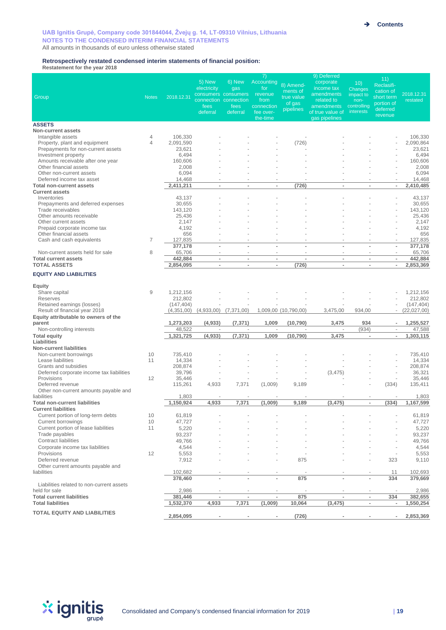#### **Retrospectively restated condensed interim statements of financial position:**

**Restatement for the year 2018** 

|                                                                   |                     |                      |                          |                                              | 7)                       |                       | 9) Deferred                       |                          | 11)                      |                           |
|-------------------------------------------------------------------|---------------------|----------------------|--------------------------|----------------------------------------------|--------------------------|-----------------------|-----------------------------------|--------------------------|--------------------------|---------------------------|
|                                                                   |                     |                      | 5) New<br>electricity    | 6) New<br>gas                                | <b>Accounting</b><br>for | 8) Amend-<br>ments of | corporate<br>income tax           | 10)<br>Changes           | Reclasifi-<br>cation of  |                           |
| Group                                                             | <b>Notes</b>        | 2018.12.31           |                          | consumers consumers<br>connection connection | revenue<br>from          | true value            | amendments<br>related to          | impact to<br>non-        | short term               | 2018.12.31<br>restated    |
|                                                                   |                     |                      | fees                     | fees                                         | connection               | of gas<br>pipelines   | amendments                        | controlling              | portion of<br>deferred   |                           |
|                                                                   |                     |                      | deferral                 | deferral                                     | fee over-<br>the-time    |                       | of true value of<br>gas pipelines | interests                | revenue                  |                           |
| <b>ASSETS</b>                                                     |                     |                      |                          |                                              |                          |                       |                                   |                          |                          |                           |
| <b>Non-current assets</b>                                         |                     |                      |                          |                                              |                          |                       |                                   |                          |                          |                           |
| Intangible assets<br>Property, plant and equipment                | 4<br>$\overline{4}$ | 106,330<br>2,091,590 |                          |                                              |                          | (726)                 |                                   |                          |                          | 106,330<br>2,090,864      |
| Prepayments for non-current assets                                |                     | 23,621               |                          |                                              |                          |                       |                                   |                          |                          | 23,621                    |
| Investment property                                               |                     | 6,494                |                          |                                              |                          |                       |                                   |                          |                          | 6,494                     |
| Amounts receivable after one year<br>Other financial assets       |                     | 160,606<br>2,008     |                          |                                              |                          |                       |                                   |                          |                          | 160,606<br>2,008          |
| Other non-current assets                                          |                     | 6,094                |                          |                                              |                          |                       |                                   |                          |                          | 6,094                     |
| Deferred income tax asset                                         |                     | 14,468               | $\sim$                   | $\overline{\phantom{a}}$                     | $\overline{\phantom{a}}$ |                       |                                   |                          | $\sim$                   | 14,468                    |
| <b>Total non-current assets</b>                                   |                     | 2,411,211            | $\overline{\phantom{a}}$ | $\overline{a}$                               |                          | (726)                 | $\blacksquare$                    |                          | $\overline{\phantom{a}}$ | 2,410,485                 |
| <b>Current assets</b><br>Inventories                              |                     | 43,137               |                          |                                              |                          |                       |                                   |                          |                          | 43,137                    |
| Prepayments and deferred expenses                                 |                     | 30,655               |                          |                                              |                          |                       |                                   |                          | $\overline{\phantom{a}}$ | 30,655                    |
| Trade receivables                                                 |                     | 143,120              |                          |                                              |                          |                       |                                   |                          |                          | 143,120                   |
| Other amounts receivable<br>Other current assets                  |                     | 25,436<br>2,147      |                          |                                              |                          |                       |                                   |                          |                          | 25,436<br>2,147           |
| Prepaid corporate income tax                                      |                     | 4,192                |                          |                                              |                          |                       |                                   |                          |                          | 4,192                     |
| Other financial assets                                            |                     | 656                  |                          |                                              |                          |                       |                                   |                          |                          | 656                       |
| Cash and cash equivalents                                         | 7                   | 127,835              | $\overline{\phantom{a}}$ | $\overline{\phantom{a}}$                     |                          |                       | L,                                |                          | ÷,<br>$\overline{a}$     | 127,835                   |
| Non-current assets held for sale                                  | 8                   | 377,178<br>65,706    | $\sim$                   | ÷.                                           | ÷.                       |                       | ×.                                |                          | $\sim$                   | 377,178<br>65,706         |
| <b>Total current assets</b>                                       |                     | 442,884              | $\overline{\phantom{a}}$ | $\overline{\phantom{a}}$                     | $\blacksquare$           | $\sim$                | $\blacksquare$                    | $\overline{\phantom{a}}$ | $\overline{\phantom{a}}$ | 442,884                   |
| <b>TOTAL ASSETS</b>                                               |                     | 2,854,095            | $\overline{\phantom{a}}$ | $\overline{\phantom{a}}$                     | $\blacksquare$           | (726)                 | $\blacksquare$                    | $\overline{a}$           | $\overline{\phantom{a}}$ | 2,853,369                 |
| <b>EQUITY AND LIABILITIES</b>                                     |                     |                      |                          |                                              |                          |                       |                                   |                          |                          |                           |
| Equity                                                            |                     |                      |                          |                                              |                          |                       |                                   |                          |                          |                           |
| Share capital                                                     | 9                   | 1,212,156            |                          |                                              |                          |                       |                                   |                          |                          | 1,212,156                 |
| Reserves                                                          |                     | 212,802              |                          |                                              |                          |                       |                                   |                          |                          | 212,802                   |
| Retained earnings (losses)<br>Result of financial year 2018       |                     | (147, 404)           |                          |                                              |                          |                       |                                   | 934,00                   |                          | (147, 404)<br>(22,027,00) |
| Equity attributable to owners of the                              |                     | (4,351,00)           | (4,933,00)               | (7, 371, 00)                                 |                          | 1,009,00 (10,790,00)  | 3,475,00                          |                          |                          |                           |
| parent                                                            |                     | 1,273,203            | (4,933)                  | (7, 371)                                     | 1,009                    | (10, 790)             | 3,475                             | 934                      | ٠                        | 1,255,527                 |
| Non-controlling interests                                         |                     | 48,522               | ×.                       | $\sim$                                       | ÷,                       | ÷,                    |                                   | (934)                    | $\overline{\phantom{a}}$ | 47,588                    |
| <b>Total equity</b><br>Liabilities                                |                     | 1,321,725            | (4, 933)                 | (7, 371)                                     | 1,009                    | (10, 790)             | 3,475                             |                          |                          | 1,303,115                 |
| <b>Non-current liabilities</b>                                    |                     |                      |                          |                                              |                          |                       |                                   |                          |                          |                           |
| Non-current borrowings                                            | 10                  | 735,410              |                          |                                              |                          |                       |                                   |                          |                          | 735,410                   |
| Lease liabilities                                                 | 11                  | 14,334               |                          |                                              |                          |                       |                                   |                          |                          | 14,334                    |
| Grants and subsidies<br>Deferred corporate income tax liabilities |                     | 208,874<br>39,796    |                          |                                              |                          |                       | (3, 475)                          |                          |                          | 208,874<br>36,321         |
| Provisions                                                        | 12                  | 35,446               |                          |                                              |                          |                       |                                   |                          | ÷,                       | 35,446                    |
| Deferred revenue                                                  |                     | 115,261              | 4,933                    | 7,371                                        | (1,009)                  | 9,189                 |                                   |                          | (334)                    | 135,411                   |
| Other non-current amounts payable and<br>liabilities              |                     | 1,803                |                          |                                              |                          |                       |                                   |                          |                          | 1,803                     |
| <b>Total non-current liabilities</b>                              |                     | 1,150,924            | 4,933                    | 7,371                                        | (1,009)                  | 9,189                 | (3, 475)                          | ٠                        | (334)                    | 1,167,599                 |
| <b>Current liabilities</b>                                        |                     |                      |                          |                                              |                          |                       |                                   |                          |                          |                           |
| Current portion of long-term debts                                | 10                  | 61,819               |                          |                                              |                          |                       |                                   |                          |                          | 61,819                    |
| Current borrowings<br>Current portion of lease liabilities        | 10<br>11            | 47,727<br>5,220      |                          |                                              |                          |                       |                                   |                          |                          | 47,727<br>5,220           |
| Trade payables                                                    |                     | 93,237               |                          |                                              |                          |                       |                                   |                          |                          | 93,237                    |
| Contract liabilities                                              |                     | 49,766               |                          |                                              |                          |                       |                                   |                          |                          | 49,766                    |
| Corporate income tax liabilities                                  |                     | 4,544                |                          |                                              |                          |                       |                                   |                          |                          | 4,544                     |
| Provisions<br>Deferred revenue                                    | 12                  | 5,553<br>7,912       |                          |                                              |                          | 875                   |                                   |                          | ÷,<br>323                | 5,553<br>9,110            |
| Other current amounts payable and                                 |                     |                      |                          |                                              |                          |                       |                                   |                          |                          |                           |
| liabilities                                                       |                     | 102,682              |                          |                                              |                          |                       |                                   |                          | 11                       | 102,693                   |
|                                                                   |                     | 378,460              |                          |                                              |                          | 875                   |                                   |                          | 334                      | 379,669                   |
| Liabilities related to non-current assets<br>held for sale        |                     | 2,986                |                          |                                              |                          |                       |                                   |                          |                          | 2,986                     |
| <b>Total current liabilities</b>                                  |                     | 381,446              | $\overline{a}$           |                                              |                          | 875                   |                                   | $\overline{\phantom{a}}$ | 334                      | 382,655                   |
| <b>Total liabilities</b>                                          |                     | 1,532,370            | 4,933                    | 7,371                                        | (1,009)                  | 10,064                | (3, 475)                          | $\overline{\phantom{a}}$ | $\overline{\phantom{a}}$ | 1,550,254                 |
| <b>TOTAL EQUITY AND LIABILITIES</b>                               |                     | 2,854,095            | $\blacksquare$           | $\blacksquare$                               |                          | (726)                 | $\overline{\phantom{a}}$          | ٠                        | $\blacksquare$           | 2,853,369                 |
|                                                                   |                     |                      |                          |                                              |                          |                       |                                   |                          |                          |                           |

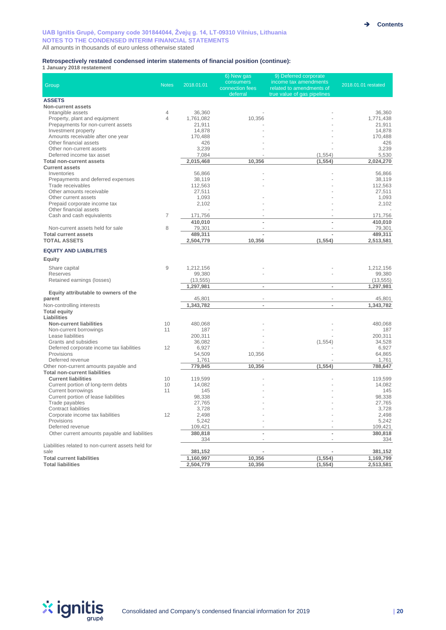#### **Retrospectively restated condensed interim statements of financial position (continue):**

**1 January 2018 restatement**

|                                                                               |                     |                      | 6) New gas                   | 9) Deferred corporate                             |                      |
|-------------------------------------------------------------------------------|---------------------|----------------------|------------------------------|---------------------------------------------------|----------------------|
| Group                                                                         | <b>Notes</b>        | 2018.01.01           | consumers<br>connection fees | income tax amendments<br>related to amendments of | 2018.01.01 restated  |
|                                                                               |                     |                      | deferral                     | true value of gas pipelines                       |                      |
| <b>ASSETS</b>                                                                 |                     |                      |                              |                                                   |                      |
| Non-current assets                                                            |                     |                      |                              |                                                   |                      |
| Intangible assets<br>Property, plant and equipment                            | 4<br>$\overline{4}$ | 36,360<br>1,761,082  | 10,356                       |                                                   | 36,360<br>1,771,438  |
| Prepayments for non-current assets                                            |                     | 21,911               |                              |                                                   | 21,911               |
| Investment property                                                           |                     | 14,878               |                              |                                                   | 14,878               |
| Amounts receivable after one year                                             |                     | 170,488              |                              |                                                   | 170,488              |
| Other financial assets                                                        |                     | 426                  |                              |                                                   | 426                  |
| Other non-current assets<br>Deferred income tax asset                         |                     | 3,239                |                              |                                                   | 3,239                |
| <b>Total non-current assets</b>                                               |                     | 7,084<br>2,015,468   | 10,356                       | (1, 554)<br>(1, 554)                              | 5,530<br>2,024,270   |
| <b>Current assets</b>                                                         |                     |                      |                              |                                                   |                      |
| Inventories                                                                   |                     | 56,866               |                              |                                                   | 56,866               |
| Prepayments and deferred expenses                                             |                     | 38,119               |                              |                                                   | 38,119               |
| Trade receivables                                                             |                     | 112,563              |                              |                                                   | 112,563              |
| Other amounts receivable                                                      |                     | 27,511               |                              |                                                   | 27,511               |
| Other current assets                                                          |                     | 1,093<br>2,102       |                              |                                                   | 1,093<br>2,102       |
| Prepaid corporate income tax<br>Other financial assets                        |                     |                      |                              |                                                   |                      |
| Cash and cash equivalents                                                     | $\overline{7}$      | 171,756              |                              |                                                   | 171,756              |
|                                                                               |                     | 410,010              |                              |                                                   | 410,010              |
| Non-current assets held for sale                                              | 8                   | 79,301               |                              |                                                   | 79,301               |
| <b>Total current assets</b>                                                   |                     | 489,311              |                              | $\overline{a}$                                    | 489,311              |
| <b>TOTAL ASSETS</b>                                                           |                     | 2,504,779            | 10,356                       | (1, 554)                                          | 2,513,581            |
| <b>EQUITY AND LIABILITIES</b>                                                 |                     |                      |                              |                                                   |                      |
| Equity                                                                        |                     |                      |                              |                                                   |                      |
|                                                                               | 9                   | 1,212,156            |                              |                                                   | 1,212,156            |
| Share capital<br><b>Reserves</b>                                              |                     | 99,380               |                              |                                                   | 99,380               |
| Retained earnings (losses)                                                    |                     | (13, 555)            |                              |                                                   | (13, 555)            |
|                                                                               |                     | 1,297,981            | $\sim$                       | $\frac{1}{2}$                                     | 1,297,981            |
| Equity attributable to owners of the                                          |                     |                      |                              |                                                   |                      |
| parent                                                                        |                     | 45,801               | $\overline{\phantom{a}}$     | $\bar{a}$                                         | 45,801               |
| Non-controlling interests                                                     |                     | 1,343,782            | $\overline{a}$               | $\overline{\phantom{0}}$                          | 1,343,782            |
| <b>Total equity</b><br>Liabilities                                            |                     |                      |                              |                                                   |                      |
| <b>Non-current liabilities</b>                                                | 10                  | 480,068              |                              |                                                   | 480,068              |
| Non-current borrowings                                                        | 11                  | 187                  |                              |                                                   | 187                  |
| Lease liabilities                                                             |                     | 200,311              |                              |                                                   | 200,311              |
| Grants and subsidies                                                          |                     | 36,082               |                              | (1, 554)                                          | 34,528               |
| Deferred corporate income tax liabilities                                     | 12                  | 6,927                |                              |                                                   | 6,927                |
| Provisions                                                                    |                     | 54,509               | 10,356                       |                                                   | 64,865               |
| Deferred revenue                                                              |                     | 1,761<br>779,845     | 10,356                       | (1, 554)                                          | 1,761<br>788,647     |
| Other non-current amounts payable and<br><b>Total non-current liabilities</b> |                     |                      |                              |                                                   |                      |
| <b>Current liabilities</b>                                                    | 10                  | 119,599              |                              |                                                   | 119,599              |
| Current portion of long-term debts                                            | 10                  | 14,082               |                              |                                                   | 14,082               |
| <b>Current borrowings</b>                                                     | 11                  | 145                  |                              |                                                   | 145                  |
| Current portion of lease liabilities                                          |                     | 98,338               |                              |                                                   | 98,338               |
| Trade payables                                                                |                     | 27,765               |                              |                                                   | 27,765               |
| Contract liabilities<br>Corporate income tax liabilities                      | 12                  | 3,728<br>2,498       |                              |                                                   | 3,728<br>2,498       |
| Provisions                                                                    |                     | 5,242                |                              |                                                   | 5,242                |
| Deferred revenue                                                              |                     | 109,421              |                              |                                                   | 109,421              |
| Other current amounts payable and liabilities                                 |                     | 380,818              |                              |                                                   | 380,818              |
|                                                                               |                     | 334                  |                              |                                                   | 334                  |
| Liabilities related to non-current assets held for                            |                     |                      |                              |                                                   |                      |
| sale<br><b>Total current liabilities</b>                                      |                     | 381,152<br>1,160,997 | 10,356                       | (1, 554)                                          | 381,152<br>1,169,799 |
| <b>Total liabilities</b>                                                      |                     | 2,504,779            | 10,356                       | (1, 554)                                          | 2,513,581            |
|                                                                               |                     |                      |                              |                                                   |                      |

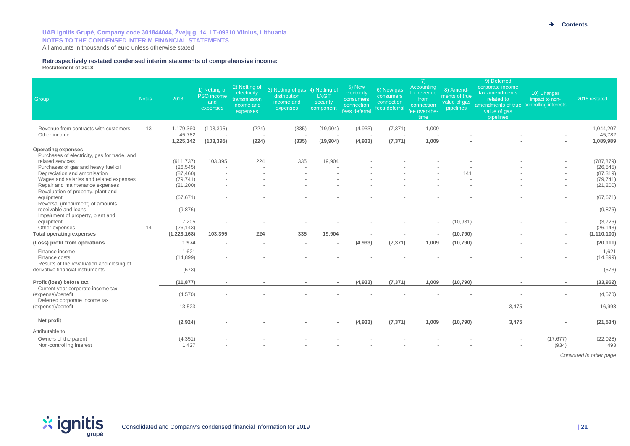#### **Retrospectively restated condensed interim statements of comprehensive income: Restatement of 2018**

| Group                                                                                                        | <b>Notes</b> | 2018                    | 1) Netting of<br>PSO income<br>and<br>expenses | 2) Netting of<br>electricity<br>transmission<br>income and<br>expenses | 3) Netting of gas 4) Netting of<br>distribution<br>income and<br>expenses | <b>LNGT</b><br>security<br>component | 5) New<br>electricity<br>consumers<br>connection<br>fees deferral | 6) New gas<br>consumers<br>connection<br>fees deferral | 7)<br>Accounting<br>for revenue<br>from<br>connection<br>fee over-the-<br>time | 8) Amend-<br>ments of true<br>value of gas<br>pipelines | 9) Deferred<br>corporate income<br>tax amendments<br>related to<br>amendments of true controlling interests<br>value of gas<br>pipelines | 10) Changes<br>impact to non- | 2018 restated           |
|--------------------------------------------------------------------------------------------------------------|--------------|-------------------------|------------------------------------------------|------------------------------------------------------------------------|---------------------------------------------------------------------------|--------------------------------------|-------------------------------------------------------------------|--------------------------------------------------------|--------------------------------------------------------------------------------|---------------------------------------------------------|------------------------------------------------------------------------------------------------------------------------------------------|-------------------------------|-------------------------|
| Revenue from contracts with customers<br>Other income                                                        | 13           | 1,179,360<br>45.782     | (103, 395)                                     | (224)                                                                  | (335)                                                                     | (19,904)                             | (4,933)                                                           | (7, 371)                                               | 1,009                                                                          |                                                         |                                                                                                                                          |                               | 1,044,207<br>45.782     |
|                                                                                                              |              | 1,225,142               | (103, 395)                                     | (224)                                                                  | (335)                                                                     | (19, 904)                            | $\sqrt{4,933}$                                                    | (7, 371)                                               | 1,009                                                                          | $\sim$                                                  |                                                                                                                                          | $\sim$                        | 1,089,989               |
| <b>Operating expenses</b><br>Purchases of electricity, gas for trade, and<br>related services                |              |                         | 103,395                                        | 224                                                                    | 335                                                                       | 19,904                               |                                                                   |                                                        |                                                                                |                                                         |                                                                                                                                          |                               |                         |
| Purchases of gas and heavy fuel oil                                                                          |              | (911, 737)<br>(26, 545) |                                                |                                                                        |                                                                           |                                      |                                                                   |                                                        |                                                                                |                                                         |                                                                                                                                          |                               | (787, 879)<br>(26, 545) |
| Depreciation and amortisation                                                                                |              | (87, 460)               |                                                |                                                                        |                                                                           |                                      |                                                                   |                                                        |                                                                                | 141                                                     |                                                                                                                                          |                               | (87, 319)               |
| Wages and salaries and related expenses                                                                      |              | (79, 741)               |                                                |                                                                        |                                                                           |                                      |                                                                   |                                                        |                                                                                |                                                         |                                                                                                                                          |                               | (79, 741)               |
| Repair and maintenance expenses<br>Revaluation of property, plant and                                        |              | (21, 200)               |                                                |                                                                        |                                                                           |                                      |                                                                   |                                                        |                                                                                |                                                         |                                                                                                                                          |                               | (21, 200)               |
| equipment<br>Reversal (impairment) of amounts                                                                |              | (67, 671)               |                                                |                                                                        |                                                                           |                                      |                                                                   |                                                        |                                                                                |                                                         |                                                                                                                                          |                               | (67, 671)               |
| receivable and loans<br>Impairment of property, plant and                                                    |              | (9,876)                 |                                                |                                                                        |                                                                           |                                      |                                                                   |                                                        |                                                                                |                                                         |                                                                                                                                          |                               | (9,876)                 |
| equipment<br>Other expenses                                                                                  | 14           | 7,205<br>(26, 143)      |                                                |                                                                        |                                                                           |                                      |                                                                   |                                                        |                                                                                | (10, 931)                                               |                                                                                                                                          |                               | (3,726)<br>(26, 143)    |
| <b>Total operating expenses</b>                                                                              |              | (1, 223, 168)           | 103,395                                        | 224                                                                    | 335                                                                       | 19,904                               |                                                                   | $\blacksquare$                                         |                                                                                | (10, 790)                                               | ٠                                                                                                                                        | $\sim$                        | (1, 110, 100)           |
| (Loss) profit from operations                                                                                |              | 1.974                   |                                                |                                                                        |                                                                           | $\overline{a}$                       | (4,933)                                                           | (7, 371)                                               | 1.009                                                                          | (10, 790)                                               |                                                                                                                                          | $\overline{\phantom{a}}$      | (20, 111)               |
| Finance income<br>Finance costs                                                                              |              | 1,621<br>(14, 899)      |                                                |                                                                        |                                                                           |                                      |                                                                   |                                                        |                                                                                |                                                         |                                                                                                                                          |                               | 1,621<br>(14, 899)      |
| Results of the revaluation and closing of<br>derivative financial instruments                                |              | (573)                   |                                                |                                                                        |                                                                           |                                      |                                                                   |                                                        |                                                                                |                                                         |                                                                                                                                          |                               | (573)                   |
| Profit (loss) before tax                                                                                     |              | (11, 877)               | $\sim$                                         | $\sim$                                                                 | $\sim$                                                                    | $\sim$                               | (4,933)                                                           | (7, 371)                                               | 1,009                                                                          | (10, 790)                                               | $\sim$                                                                                                                                   | $\sim$                        | (33,962)                |
| Current year corporate income tax<br>(expense)/benefit<br>Deferred corporate income tax<br>(expense)/benefit |              | (4,570)                 |                                                |                                                                        |                                                                           |                                      |                                                                   |                                                        |                                                                                |                                                         |                                                                                                                                          |                               | (4,570)                 |
|                                                                                                              |              | 13,523                  |                                                |                                                                        |                                                                           |                                      |                                                                   |                                                        |                                                                                |                                                         | 3,475                                                                                                                                    |                               | 16,998                  |
| Net profit                                                                                                   |              | (2,924)                 | $\sim$                                         |                                                                        |                                                                           | $\blacksquare$                       | (4,933)                                                           | (7, 371)                                               | 1,009                                                                          | (10, 790)                                               | 3,475                                                                                                                                    | $\blacksquare$                | (21, 534)               |
| Attributable to:                                                                                             |              |                         |                                                |                                                                        |                                                                           |                                      |                                                                   |                                                        |                                                                                |                                                         |                                                                                                                                          |                               |                         |
| Owners of the parent<br>Non-controlling interest                                                             |              | (4, 351)<br>1.427       |                                                |                                                                        |                                                                           |                                      |                                                                   |                                                        |                                                                                |                                                         |                                                                                                                                          | (17, 677)<br>(934)            | (22, 028)<br>493        |
|                                                                                                              |              |                         |                                                |                                                                        |                                                                           |                                      |                                                                   |                                                        |                                                                                |                                                         |                                                                                                                                          |                               |                         |

*Continued in other page*

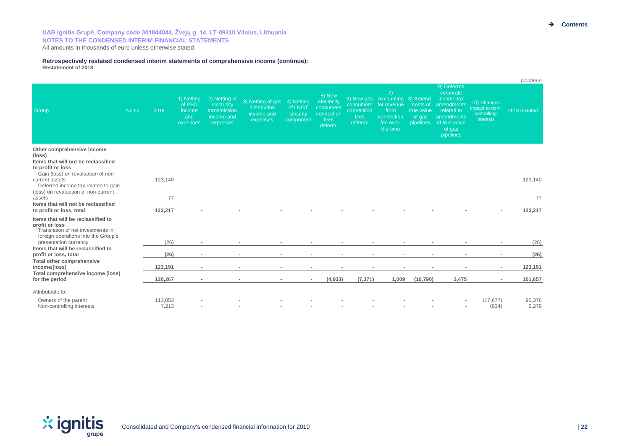#### **Retrospectively restated condensed interim statements of comprehensive income (continue): Restatement of 2018**

|                                                                                                                                                           |              |                  |                                                   |                                                                        |                                                             |                                                |                                                                      |                                                    |                                                                                                     |                                  |                                                                                                                                    |                                                                  | Continue        |
|-----------------------------------------------------------------------------------------------------------------------------------------------------------|--------------|------------------|---------------------------------------------------|------------------------------------------------------------------------|-------------------------------------------------------------|------------------------------------------------|----------------------------------------------------------------------|----------------------------------------------------|-----------------------------------------------------------------------------------------------------|----------------------------------|------------------------------------------------------------------------------------------------------------------------------------|------------------------------------------------------------------|-----------------|
| Group                                                                                                                                                     | <b>Notes</b> | 2018             | 1) Netting<br>of PSO<br>income<br>and<br>expenses | 2) Netting of<br>electricity<br>transmission<br>income and<br>expenses | 3) Netting of gas<br>distribution<br>income and<br>expenses | 4) Netting<br>of LNGT<br>security<br>component | 5) New<br>electricity<br>consumers<br>connection<br>fees<br>deferral | <b>consumers</b><br>connection<br>fees<br>deferral | 7)<br>6) New gas Accounting 8) Amend-<br>for revenue<br>from<br>connection<br>fee over-<br>the-time | ments of<br>true value<br>of gas | 9) Deferred<br>corporate<br>income tax<br>amendments<br>related to<br>amendments<br>pipelines of true value<br>of gas<br>pipelines | 10) Changes<br>impact to non-<br>controlling<br><i>interests</i> | 2018 restated   |
| Other comprehensive income<br>(loss)<br>Items that will not be reclassified<br>to profit or loss                                                          |              |                  |                                                   |                                                                        |                                                             |                                                |                                                                      |                                                    |                                                                                                     |                                  |                                                                                                                                    |                                                                  |                 |
| Gain (loss) on revaluation of non-<br>current assets<br>Deferred income tax related to gain<br>(loss) on revaluation of non-current<br>assets             |              | 123,140          |                                                   |                                                                        |                                                             |                                                |                                                                      |                                                    |                                                                                                     |                                  |                                                                                                                                    |                                                                  | 123,140         |
|                                                                                                                                                           |              | 77               |                                                   |                                                                        |                                                             |                                                |                                                                      |                                                    |                                                                                                     |                                  |                                                                                                                                    |                                                                  | 77              |
| Items that will not be reclassified<br>to profit or loss, total                                                                                           |              | 123,217          |                                                   |                                                                        |                                                             |                                                |                                                                      |                                                    |                                                                                                     |                                  |                                                                                                                                    | $\overline{\phantom{a}}$                                         | 123,217         |
| Items that will be reclassified to<br>profit or loss<br>Translation of net investments in<br>foreign operations into the Group's<br>presentation currency |              | (26)             |                                                   |                                                                        |                                                             |                                                |                                                                      |                                                    |                                                                                                     |                                  |                                                                                                                                    |                                                                  | (26)            |
| Items that will be reclassified to<br>profit or loss, total                                                                                               |              | (26)             | $\sim$                                            |                                                                        | $\sim$                                                      |                                                |                                                                      |                                                    |                                                                                                     |                                  | $\blacksquare$                                                                                                                     | ×.                                                               | (26)            |
| Total other comprehensive<br>income/(loss)<br>Total comprehensive income (loss)<br>for the period                                                         |              | 123,191          | ٠                                                 |                                                                        |                                                             |                                                |                                                                      |                                                    |                                                                                                     |                                  |                                                                                                                                    | ٠                                                                | 123,191         |
|                                                                                                                                                           |              | 120,267          | $\sim$                                            |                                                                        | $\overline{\phantom{a}}$<br>$\overline{\phantom{a}}$        | $\sim$                                         | (4,933)                                                              | (7, 371)                                           | 1.009                                                                                               | (10, 790)                        | 3,475                                                                                                                              | $\sim$                                                           | 101,657         |
| Attributable to:<br>Owners of the parent<br>Non-controlling interests                                                                                     |              | 113,053<br>7,213 |                                                   |                                                                        |                                                             |                                                |                                                                      |                                                    |                                                                                                     |                                  |                                                                                                                                    | (17, 677)<br>(934)                                               | 95,376<br>6,279 |

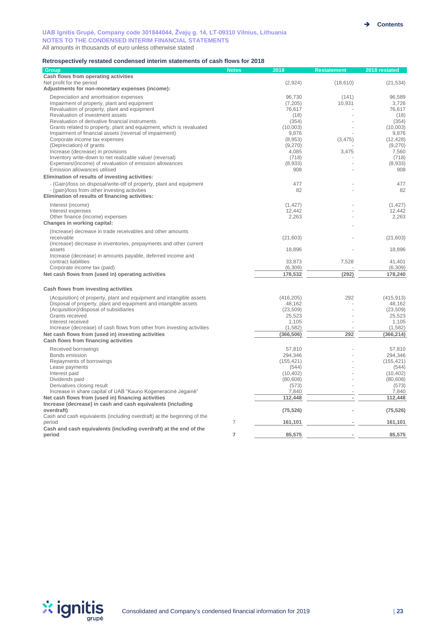#### **Retrospectively restated condensed interim statements of cash flows for 2018**

| <b>Group</b>                                                                                                        | <b>Notes</b>   | 2018             | <b>Restatement</b> | 2018 restated      |
|---------------------------------------------------------------------------------------------------------------------|----------------|------------------|--------------------|--------------------|
| Cash flows from operating activities                                                                                |                |                  |                    |                    |
| Net profit for the period                                                                                           |                | (2,924)          | (18, 610)          | (21, 534)          |
| Adjustments for non-monetary expenses (income):                                                                     |                |                  |                    |                    |
| Depreciation and amortisation expenses                                                                              |                | 96,730           | (141)              | 96,589             |
| Impairment of property, plant and equipment                                                                         |                | (7, 205)         | 10,931             | 3,726              |
| Revaluation of property, plant and equipment                                                                        |                | 76,617           |                    | 76.617             |
| Revaluation of investment assets                                                                                    |                | (18)             |                    | (18)               |
| Revaluation of derivative financial instruments                                                                     |                | (354)            |                    | (354)              |
| Grants related to property, plant and equipment, which is revaluated                                                |                | (10,003)         |                    | (10,003)           |
| Impairment of financial assets (reversal of impairment)<br>Corporate income tax expenses                            |                | 9,876<br>(8,953) | (3, 475)           | 9,876<br>(12, 428) |
| (Depreciation) of grants                                                                                            |                | (9,270)          |                    | (9,270)            |
| Increase (decrease) in provisions                                                                                   |                | 4,085            | 3,475              | 7,560              |
| Inventory write-down to net realizable value/ (reversal)                                                            |                | (718)            |                    | (718)              |
| Expenses/(income) of revaluation of emission allowances                                                             |                | (8,933)          |                    | (8,933)            |
| Emission allowances utilised                                                                                        |                | 908              |                    | 908                |
| Elimination of results of investing activities:                                                                     |                |                  |                    |                    |
| - (Gain)/loss on disposal/write-off of property, plant and equipment                                                |                | 477              |                    | 477                |
| - (gain)/loss from other investing activities                                                                       |                | 82               |                    | 82                 |
| Elimination of results of financing activities:                                                                     |                |                  |                    |                    |
| Interest (income)                                                                                                   |                | (1, 427)         |                    | (1, 427)           |
| Interest expenses                                                                                                   |                | 12,442           |                    | 12,442             |
| Other finance (income) expenses                                                                                     |                | 2,263            |                    | 2,263              |
| Changes in working capital:                                                                                         |                |                  |                    |                    |
| (Increase) decrease in trade receivables and other amounts                                                          |                |                  |                    |                    |
| receivable                                                                                                          |                | (21,603)         |                    | (21, 603)          |
| (Increase) decrease in inventories, prepayments and other current                                                   |                |                  |                    |                    |
| assets                                                                                                              |                | 18,896           |                    | 18,896             |
| Increase (decrease) in amounts payable, deferred income and                                                         |                |                  |                    |                    |
| contract liabilities                                                                                                |                | 33,873           | 7,528              | 41,401             |
| Corporate income tax (paid)                                                                                         |                | (6, 309)         |                    | (6, 309)           |
| Net cash flows from (used in) operating activities                                                                  |                | 178,532          | (292)              | 178,240            |
| Cash flows from investing activities                                                                                |                |                  |                    |                    |
| (Acquisition) of property, plant and equipment and intangible assets                                                |                | (416, 205)       | 292                | (415, 913)         |
| Disposal of property, plant and equipment and intangible assets                                                     |                | 48,162           |                    | 48,162             |
| (Acquisition)/disposal of subsidiaries                                                                              |                | (23, 509)        |                    | (23, 509)          |
| Grants received                                                                                                     |                | 25,523           |                    | 25,523             |
| Interest received                                                                                                   |                | 1,105            |                    | 1.105              |
| Increase (decrease) of cash flows from other from investing activities                                              |                | (1, 582)         |                    | (1, 582)           |
| Net cash flows from (used in) investing activities                                                                  |                | (366, 506)       | 292                | (366, 214)         |
| Cash flows from financing activities                                                                                |                |                  |                    |                    |
| Received borrowings                                                                                                 |                | 57.810           |                    | 57.810             |
| Bonds emission                                                                                                      |                | 294.346          |                    | 294.346            |
| Repayments of borrowings                                                                                            |                | (155, 421)       |                    | (155, 421)         |
| Lease payments                                                                                                      |                | (544)            |                    | (544)              |
| Interest paid                                                                                                       |                | (10, 402)        |                    | (10, 402)          |
| Dividends paid                                                                                                      |                | (80, 608)        |                    | (80, 608)          |
| Derivatives closing result                                                                                          |                | (573)            |                    | (573)              |
| Increase in share capital of UAB "Kauno Kogeneracinė Jėgainė"<br>Net cash flows from (used in) financing activities |                | 7,840<br>112,448 | ×,                 | 7,840<br>112,448   |
| Increase (decrease) in cash and cash equivalents (including                                                         |                |                  |                    |                    |
| overdraft)                                                                                                          |                | (75, 526)        |                    | (75, 526)          |
| Cash and cash equivalents (including overdraft) at the beginning of the                                             |                |                  |                    |                    |
| period                                                                                                              | $\overline{7}$ | 161,101          |                    | 161,101            |
| Cash and cash equivalents (including overdraft) at the end of the                                                   |                |                  |                    |                    |
| period                                                                                                              | $\overline{7}$ | 85,575           |                    | 85,575             |

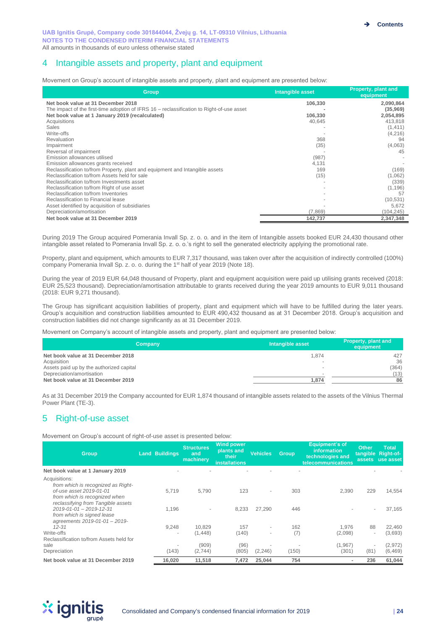# 4 Intangible assets and property, plant and equipment

Movement on Group's account of intangible assets and property, plant and equipment are presented below:

| <b>Group</b>                                                                              | Intangible asset | <b>Property, plant and</b><br>equipment |
|-------------------------------------------------------------------------------------------|------------------|-----------------------------------------|
| Net book value at 31 December 2018                                                        | 106,330          | 2,090,864                               |
| The impact of the first-time adoption of IFRS 16 – reclassification to Right-of-use asset |                  | (35,969)                                |
| Net book value at 1 January 2019 (recalculated)                                           | 106,330          | 2,054,895                               |
| Acquisitions                                                                              | 40,645           | 413,818                                 |
| <b>Sales</b>                                                                              |                  | (1, 411)                                |
| Write-offs                                                                                |                  | (4,216)                                 |
| Revaluation                                                                               | 368              | 94                                      |
| Impairment                                                                                | (35)             | (4,063)                                 |
| Reversal of impairment                                                                    |                  | 45                                      |
| Emission allowances utilised                                                              | (987)            |                                         |
| Emission allowances grants received                                                       | 4,131            |                                         |
| Reclassification to/from Property, plant and equipment and Intangible assets              | 169              | (169)                                   |
| Reclassification to/from Assets held for sale                                             | (15)             | (1,062)                                 |
| Reclassification to/from Investments asset                                                |                  | (339)                                   |
| Reclassification to/from Right of use asset                                               |                  | (1, 196)                                |
| Reclassification to/from Inventories                                                      |                  | 57                                      |
| Reclassification to Financial lease                                                       |                  | (10, 531)                               |
| Asset identified by acquisition of subsidiaries                                           |                  | 5,672                                   |
| Depreciation/amortisation                                                                 | (7,869)          | (104,245)                               |
| Net book value at 31 December 2019                                                        | 142,737          | 2,347,348                               |

During 2019 The Group acquired Pomerania Invall Sp. z. o. o. and in the item of Intangible assets booked EUR 24,430 thousand other intangible asset related to Pomerania Invall Sp. z. o. o.'s right to sell the generated electricity applying the promotional rate.

Property, plant and equipment, which amounts to EUR 7,317 thousand, was taken over after the acquisition of indirectly controlled (100%) company Pomerania Invall Sp. z. o. o. during the 1<sup>st</sup> half of year 2019 (Note 18).

During the year of 2019 EUR 64,048 thousand of Property, plant and equipment acquisition were paid up utilising grants received (2018: EUR 25,523 thousand). Depreciation/amortisation attributable to grants received during the year 2019 amounts to EUR 9,011 thousand (2018: EUR 9,271 thousand).

The Group has significant acquisition liabilities of property, plant and equipment which will have to be fulfilled during the later years. Group's acquisition and construction liabilities amounted to EUR 490,432 thousand as at 31 December 2018. Group's acquisition and construction liabilities did not change significantly as at 31 December 2019.

Movement on Company's account of intangible assets and property, plant and equipment are presented below:

| Company                                                 | Intangible asset | Property, plant and<br>equipment |
|---------------------------------------------------------|------------------|----------------------------------|
| Net book value at 31 December 2018                      | 1.874            | 427                              |
| Acquisition<br>Assets paid up by the authorized capital | -                | 36<br>(364)                      |
| Depreciation/amortisation                               |                  | (13)                             |
| Net book value at 31 December 2019                      | 1.874            | 86                               |

As at 31 December 2019 the Company accounted for EUR 1,874 thousand of intangible assets related to the assets of the Vilnius Thermal Power Plant (TE-3).

# 5 Right-of-use asset

Movement on Group's account of right-of-use asset is presented below:

| <b>Group</b>                                                                                             | <b>Land Buildings</b>    | <b>Structures</b><br>and<br>machinery | <b>Wind power</b><br>plants and<br>their<br><b>installations</b> | <b>Vehicles</b>          | <b>Group</b> | Equipment's of<br><i>information</i><br>technologies and<br>telecommunications | <b>Other</b>             | Total<br>tangible Right-of-<br>assets use asset |
|----------------------------------------------------------------------------------------------------------|--------------------------|---------------------------------------|------------------------------------------------------------------|--------------------------|--------------|--------------------------------------------------------------------------------|--------------------------|-------------------------------------------------|
| Net book value at 1 January 2019                                                                         |                          |                                       |                                                                  |                          |              |                                                                                |                          |                                                 |
| Acquisitions:<br>from which is recognized as Right-<br>of-use asset 2019-01-01                           | 5,719                    | 5.790                                 | 123                                                              | $\sim$                   | 303          | 2,390                                                                          | 229                      | 14,554                                          |
| from which is recognized when<br>reclassifying from Tangible assets<br>$2019 - 01 - 01 - 2019 - 12 - 31$ | 1.196                    |                                       | 8,233                                                            | 27.290                   | 446          |                                                                                | ۰                        | 37.165                                          |
| from which is signed lease<br>agreements 2019-01-01 - 2019-                                              |                          |                                       |                                                                  |                          |              |                                                                                |                          |                                                 |
| $12 - 31$                                                                                                | 9,248                    | 10.829                                | 157                                                              | $\overline{\phantom{a}}$ | 162          | 1.976                                                                          | 88                       | 22.460                                          |
| Write-offs<br>Reclassification to/from Assets held for                                                   | $\overline{\phantom{a}}$ | (1, 448)                              | (140)                                                            | $\overline{\phantom{a}}$ | (7)          | (2,098)                                                                        | $\sim$                   | (3,693)                                         |
| sale                                                                                                     |                          | (909)                                 | (96)                                                             |                          |              | (1, 967)                                                                       | $\overline{\phantom{a}}$ | (2,972)                                         |
| Depreciation                                                                                             | (143)                    | (2,744)                               | (805)                                                            | (2, 246)                 | (150)        | (301)                                                                          | (81)                     | (6, 469)                                        |
| Net book value at 31 December 2019                                                                       | 16,020                   | 11,518                                | 7,472                                                            | 25,044                   | 754          |                                                                                | 236                      | 61,044                                          |

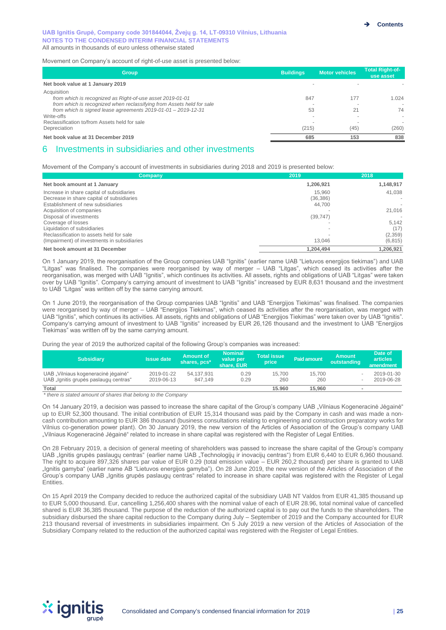Movement on Company's account of right-of-use asset is presented below:

| <b>Group</b>                                                          | <b>Buildings</b> | <b>Motor vehicles</b> | <b>Total Right-of-</b><br>use asset |
|-----------------------------------------------------------------------|------------------|-----------------------|-------------------------------------|
| Net book value at 1 January 2019                                      |                  |                       |                                     |
| Acquisition                                                           |                  |                       |                                     |
| from which is recognized as Right-of-use asset 2019-01-01             | 847              | 177                   | 1.024                               |
| from which is recognized when reclassifying from Assets held for sale |                  |                       |                                     |
| from which is signed lease agreements $2019-01-01-2019-12-31$         | 53               | 21                    | 74                                  |
| Write-offs                                                            |                  |                       |                                     |
| Reclassification to/from Assets held for sale                         |                  |                       |                                     |
| Depreciation                                                          | (215)            | (45)                  | (260)                               |
| Net book value at 31 December 2019                                    | 685              | 153                   | 838                                 |

# 6 Investments in subsidiaries and other investments

Movement of the Company's account of investments in subsidiaries during 2018 and 2019 is presented below:

| Company                                                                        | 2019                | 2018      |
|--------------------------------------------------------------------------------|---------------------|-----------|
| Net book amount at 1 January                                                   | 1,206,921           | 1,148,917 |
| Increase in share capital of subsidiaries                                      | 15.960              | 41,038    |
| Decrease in share capital of subsidiaries<br>Establishment of new subsidiaries | (36, 386)<br>44,700 |           |
| Acquisition of companies                                                       |                     | 21,016    |
| Disposal of investments                                                        | (39, 747)           |           |
| Coverage of losses                                                             |                     | 5.142     |
| Liquidation of subsidiaries                                                    |                     | (17)      |
| Reclassification to assets held for sale                                       |                     | (2,359)   |
| (Impairment) of investments in subsidiaries                                    | 13.046              | (6, 815)  |
| Net book amount at 31 December                                                 | 1,204,494           | 1.206.921 |

On 1 January 2019, the reorganisation of the Group companies UAB "Ignitis" (earlier name UAB "Lietuvos energijos tiekimas") and UAB "Litgas" was finalised. The companies were reorganised by way of merger – UAB "Litgas", which ceased its activities after the reorganisation, was merged with UAB "Ignitis", which continues its activities. All assets, rights and obligations of UAB "Litgas" were taken over by UAB "Ignitis". Company's carrying amount of investment to UAB "Ignitis" increased by EUR 8,631 thousand and the investment to UAB "Litgas" was written off by the same carrying amount.

On 1 June 2019, the reorganisation of the Group companies UAB "Ignitis" and UAB "Energijos Tiekimas" was finalised. The companies were reorganised by way of merger – UAB "Energijos Tiekimas", which ceased its activities after the reorganisation, was merged with UAB "Ignitis", which continues its activities. All assets, rights and obligations of UAB "Energijos Tiekimas" were taken over by UAB "Ignitis". Company's carrying amount of investment to UAB "Ignitis" increased by EUR 26,126 thousand and the investment to UAB "Energijos Tiekimas" was written off by the same carrying amount.

During the year of 2019 the authorized capital of the following Group's companies was increased:

| <b>Subsidiary</b>                                                            | <b>Issue date</b>        | <b>Amount of</b><br>shares, pcs* | <b>Nominal</b><br>value per<br>share, EUR | <b>Total issue</b><br>price | <b>Paid amount</b> | <b>Amount</b><br>outstanding  | Date of<br><b>articles</b><br>amendment |
|------------------------------------------------------------------------------|--------------------------|----------------------------------|-------------------------------------------|-----------------------------|--------------------|-------------------------------|-----------------------------------------|
| UAB "Vilniaus kogeneracinė jėgainė"<br>UAB "Ignitis grupės paslaugų centras" | 2019-01-22<br>2019-06-13 | 54.137.931<br>847.149            | 0.29<br>0.29                              | 15.700<br>260               | 15.700<br>260      | $\overline{\phantom{a}}$<br>۰ | 2019-01-30<br>2019-06-28                |
| Total                                                                        |                          |                                  |                                           | 15.960                      | 15,960             | $\blacksquare$                |                                         |

*\* there is stated amount of shares that belong to the Company*

On 14 January 2019, a decision was passed to increase the share capital of the Group's company UAB "Vilniaus Kogeneracinė Jėgainė" up to EUR 52,300 thousand. The initial contribution of EUR 15,314 thousand was paid by the Company in cash and was made a noncash contribution amounting to EUR 386 thousand (business consultations relating to engineering and construction preparatory works for Vilnius co-generation power plant). On 30 January 2019, the new version of the Articles of Association of the Group's company UAB "Vilniaus Kogeneracinė Jėgainė" related to increase in share capital was registered with the Register of Legal Entities.

On 28 February 2019, a decision of general meeting of shareholders was passed to increase the share capital of the Group's company UAB "Ignitis grupės paslaugų centras" (earlier name UAB "Technologijų ir inovacijų centras") from EUR 6,440 to EUR 6,960 thousand. The right to acquire 897,326 shares par value of EUR 0.29 (total emission value – EUR 260,2 thousand) per share is granted to UAB "Ignitis gamyba" (earlier name AB "Lietuvos energijos gamyba"). On 28 June 2019, the new version of the Articles of Association of the Group's company UAB "Ignitis grupės paslaugų centras" related to increase in share capital was registered with the Register of Legal Entities.

On 15 April 2019 the Company decided to reduce the authorized capital of the subsidiary UAB NT Valdos from EUR 41,385 thousand up to EUR 5,000 thousand. Eur, cancelling 1,256,400 shares with the nominal value of each of EUR 28.96, total nominal value of cancelled shared is EUR 36,385 thousand. The purpose of the reduction of the authorized capital is to pay out the funds to the shareholders. The subsidiary disbursed the share capital reduction to the Company during July – September of 2019 and the Company accounted for EUR 213 thousand reversal of investments in subsidiaries impairment. On 5 July 2019 a new version of the Articles of Association of the Subsidiary Company related to the reduction of the authorized capital was registered with the Register of Legal Entities.

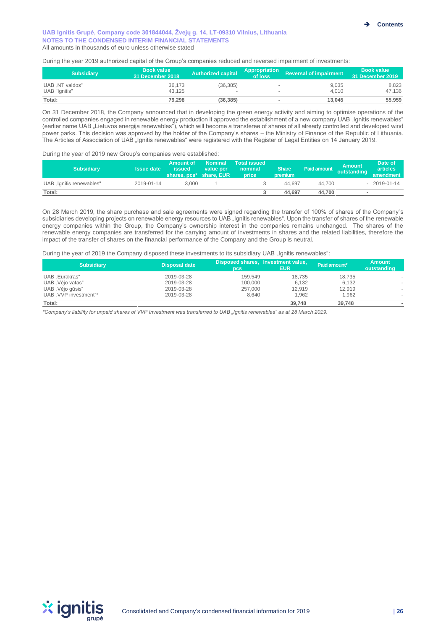During the year 2019 authorized capital of the Group's companies reduced and reversed impairment of investments:

| <b>Subsidiary</b>               | <b>Book value</b><br>' 18 December 2018 ا | Authorized capital | Appropriation<br>of loss | Reversal of impairment | <b>Book value</b><br>31 December 2019 / |
|---------------------------------|-------------------------------------------|--------------------|--------------------------|------------------------|-----------------------------------------|
| UAB NT valdos"<br>UAB "Ignitis" | 36.173<br>43.125                          | (36.385)<br>$\sim$ |                          | 9,035<br>4.010         | 8.823<br>47,136                         |
| Total:                          | 79.298                                    | (36, 385)          |                          | 13.045                 | 55,959                                  |

On 31 December 2018, the Company announced that in developing the green energy activity and aiming to optimise operations of the controlled companies engaged in renewable energy production it approved the establishment of a new company UAB "Ignitis renewables" (earlier name UAB "Lietuvos energija renewables"), which will become a transferee of shares of all already controlled and developed wind power parks. This decision was approved by the holder of the Company's shares – the Ministry of Finance of the Republic of Lithuania. The Articles of Association of UAB "Ignitis renewables" were registered with the Register of Legal Entities on 14 January 2019.

During the year of 2019 new Group's companies were established:

| <b>Subsidiary</b>        | <b>Issue date</b> | Amount of<br>issued<br>shares, pcs* share, EUR | <b>Nominal</b><br>value per | <b>Total issued</b><br>nominal<br>price | <b>Share</b><br>premium | <b>Paid amount</b> | <b>Amount</b><br>outstanding | Date of<br><b>articles</b><br>amendment |
|--------------------------|-------------------|------------------------------------------------|-----------------------------|-----------------------------------------|-------------------------|--------------------|------------------------------|-----------------------------------------|
| UAB "Ignitis renewables" | 2019-01-14        | 3.000                                          |                             |                                         | 44.697                  | 44.700             |                              | $-2019-01-14$                           |
| Total:                   |                   |                                                |                             |                                         | 44.697                  | 44.700             | $\sim$                       |                                         |

On 28 March 2019, the share purchase and sale agreements were signed regarding the transfer of 100% of shares of the Company's subsidiaries developing projects on renewable energy resources to UAB "Ignitis renewables". Upon the transfer of shares of the renewable energy companies within the Group, the Company's ownership interest in the companies remains unchanged. The shares of the renewable energy companies are transferred for the carrying amount of investments in shares and the related liabilities, therefore the impact of the transfer of shares on the financial performance of the Company and the Group is neutral.

During the year of 2019 the Company disposed these investments to its subsidiary UAB "Ignitis renewables":

| <b>Subsidiary</b>     | <b>Disposal date</b> | <b>DCS</b> | Disposed shares, Investment value,<br><b>EUR</b> | Paid amount* | <b>Amount</b><br>outstanding |
|-----------------------|----------------------|------------|--------------------------------------------------|--------------|------------------------------|
| UAB "Eurakras"        | 2019-03-28           | 159.549    | 18.735                                           | 18,735       |                              |
| UAB "Vėjo vatas"      | 2019-03-28           | 100,000    | 6,132                                            | 6,132        |                              |
| UAB "Vėjo gūsis"      | 2019-03-28           | 257,000    | 12.919                                           | 12.919       |                              |
| UAB "VVP investment"* | 2019-03-28           | 8.640      | 1.962                                            | 1.962        |                              |
| Total:                |                      |            | 39,748                                           | 39.748       |                              |

*\*Company's liability for unpaid shares of VVP Investment was transferred to UAB "Ignitis renewables" as at 28 March 2019.*

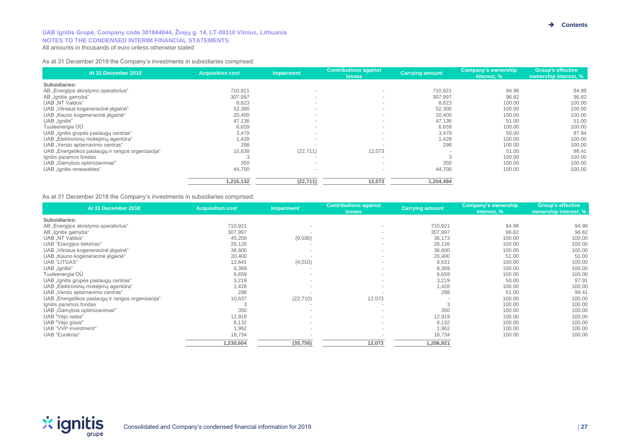As at 31 December 2019 the Company's investments in subsidiaries comprised:

| At 31 December 2019                               | <b>Acquisition cost</b> | <b>Impairment</b> | <b>Contributions against</b><br><b>losses</b> | <b>Carrying amount</b> | Company's ownership<br>interest. % | <b>Group's effective</b><br>ownership interest, % |
|---------------------------------------------------|-------------------------|-------------------|-----------------------------------------------|------------------------|------------------------------------|---------------------------------------------------|
| Subsidiaries:                                     |                         |                   |                                               |                        |                                    |                                                   |
| AB "Energijos skirstymo operatorius"              | 710,921                 | $\sim$            | $\sim$                                        | 710,921                | 94.98                              | 94.98                                             |
| AB "Ignitis gamyba"                               | 307,997                 | $\sim$            | $\sim$                                        | 307,997                | 96.82                              | 96.82                                             |
| UAB "NT Valdos"                                   | 8,823                   | $\sim$            | $\sim$                                        | 8,823                  | 100.00                             | 100.00                                            |
| UAB "Vilniaus kogeneracinė jėgainė"               | 52,300                  | $\sim$            | $\overline{\phantom{a}}$                      | 52,300                 | 100.00                             | 100.00                                            |
| UAB "Kauno kogeneracinė jėgainė"                  | 20,400                  | $\sim$            | $\sim$                                        | 20,400                 | 100.00                             | 100.00                                            |
| UAB "Ignitis"                                     | 47,136                  | $\sim$            | $\sim$                                        | 47,136                 | 51.00                              | 51.00                                             |
| Tuuleenergia OÜ                                   | 6,659                   | $\sim$            |                                               | 6,659                  | 100.00                             | 100.00                                            |
| UAB "Ignitis grupės paslaugų centras"             | 3,479                   |                   |                                               | 3,479                  | 50.00                              | 97.94                                             |
| UAB "Elektroninių mokėjimų agentūra"              | 1,428                   | $\sim$            | $\sim$                                        | .428                   | 100.00                             | 100.00                                            |
| UAB "Verslo aptarnavimo centras"                  | 298                     |                   |                                               | 298                    | 100.00                             | 100.00                                            |
| UAB "Energetikos paslaugų ir rangos organizacija" | 10,638                  | (22, 711)         | 12,073                                        |                        | 51.00                              | 98.41                                             |
| Ignitis paramos fondas                            |                         |                   |                                               |                        | 100.00                             | 100.00                                            |
| UAB "Gamybos optimizavimas"                       | 350                     | $\sim$            | $\overline{\phantom{a}}$                      | 350                    | 100.00                             | 100.00                                            |
| UAB "Ignitis renewables"                          | 44,700                  | $\sim$            | $\sim$                                        | 44,700                 | 100.00                             | 100.00                                            |
|                                                   | 1,215,132               | (22, 711)         | 12,073                                        | 1,204,494              |                                    |                                                   |

As at 31 December 2018 the Company's investments in subsidiaries comprised:

| At 31 December 2018                               | <b>Acquisition cost</b> | <b>Impairment</b>        | <b>Contributions against</b><br><b>losses</b> | <b>Carrying amount</b> | Company's ownership<br>interest, % | <b>Group's effective</b><br>ownership interest, % |
|---------------------------------------------------|-------------------------|--------------------------|-----------------------------------------------|------------------------|------------------------------------|---------------------------------------------------|
| Subsidiaries:                                     |                         |                          |                                               |                        |                                    |                                                   |
| AB "Energijos skirstymo operatorius"              | 710,921                 |                          | $\overline{\phantom{a}}$                      | 710,921                | 94.98                              | 94.98                                             |
| AB "Ignitis gamyba"                               | 307,997                 |                          |                                               | 307,997                | 96.82                              | 96.82                                             |
| UAB "NT Valdos"                                   | 45,209                  | (9,036)                  | $\sim$                                        | 36,173                 | 100.00                             | 100.00                                            |
| UAB "Energijos tiekimas"                          | 26,126                  |                          |                                               | 26,126                 | 100.00                             | 100.00                                            |
| UAB "Vilniaus kogeneracinė jėgainė"               | 36,600                  | $\overline{\phantom{a}}$ |                                               | 36,600                 | 100.00                             | 100.00                                            |
| UAB "Kauno kogeneracinė jėgainė"                  | 20,400                  |                          | $\overline{\phantom{a}}$                      | 20,400                 | 51.00                              | 51.00                                             |
| <b>UAB "LITGAS"</b>                               | 12,641                  | (4,010)                  | $\sim$                                        | 8,631                  | 100.00                             | 100.00                                            |
| UAB "Ignitis"                                     | 8,369                   |                          | $\overline{\phantom{a}}$                      | 8,369                  | 100.00                             | 100.00                                            |
| Tuuleenergia OÜ                                   | 6,659                   | $\overline{\phantom{a}}$ | $\overline{\phantom{a}}$                      | 6,659                  | 100.00                             | 100.00                                            |
| UAB "Ignitis grupės paslaugų centras"             | 3,219                   |                          | $\sim$                                        | 3,219                  | 50.00                              | 97.91                                             |
| UAB "Elektroninių mokėjimų agentūra"              | 1,428                   | $\overline{\phantom{a}}$ | $\overline{\phantom{a}}$                      | 1,428                  | 100.00                             | 100.00                                            |
| UAB "Verslo aptarnavimo centras"                  | 298                     |                          |                                               | 298                    | 51.00                              | 98.41                                             |
| UAB "Energetikos paslaugų ir rangos organizacija" | 10,637                  | (22, 710)                | 12,073                                        |                        | 100.00                             | 100.00                                            |
| Ignitis paramos fondas                            |                         |                          | $\sim$                                        |                        | 100.00                             | 100.00                                            |
| UAB "Gamybos optimizavimas"                       | 350                     | $\overline{\phantom{a}}$ | $\sim$                                        | 350                    | 100.00                             | 100.00                                            |
| UAB "Vėjo vatas"                                  | 12,919                  | $\overline{\phantom{a}}$ | $\overline{\phantom{a}}$                      | 12,919                 | 100.00                             | 100.00                                            |
| UAB "Vėjo gūsis"                                  | 6,132                   | $\sim$                   |                                               | 6,132                  | 100.00                             | 100.00                                            |
| UAB "VVP investment"                              | 1,962                   | $\sim$                   |                                               | 1,962                  | 100.00                             | 100.00                                            |
| UAB "Eurakras"                                    | 18,734                  |                          |                                               | 18,734                 | 100.00                             | 100.00                                            |
|                                                   | 1,230,604               | (35, 756)                | 12,073                                        | 1,206,921              |                                    |                                                   |

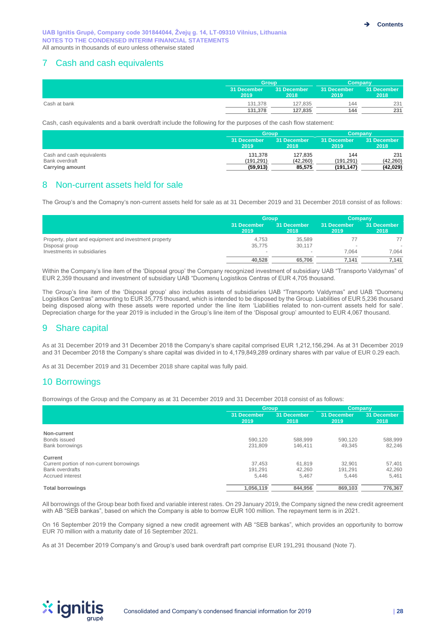# 7 Cash and cash equivalents

|              |                     | <b>Group</b>        |                     | Company             |
|--------------|---------------------|---------------------|---------------------|---------------------|
|              | 31 December<br>2019 | 31 December<br>2018 | 31 December<br>2019 | 31 December<br>2018 |
| Cash at bank | 131.378             | 127,835             | 144                 | 231                 |
|              | 131.378             | 127.835             | 144                 | 231                 |

Cash, cash equivalents and a bank overdraft include the following for the purposes of the cash flow statement:

|                           | Group               |                     | Company             |                     |
|---------------------------|---------------------|---------------------|---------------------|---------------------|
|                           | 31 December<br>2019 | 31 December<br>2018 | 31 December<br>2019 | 31 December<br>2018 |
| Cash and cash equivalents | 131.378             | 127.835             | 144                 | 231                 |
| Bank overdraft            | (191.291)           | (42.260)            | (191.291)           | (42, 260)           |
| <b>Carrying amount</b>    | (59, 913)           | 85,575              | (191, 147)          | (42,029)            |

# 8 Non-current assets held for sale

The Group's and the Comapny's non-current assets held for sale as at 31 December 2019 and 31 December 2018 consist of as follows:

|                                                       | <b>Group</b>        |                     | Company             |                     |
|-------------------------------------------------------|---------------------|---------------------|---------------------|---------------------|
|                                                       | 31 December<br>2019 | 31 December<br>2018 | 31 December<br>2019 | 31 December<br>2018 |
| Property, plant and equipment and investment property | 4.753               | 35.589              |                     | 77                  |
| Disposal group                                        | 35,775              | 30,117              |                     |                     |
| Investments in subsidiaries                           | $\sim$              |                     | 7.064               | 7.064               |
|                                                       | 40.528              | 65.706              | 7,141               | 7.141               |

Within the Company's line item of the 'Disposal group' the Company recognized investment of subsidiary UAB "Transporto Valdymas" of EUR 2,359 thousand and investment of subsidiary UAB "Duomenų Logistikos Centras of EUR 4,705 thousand.

The Group's line item of the 'Disposal group' also includes assets of subsidiaries UAB "Transporto Valdymas" and UAB "Duomenų Logistikos Centras" amounting to EUR 35,775 thousand, which is intended to be disposed by the Group. Liabilities of EUR 5,236 thousand being disposed along with these assets were reported under the line item 'Liabilities related to non-current assets held for sale'. Depreciation charge for the year 2019 is included in the Group's line item of the 'Disposal group' amounted to EUR 4,067 thousand.

# 9 Share capital

As at 31 December 2019 and 31 December 2018 the Company's share capital comprised EUR 1,212,156,294. As at 31 December 2019 and 31 December 2018 the Company's share capital was divided in to 4,179,849,289 ordinary shares with par value of EUR 0.29 each.

As at 31 December 2019 and 31 December 2018 share capital was fully paid.

# 10 Borrowings

Borrowings of the Group and the Company as at 31 December 2019 and 31 December 2018 consist of as follows:

|                                           | <b>Group</b>        |                     |                     | Company             |
|-------------------------------------------|---------------------|---------------------|---------------------|---------------------|
|                                           | 31 December<br>2019 | 31 December<br>2018 | 31 December<br>2019 | 31 December<br>2018 |
| Non-current                               |                     |                     |                     |                     |
| Bonds issued                              | 590.120             | 588.999             | 590,120             | 588,999             |
| Bank borrowings                           | 231,809             | 146.411             | 49.345              | 82,246              |
| Current                                   |                     |                     |                     |                     |
| Current portion of non-current borrowings | 37.453              | 61.819              | 32.901              | 57,401              |
| <b>Bank overdrafts</b>                    | 191.291             | 42.260              | 191,291             | 42,260              |
| Accrued interest                          | 5.446               | 5.467               | 5.446               | 5.461               |
| <b>Total borrowings</b>                   | 1,056,119           | 844,956             | 869,103             | 776,367             |

All borrowings of the Group bear both fixed and variable interest rates. On 29 January 2019, the Company signed the new credit agreement with AB "SEB bankas", based on which the Company is able to borrow EUR 100 million. The repayment term is in 2021.

On 16 September 2019 the Company signed a new credit agreement with AB "SEB bankas", which provides an opportunity to borrow EUR 70 million with a maturity date of 16 September 2021.

As at 31 December 2019 Company's and Group's used bank overdraft part comprise EUR 191,291 thousand (Note 7).

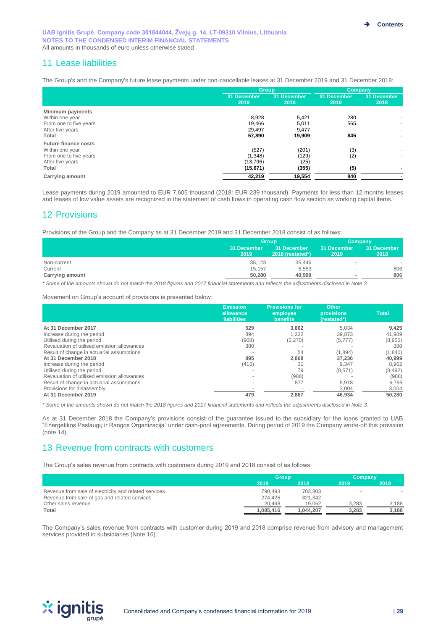# 11 Lease liabilities

The Group's and the Company's future lease payments under non-cancellable leases at 31 December 2019 and 31 December 2018:

| 'Group              |                     |                     | Company             |  |
|---------------------|---------------------|---------------------|---------------------|--|
| 31 December<br>2019 | 31 December<br>2018 | 31 December<br>2019 | 31 December<br>2018 |  |
|                     |                     |                     |                     |  |
| 8,928               | 5,421               | 280                 |                     |  |
| 19.466              | 5.011               | 565                 | $\sim$              |  |
| 29,497              | 9,477               |                     | ٠                   |  |
| 57,890              | 19,909              | 845                 | $\mathbf{r}$        |  |
|                     |                     |                     |                     |  |
| (527)               | (201)               |                     |                     |  |
| (1, 348)            | (129)               |                     | $\sim$              |  |
| (13,796)            | (25)                |                     | ٠                   |  |
| (15,671)            | (355)               | (5)                 |                     |  |
| 42,219              | 19,554              | 840                 |                     |  |
|                     |                     |                     | (3)<br>(2)          |  |

Lease payments during 2019 amounted to EUR 7,605 thousand (2018: EUR 239 thousand). Payments for less than 12 months leases and leases of low value assets are recognized in the statement of cash flows in operating cash flow section as working capital items.

# 12 Provisions

Provisions of the Group and the Company as at 31 December 2019 and 31 December 2018 consist of as follows:

|                        |                     | Group                           | Company             |                     |
|------------------------|---------------------|---------------------------------|---------------------|---------------------|
|                        | 31 December<br>2019 | 31 December<br>2018 (restated*) | 31 December<br>2019 | 31 December<br>2018 |
| Non-current            | 35.123              | 35.446                          |                     |                     |
| Current                | 15.157              | 5.553                           |                     | 806                 |
| <b>Carrying amount</b> | 50,280              | 40.999                          |                     | 806                 |

*\* Some of the amounts shown do not match the 2018 figures and 2017 financial statements and reflects the adjustments disclosed in Note 3.*

Movement on Group's account of provisions is presented below:

|                                             | <b>Emission</b><br>allowance<br><b>liabilities</b> | <b>Provisions for</b><br>employee<br><b>benefits</b> | <b>Other</b><br><b>provisions</b><br>(restated*) | <b>Total</b> |
|---------------------------------------------|----------------------------------------------------|------------------------------------------------------|--------------------------------------------------|--------------|
| At 31 December 2017                         | 529                                                | 3.862                                                | 5.034                                            | 9,425        |
| Increase during the period                  | 894                                                | 1,222                                                | 39.873                                           | 41,989       |
| Utilised during the period                  | (908)                                              | (2,270)                                              | (5,777)                                          | (8,955)      |
| Revaluation of utilised emission allowances | 380                                                |                                                      |                                                  | 380          |
| Result of change in actuarial assumptions   |                                                    | 54                                                   | (1,894)                                          | (1, 840)     |
| At 31 December 2018                         | 895                                                | 2,868                                                | 37.236                                           | 40,999       |
| Increase during the period                  | (416)                                              | 31                                                   | 9.347                                            | 8,962        |
| Utilised during the period                  |                                                    | 79                                                   | (8,571)                                          | (8, 492)     |
| Revaluation of utilised emission allowances |                                                    | (988)                                                |                                                  | (988)        |
| Result of change in actuarial assumptions   |                                                    | 877                                                  | 5,918                                            | 6,795        |
| Provisions for disassembly                  |                                                    |                                                      | 3,004                                            | 3,004        |
| At 31 December 2019                         | 479                                                | 2,867                                                | 46,934                                           | 50,280       |

*\* Some of the amounts shown do not match the 2018 figures and 2017 financial statements and reflects the adjustments disclosed in Note 3.*

As at 31 December 2018 the Company's provisions consist of the guarantee issued to the subsidiary for the loans granted to UAB "Energetikos Paslaugų ir Rangos Organizacija" under cash-pool agreements. During period of 2019 the Company wrote-off this provision (note 14).

# 13 Revenue from contracts with customers

The Group's sales revenue from contracts with customers during 2019 and 2018 consist of as follows:

|                                                       | <b>Group</b> |           | Company |       |  |
|-------------------------------------------------------|--------------|-----------|---------|-------|--|
|                                                       | 2019         | 2018      | 2019    | 2018  |  |
| Revenue from sale of electricity and related services | 790.493      | 703.803   |         |       |  |
| Revenue from sale of gas and related services         | 274.425      | 321,342   | $\,$    |       |  |
| Other sales revenue                                   | 20.498       | 19.062    | 3.283   | 3.188 |  |
| Total                                                 | 1.085.416    | 1.044.207 | 3.283   | 3.188 |  |

The Company's sales revenue from contracts with customer during 2019 and 2018 comprise revenue from advisory and management services provided to subsidiaries (Note 16).

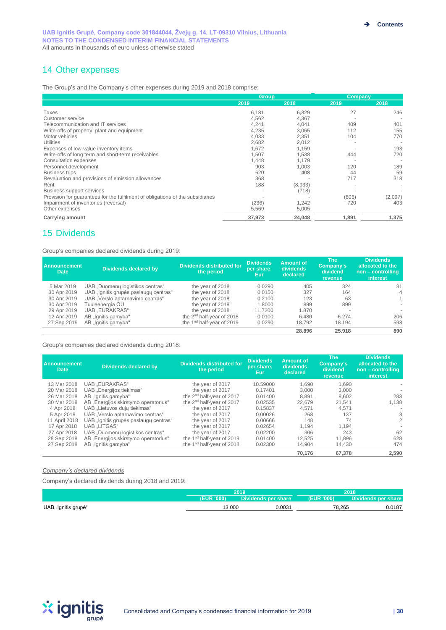# 14 Other expenses

The Group's and the Company's other expenses during 2019 and 2018 comprise:

|                                                                                | <b>Group</b> |         | Company |         |  |
|--------------------------------------------------------------------------------|--------------|---------|---------|---------|--|
|                                                                                | 2019         | 2018    | 2019    | 2018    |  |
| Taxes                                                                          | 6,181        | 6,329   | 27      | 246     |  |
| Customer service                                                               | 4,562        | 4,367   |         |         |  |
| Telecommunication and IT services                                              | 4,241        | 4.041   | 409     | 401     |  |
| Write-offs of property, plant and equipment                                    | 4,235        | 3,065   | 112     | 155     |  |
| Motor vehicles                                                                 | 4,033        | 2.351   | 104     | 770     |  |
| <b>Utilities</b>                                                               | 2,682        | 2.012   |         |         |  |
| Expenses of low-value inventory items                                          | 1,672        | 1,159   |         | 193     |  |
| Write-offs of long term and short-term receivables                             | 1.507        | 1.538   | 444     | 720     |  |
| Consultation expenses                                                          | 1.448        | 1.179   |         |         |  |
| Personnel development                                                          | 903          | 1.003   | 120     | 189     |  |
| <b>Business trips</b>                                                          | 620          | 408     | 44      | 59      |  |
| Revaluation and provisions of emission allowances                              | 368          |         | 717     | 318     |  |
| Rent                                                                           | 188          | (8,933) |         |         |  |
| <b>Business support services</b>                                               |              | (718)   |         |         |  |
| Provision for quarantees for the fulfilment of obligations of the subsidiaries |              |         | (806)   | (2,097) |  |
| Impairment of inventories (reversal)                                           | (236)        | 1,242   | 720     | 403     |  |
| Other expenses                                                                 | 5,569        | 5,005   |         |         |  |
| <b>Carrying amount</b>                                                         | 37,973       | 24,048  | 1,891   | 1,375   |  |

# 15 Dividends

Group's companies declared dividends during 2019:

| <b>Announcement</b><br><b>Date</b> | Dividends declared by                 | <b>Dividends distributed for</b><br>the period | <b>Dividends</b><br>per share.<br>'Eur. | Amount of<br>dividends<br>declared | The <b>The</b><br>Company's<br>dividend<br>revenue | <b>Dividends</b><br>allocated to the<br>non – controlling<br>interest |
|------------------------------------|---------------------------------------|------------------------------------------------|-----------------------------------------|------------------------------------|----------------------------------------------------|-----------------------------------------------------------------------|
| 5 Mar 2019                         | UAB "Duomenų logistikos centras"      | the year of 2018                               | 0.0290                                  | 405                                | 324                                                | 81                                                                    |
| 30 Apr 2019                        | UAB "Ignitis grupės paslaugų centras" | the year of 2018                               | 0.0150                                  | 327                                | 164                                                | $\overline{4}$                                                        |
| 30 Apr 2019                        | UAB "Verslo aptarnavimo centras"      | the year of 2018                               | 0.2100                                  | 123                                | 63                                                 |                                                                       |
| 30 Apr 2019                        | Tuuleenergia OÜ                       | the year of 2018                               | 1.8000                                  | 899                                | 899                                                |                                                                       |
| 29 Apr 2019                        | <b>UAB</b> "EURAKRAS"                 | the year of 2018                               | 11.7200                                 | 1.870                              |                                                    |                                                                       |
| 12 Apr 2019                        | AB "Ignitis gamyba"                   | the 2 <sup>nd</sup> half-year of 2018          | 0.0100                                  | 6.480                              | 6.274                                              | 206                                                                   |
| 27 Sep 2019                        | AB "Ignitis gamyba"                   | the 1 <sup>nd</sup> half-year of 2019          | 0,0290                                  | 18.792                             | 18.194                                             | 598                                                                   |
|                                    |                                       |                                                |                                         | 28.896                             | 25.918                                             | 890                                                                   |

Group's companies declared dividends during 2018:

| <b>Announcement</b><br><b>Date</b> | <b>Dividends declared by</b>          | <b>Dividends distributed for</b><br>the period | <b>Dividends</b><br>per share,<br>Eur. | <b>Amount of</b><br>dividends<br>declared | <b>The</b><br>Company's<br>dividend<br>revenue | <b>Dividends</b><br>allocated to the<br>non - controlling<br>interest |
|------------------------------------|---------------------------------------|------------------------------------------------|----------------------------------------|-------------------------------------------|------------------------------------------------|-----------------------------------------------------------------------|
| 13 Mar 2018                        | <b>UAB .EURAKRAS</b> "                | the year of 2017                               | 10.59000                               | 1.690                                     | 1.690                                          |                                                                       |
| 20 Mar 2018                        | UAB "Energijos tiekimas"              | the year of 2017                               | 0.17401                                | 3.000                                     | 3.000                                          |                                                                       |
| 26 Mar 2018                        | AB "Ignitis gamyba"                   | the 2 <sup>nd</sup> half-year of 2017          | 0.01400                                | 8.891                                     | 8.602                                          | 283                                                                   |
| 30 Mar 2018                        | AB "Energijos skirstymo operatorius"  | the 2 <sup>nd</sup> half-year of 2017          | 0.02535                                | 22.679                                    | 21.541                                         | 1,138                                                                 |
| 4 Apr 2018                         | UAB "Lietuvos dujų tiekimas"          | the year of 2017                               | 0.15837                                | 4.571                                     | 4.571                                          |                                                                       |
| 5 Apr 2018                         | UAB "Verslo aptarnavimo centras"      | the year of 2017                               | 0.00026                                | 268                                       | 137                                            | 3                                                                     |
| 11 April 2018                      | UAB "Ignitis grupės paslaugų centras" | the year of 2017                               | 0.00666                                | 148                                       | 74                                             | 2                                                                     |
| 17 Apr 2018                        | <b>UAB .LITGAS"</b>                   | the year of 2017                               | 0.02654                                | 1.194                                     | 1.194                                          |                                                                       |
| 27 Apr 2018                        | UAB "Duomenu logistikos centras"      | the year of 2017                               | 0.02200                                | 306                                       | 243                                            | 62                                                                    |
| 28 Sep 2018                        | AB "Energijos skirstymo operatorius"  | the 1 <sup>nd</sup> half-year of 2018          | 0.01400                                | 12.525                                    | 11.896                                         | 628                                                                   |
| 27 Sep 2018                        | AB "Ignitis gamyba"                   | the 1 <sup>nd</sup> half-year of 2018          | 0.02300                                | 14.904                                    | 14.430                                         | 474                                                                   |
|                                    |                                       |                                                |                                        | 70.176                                    | 67.378                                         | 2.590                                                                 |

#### *Company's declared dividends*

Company's declared dividends during 2018 and 2019:

|                     | 2019             |                              | ana o      |                        |  |
|---------------------|------------------|------------------------------|------------|------------------------|--|
|                     | <b>EUR '000)</b> | <b>Dividends per share \</b> | (EUR '000) | <b>Dividi</b><br>share |  |
| UAB "Ignitis grupė" | 3.000            | $0.003^.$                    | 78,265     | J.0187                 |  |

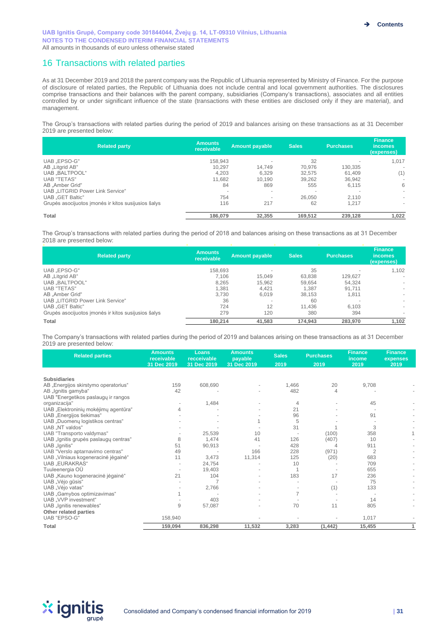# 16 Transactions with related parties

As at 31 December 2019 and 2018 the parent company was the Republic of Lithuania represented by Ministry of Finance. For the purpose of disclosure of related parties, the Republic of Lithuania does not include central and local government authorities. The disclosures comprise transactions and their balances with the parent company, subsidiaries (Company's transactions), associates and all entities controlled by or under significant influence of the state (transactions with these entities are disclosed only if they are material), and management.

The Group's transactions with related parties during the period of 2019 and balances arising on these transactions as at 31 December 2019 are presented below:

| <b>Related party</b>                                | <b>Amounts</b><br>receivable | <b>Amount payable</b>    | <b>Sales</b>             | <b>Purchases</b> | <b>Finance</b><br><i>incomes</i><br>(expenses) |
|-----------------------------------------------------|------------------------------|--------------------------|--------------------------|------------------|------------------------------------------------|
| UAB .EPSO-G"                                        | 158.943                      | $\overline{\phantom{a}}$ | 32                       |                  | 1,017                                          |
| AB "Litgrid AB"                                     | 10.297                       | 14.749                   | 70.976                   | 130.335          |                                                |
| UAB BALTPOOL"                                       | 4,203                        | 6.329                    | 32.575                   | 61,409           | (1)                                            |
| <b>UAB "TETAS"</b>                                  | 11,682                       | 10.190                   | 39,262                   | 36.942           | $\sim$                                         |
| AB "Amber Grid"                                     | 84                           | 869                      | 555                      | 6.115            | 6                                              |
| UAB LITGRID Power Link Service"                     |                              | $\overline{\phantom{a}}$ | $\overline{\phantom{a}}$ |                  |                                                |
| <b>UAB</b> .GET Baltic"                             | 754                          | $\overline{\phantom{a}}$ | 26.050                   | 2.110            | $\sim$                                         |
| Grupės asocijuotos imonės ir kitos susijusios šalys | 116                          | 217                      | 62                       | 1.217            | $\sim$                                         |
| Total                                               | 186,079                      | 32.355                   | 169,512                  | 239.128          | 1,022                                          |

The Group's transactions with related parties during the period of 2018 and balances arising on these transactions as at 31 December 2018 are presented below:

| <b>Related party</b>                                | <b>Amounts</b><br>receivable | <b>Amount payable</b>    | <b>Sales</b> | <b>Purchases</b> | <b>Finance</b><br><i>incomes</i><br>(expenses) |
|-----------------------------------------------------|------------------------------|--------------------------|--------------|------------------|------------------------------------------------|
| UAB .EPSO-G"                                        | 158.693                      |                          | 35           |                  | 1.102                                          |
| AB "Litgrid AB"                                     | 7.106                        | 15.049                   | 63.838       | 129.627          | $\sim$                                         |
| UAB "BALTPOOL"                                      | 8,265                        | 15,962                   | 59,654       | 54,324           | $\sim$                                         |
| <b>UAB "TETAS"</b>                                  | 1.381                        | 4.421                    | 1.387        | 91.711           | $\sim$                                         |
| AB "Amber Grid"                                     | 3,730                        | 6.019                    | 38,153       | 1,811            | ۰                                              |
| UAB "LITGRID Power Link Service"                    | 36                           | $\overline{\phantom{a}}$ | 60           |                  | $\sim$                                         |
| <b>UAB</b> .GET Baltic"                             | 724                          | 12                       | 11,436       | 6.103            | $\sim$                                         |
| Grupės asocijuotos imonės ir kitos susijusios šalys | 279                          | 120                      | 380          | 394              | $\sim$                                         |
| Total                                               | 180.214                      | 41.583                   | 174.943      | 283.970          | 1,102                                          |

The Company's transactions with related parties during the period of 2019 and balances arising on these transactions as at 31 December 2019 are presented below:

| <b>Related parties</b>                | <b>Amounts</b><br>receivable<br>31 Dec 2019 | Loans<br>recceivable<br>31 Dec 2019 | <b>Amounts</b><br>payable<br>31 Dec 2019 | <b>Sales</b><br>2019 | <b>Purchases</b><br>2019 | <b>Finance</b><br>income<br>2019 | <b>Finance</b><br>expenses<br>2019 |  |
|---------------------------------------|---------------------------------------------|-------------------------------------|------------------------------------------|----------------------|--------------------------|----------------------------------|------------------------------------|--|
|                                       |                                             |                                     |                                          |                      |                          |                                  |                                    |  |
| <b>Subsidiaries</b>                   |                                             |                                     |                                          |                      |                          |                                  |                                    |  |
| AB "Energijos skirstymo operatorius"  | 159                                         | 608,690                             |                                          | 1,466                | 20                       | 9,708                            |                                    |  |
| AB "Ignitis gamyba"                   | 42                                          |                                     |                                          | 482                  |                          |                                  |                                    |  |
| UAB "Energetikos paslaugų ir rangos   |                                             |                                     |                                          |                      |                          |                                  |                                    |  |
| organizacija"                         |                                             | 1,484                               |                                          | 4                    |                          | 45                               |                                    |  |
| UAB "Elektroninių mokėjimų agentūra"  |                                             |                                     |                                          | 21                   |                          |                                  |                                    |  |
| UAB "Energijos tiekimas"              |                                             |                                     |                                          | 96                   |                          | 91                               |                                    |  |
| UAB "Duomenų logistikos centras"      |                                             |                                     |                                          | 5                    |                          |                                  |                                    |  |
| UAB "NT valdos"                       |                                             |                                     |                                          | 31                   |                          | 3                                |                                    |  |
| UAB "Transporto valdymas"             |                                             | 25,539                              | 10                                       |                      | (100)                    | 358                              |                                    |  |
| UAB "Ignitis grupės paslaugų centras" | 8                                           | 1,474                               | 41                                       | 126                  | (407)                    | 10                               |                                    |  |
| UAB "Ignitis"                         | 51                                          | 90,913                              |                                          | 428                  |                          | 911                              |                                    |  |
| UAB "Verslo aptarnavimo centras"      | 49                                          |                                     | 166                                      | 228                  | (971)                    | 2                                |                                    |  |
| UAB "Vilniaus kogeneracinė jėgainė"   | 11                                          | 3,473                               | 11,314                                   | 125                  | (20)                     | 683                              |                                    |  |
| <b>UAB</b> "EURAKRAS"                 |                                             | 24,754                              |                                          | 10                   |                          | 709                              |                                    |  |
| Tuuleenergia OÜ                       |                                             | 19,403                              |                                          |                      |                          | 655                              |                                    |  |
| UAB "Kauno kogeneracinė jėgainė"      | 21                                          | 104                                 |                                          | 183                  | 17                       | 236                              |                                    |  |
| UAB "Vėjo gūsis"                      |                                             | 7                                   |                                          |                      |                          | 75                               |                                    |  |
| UAB "Vėjo vatas"                      |                                             | 2,766                               |                                          |                      | (1)                      | 133                              |                                    |  |
| UAB "Gamybos optimizavimas"           |                                             |                                     |                                          | 7                    |                          |                                  |                                    |  |
| UAB "VVP investment"                  |                                             | 403                                 |                                          |                      |                          | 14                               |                                    |  |
| UAB "Ignitis renewables"              | 9                                           | 57,087                              |                                          | 70                   | 11                       | 805                              |                                    |  |
| Other related parties                 |                                             |                                     |                                          |                      |                          |                                  |                                    |  |
| <b>UAB "EPSO-G"</b>                   | 158,940                                     |                                     |                                          |                      |                          | 1,017                            |                                    |  |
| Total                                 | 159,094                                     | 836,298                             | 11,532                                   | 3,283                | (1, 442)                 | 15,455                           |                                    |  |

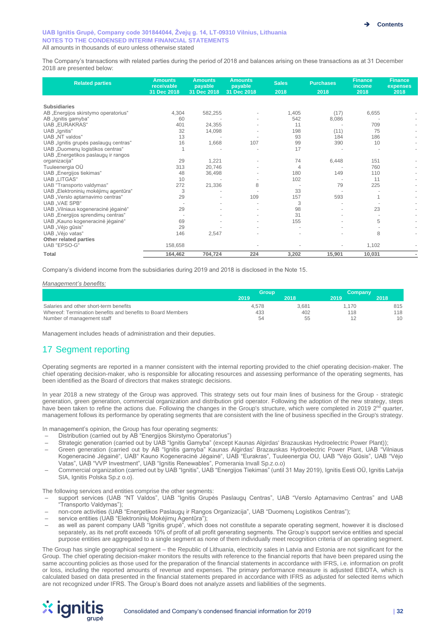The Company's transactions with related parties during the period of 2018 and balances arising on these transactions as at 31 December 2018 are presented below:

| <b>Related parties</b>                | <b>Amounts</b><br>receivable | <b>Amounts</b><br>payable | <b>Amounts</b><br>payable | <b>Sales</b>   | <b>Purchases</b> | <b>Finance</b><br>income | <b>Finance</b><br>expenses |
|---------------------------------------|------------------------------|---------------------------|---------------------------|----------------|------------------|--------------------------|----------------------------|
|                                       | 31 Dec 2018                  | 31 Dec 2018               | 31 Dec 2018               | 2018           | 2018             | 2018                     | 2018                       |
|                                       |                              |                           |                           |                |                  |                          |                            |
| <b>Subsidiaries</b>                   |                              |                           |                           |                |                  |                          |                            |
| AB "Energijos skirstymo operatorius"  | 4,304                        | 582,255                   |                           | 1,405          | (17)             | 6,655                    |                            |
| AB "Ignitis gamyba"                   | 60                           |                           |                           | 542            | 8,086            |                          |                            |
| <b>UAB</b> "EURAKRAS"                 | 401                          | 24,355                    |                           | 11             |                  | 709                      |                            |
| UAB "Ignitis"                         | 32                           | 14,098                    |                           | 198            | (11)             | 75                       |                            |
| UAB "NT valdos"                       | 13                           |                           |                           | 93             | 184              | 186                      |                            |
| UAB "Ignitis grupės paslaugų centras" | 16                           | 1,668                     | 107                       | 99             | 390              | 10                       |                            |
| UAB "Duomenų logistikos centras"      |                              |                           |                           | 17             |                  |                          |                            |
| UAB "Energetikos paslaugų ir rangos   |                              |                           |                           |                |                  |                          |                            |
| organizacija"                         | 29                           | 1,221                     |                           | 74             | 6,448            | 151                      |                            |
| Tuuleenergia OÜ                       | 313                          | 20,746                    |                           | $\overline{4}$ |                  | 760                      |                            |
| UAB "Energijos tiekimas"              | 48                           | 36,498                    |                           | 180            | 149              | 110                      |                            |
| UAB "LITGAS"                          | 10                           |                           |                           | 102            |                  | 11                       |                            |
| UAB "Transporto valdymas"             | 272                          | 21,336                    | 8                         |                | 79               | 225                      |                            |
| UAB "Elektroninių mokėjimų agentūra"  | 3                            |                           |                           | 33             |                  |                          |                            |
| UAB "Verslo aptarnavimo centras"      | 29                           |                           | 109                       | 157            | 593              |                          |                            |
| <b>UAB VAE SPB</b> "                  |                              |                           |                           | 3              |                  |                          |                            |
| UAB "Vilniaus kogeneracinė jėgainė"   | 29                           |                           |                           | 98             |                  | 23                       |                            |
| UAB "Energijos sprendimų centras"     |                              |                           |                           | 31             |                  |                          |                            |
| UAB "Kauno kogeneracinė jėgainė"      | 69                           |                           |                           | 155            |                  | 5                        |                            |
| UAB "Vėjo gūsis"                      | 29                           |                           |                           |                |                  |                          |                            |
| UAB "Vėjo vatas"                      | 146                          | 2,547                     |                           |                |                  | 8                        |                            |
| Other related parties                 |                              |                           |                           |                |                  |                          |                            |
| UAB "EPSO-G"                          | 158,658                      |                           |                           |                |                  | 1,102                    |                            |
| Total                                 | 164,462                      | 704,724                   | 224                       | 3,202          | 15,901           | 10,031                   |                            |

Company's dividend income from the subsidiaries during 2019 and 2018 is disclosed in the Note 15.

#### *Management's benefits:*

|                                                             | <b>Group</b> |       | Company |      |  |  |
|-------------------------------------------------------------|--------------|-------|---------|------|--|--|
|                                                             | 2019         | 2018  | 2019    | 2018 |  |  |
| Salaries and other short-term benefits                      | 4.578        | 3.681 | .170    | 815  |  |  |
| Whereof: Termination benefits and benefits to Board Members | 433          | 402   | 118     | 118  |  |  |
| Number of management staff                                  | 54           | 55    |         | 10   |  |  |

Management includes heads of administration and their deputies.

# 17 Segment reporting

Operating segments are reported in a manner consistent with the internal reporting provided to the chief operating decision-maker. The chief operating decision-maker, who is responsible for allocating resources and assessing performance of the operating segments, has been identified as the Board of directors that makes strategic decisions.

In year 2018 a new strategy of the Group was approved. This strategy sets out four main lines of business for the Group - strategic generation, green generation, commercial organization and distribution grid operator. Following the adoption of the new strategy, steps have been taken to refine the actions due. Following the changes in the Group's structure, which were completed in 2019 2<sup>nd</sup> quarter, management follows its performance by operating segments that are consistent with the line of business specified in the Group's strategy.

In management's opinion, the Group has four operating segments:

- Distribution (carried out by AB "Energijos Skirstymo Operatorius")
- Strategic generation (carried out by UAB "Ignitis Gamyba" (except Kaunas Algirdas' Brazauskas Hydroelectric Power Plant));
- Green generation (carried out by AB "Ignitis gamyba" Kaunas Algirdas' Brazauskas Hydroelectric Power Plant, UAB "Vilniaus Kogeneracinė Jėgainė", UAB" Kauno Kogeneracinė Jėgainė", UAB "Eurakras", Tuuleenergia OU, UAB "Vėjo Gūsis", UAB "Vėjo Vatas", UAB "VVP Investment", UAB "Ignitis Renewables", Pomerania Invall Sp.z.o.o)
- Commercial organization (carried out by UAB "Ignitis", UAB "Energijos Tiekimas" (until 31 May 2019), Ignitis Eesti OÜ, Ignitis Latvija SIA, Ignitis Polska Sp.z o.o).

The following services and entities comprise the other segments:

- support services (UAB "NT Valdos", UAB "Ignitis Grupės Paslaugų Centras", UAB "Verslo Aptarnavimo Centras" and UAB "Transporto Valdymas");
- non-core activities (UAB "Energetikos Paslaugų ir Rangos Organizacija", UAB "Duomenų Logistikos Centras");
- service entities (UAB "Elektroninių Mokėjimų Agentūra");
- as well as parent company UAB "Ignitis grupė", which does not constitute a separate operating segment, however it is disclosed separately, as its net profit exceeds 10% of profit of all profit generating segments. The Group's support service entities and special purpose entities are aggregated to a single segment as none of them individually meet recognition criteria of an operating segment.

The Group has single geographical segment – the Republic of Lithuania, electricity sales in Latvia and Estonia are not significant for the Group. The chief operating decision-maker monitors the results with reference to the financial reports that have been prepared using the same accounting policies as those used for the preparation of the financial statements in accordance with IFRS, i.e. information on profit or loss, including the reported amounts of revenue and expenses. The primary performance measure is adjusted EBIDTA, which is calculated based on data presented in the financial statements prepared in accordance with IFRS as adjusted for selected items which are not recognized under IFRS. The Group's Board does not analyze assets and liabilities of the segments.

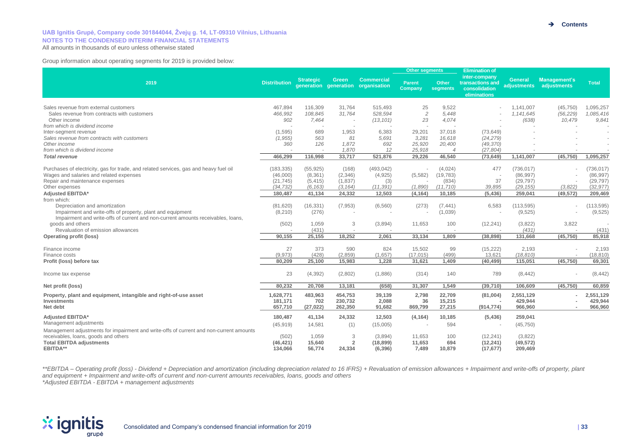## **UAB Ignitis Grupė, Company code 301844044, Žvejų g. 14, LT-09310 Vilnius, Lithuania NOTES TO THE CONDENSED INTERIM FINANCIAL STATEMENTS**

All amounts in thousands of euro unless otherwise stated

#### Group information about operating segments for 2019 is provided below:

|                                                                                                      |                     |                    |                                |                                   | <b>Other segments</b>    |                          | <b>Elimination of</b>                                              |                        |                             |                        |
|------------------------------------------------------------------------------------------------------|---------------------|--------------------|--------------------------------|-----------------------------------|--------------------------|--------------------------|--------------------------------------------------------------------|------------------------|-----------------------------|------------------------|
| 2019                                                                                                 | <b>Distribution</b> | <b>Strategic</b>   | Green<br>generation generation | <b>Commercial</b><br>organisation | <b>Parent</b><br>Company | <b>Other</b><br>segments | inter-company<br>transactions and<br>consolidation<br>eliminations | General<br>adjustments | Management's<br>adjustments | <b>Total</b>           |
|                                                                                                      |                     |                    |                                |                                   |                          |                          |                                                                    |                        |                             |                        |
| Sales revenue from external customers<br>Sales revenue from contracts with customers                 | 467,894<br>466,992  | 116,309<br>108,845 | 31,764<br>31,764               | 515,493<br>528,594                | 25<br>$\overline{c}$     | 9,522<br>5,448           |                                                                    | 1,141,007<br>1,141,645 | (45, 750)                   | 1,095,257<br>1,085,416 |
| Other income                                                                                         | 902                 | 7,464              | $\overline{\phantom{a}}$       | (13, 101)                         | 23                       | 4,074                    |                                                                    | (638)                  | (56, 229)<br>10,479         | 9,841                  |
| from which is dividend income                                                                        |                     |                    |                                |                                   |                          |                          |                                                                    |                        |                             |                        |
| Inter-segment revenue                                                                                | (1, 595)            | 689                | 1,953                          | 6,383                             | 29,201                   | 37,018                   | (73, 649)                                                          |                        |                             |                        |
| Sales revenue from contracts with customers                                                          | (1, 955)            | 563                | 81                             | 5,691                             | 3,281                    | 16,618                   | (24, 279)                                                          |                        |                             |                        |
| Other income                                                                                         | 360                 | 126                | 1,872                          | 692                               | 25,920                   | 20,400                   | (49, 370)                                                          |                        |                             |                        |
| from which is dividend income                                                                        |                     |                    | 1.870                          | 12                                | 25.918                   | $\overline{4}$           | (27, 804)                                                          |                        |                             |                        |
| <b>Total revenue</b>                                                                                 | 466.299             | 116,998            | 33,717                         | 521,876                           | 29,226                   | 46.540                   | (73, 649)                                                          | 1,141,007              | (45, 750)                   | 1,095,257              |
| Purchases of electricity, gas for trade, and related services, gas and heavy fuel oil                | (183, 335)          | (55, 925)          | (168)                          | (493, 042)                        |                          | (4,024)                  | 477                                                                | (736, 017)             |                             | (736, 017)             |
| Wages and salaries and related expenses                                                              | (46,000)            | (8, 361)           | (2,346)                        | (4,925)                           | (5,582)                  | (19, 783)                |                                                                    | (86,997)               |                             | (86, 997)              |
| Repair and maintenance expenses                                                                      | (21, 745)           | (5, 415)           | (1,837)                        | (3)                               |                          | (834)                    | 37                                                                 | (29, 797)              |                             | (29, 797)              |
| Other expenses                                                                                       | (34, 732)           | (6, 163)           | (3, 164)                       | (11, 391)                         | (1,890)                  | (11, 710)                | 39,895                                                             | (29, 155)              | (3,822)                     | (32, 977)              |
| <b>Adjusted EBITDA*</b>                                                                              | 180,487             | 41,134             | 24,332                         | 12,503                            | (4, 164)                 | 10,185                   | (5, 436)                                                           | 259,041                | (49, 572)                   | 209,469                |
| from which:                                                                                          |                     |                    |                                |                                   |                          |                          |                                                                    |                        |                             |                        |
| Depreciation and amortization                                                                        | (81,620)            | (16, 331)          | (7, 953)                       | (6, 560)                          | (273)                    | (7, 441)                 | 6,583                                                              | (113, 595)             |                             | (113, 595)             |
| Impairment and write-offs of property, plant and equipment                                           | (8, 210)            | (276)              |                                |                                   |                          | (1,039)                  |                                                                    | (9,525)                |                             | (9, 525)               |
| Impairment and write-offs of current and non-current amounts receivables, loans,<br>goods and others | (502)               | 1,059              | 3                              | (3,894)                           | 11,653                   | 100                      | (12, 241)                                                          | (3,822)                | 3,822                       |                        |
| Revaluation of emission allowances                                                                   |                     | (431)              | $\sim$                         |                                   |                          |                          |                                                                    | (431)                  |                             | (431)                  |
| <b>Operating profit (loss)</b>                                                                       | 90.155              | 25,155             | 18,252                         | 2,061                             | 33,134                   | 1,809                    | (38, 898)                                                          | 131,668                | (45, 750)                   | 85,918                 |
|                                                                                                      |                     |                    |                                |                                   |                          |                          |                                                                    |                        |                             |                        |
| Finance income                                                                                       | 27                  | 373                | 590                            | 824                               | 15,502                   | 99                       | (15, 222)                                                          | 2,193                  |                             | 2,193                  |
| Finance costs                                                                                        | (9.973)             | (428)              | (2,859)                        | (1,657)                           | (17.015)                 | (499)                    | 13,621                                                             | (18, 810)              |                             | (18, 810)              |
| Profit (loss) before tax                                                                             | 80.209              | 25.100             | 15.983                         | 1.228                             | 31,621                   | 1.409                    | (40, 499)                                                          | 115,051                | (45, 750)                   | 69,301                 |
| Income tax expense                                                                                   | 23                  | (4, 392)           | (2,802)                        | (1,886)                           | (314)                    | 140                      | 789                                                                | (8, 442)               |                             | (8, 442)               |
| Net profit (loss)                                                                                    | 80,232              | 20,708             | 13,181                         | (658)                             | 31,307                   | 1,549                    | (39,710)                                                           | 106,609                | (45, 750)                   | 60,859                 |
| Property, plant and equipment, intangible and right-of-use asset                                     | 1,628,771           | 483,963            | 454,753                        | 39,139                            | 2,798                    | 22,709                   | (81,004)                                                           | 2,551,129              |                             | 2,551,129              |
| Investments                                                                                          | 181,171             | 702                | 230,732                        | 2,088                             | 36                       | 15,215                   |                                                                    | 429,944                |                             | 429,944                |
| Net debt                                                                                             | 657,710             | (27, 022)          | 262,350                        | 91,682                            | 869,799                  | 27,215                   | (914, 774)                                                         | 966,960                |                             | 966,960                |
| Adjusted EBITDA*                                                                                     | 180,487             | 41,134             | 24,332                         | 12,503                            | (4, 164)                 | 10,185                   | (5, 436)                                                           | 259,041                |                             |                        |
| Management adjustments                                                                               | (45, 919)           | 14,581             | (1)                            | (15,005)                          |                          | 594                      |                                                                    | (45, 750)              |                             |                        |
| Management adjustments for impairment and write-offs of current and non-current amounts              |                     |                    |                                |                                   |                          |                          |                                                                    |                        |                             |                        |
| receivables, loans, goods and others                                                                 | (502)               | 1,059              | 3                              | (3,894)                           | 11,653                   | 100                      | (12, 241)                                                          | (3,822)                |                             |                        |
| <b>Total EBITDA adjustments</b>                                                                      | (46, 421)           | 15,640             | $\overline{2}$                 | (18, 899)                         | 11,653                   | 694                      | (12, 241)                                                          | (49, 572)              |                             |                        |
| EBITDA**                                                                                             | 134.066             | 56.774             | 24,334                         | (6, 396)                          | 7,489                    | 10,879                   | (17, 677)                                                          | 209,469                |                             |                        |

\*\*EBITDA - Operating profit (loss) - Dividend + Depreciation and amortization (including depreciation related to 16 IFRS) + Revaluation of emission allowances + Impairment and write-offs of property, plant *and equipment + Impairment and write-offs of current and non-current amounts receivables, loans, goods and others*

*\*Adjusted EBITDA - EBITDA + management adjustments*

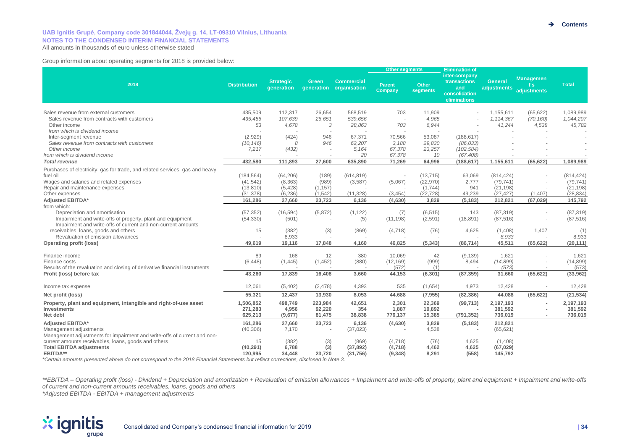#### **UAB Ignitis Grupė, Company code 301844044, Žvejų g. 14, LT-09310 Vilnius, Lithuania NOTES TO THE CONDENSED INTERIM FINANCIAL STATEMENTS**

All amounts in thousands of euro unless otherwise stated

Group information about operating segments for 2018 is provided below:

| 2018                                                                                                                       | <b>Distribution</b> | <b>Strategic</b><br>qeneration | Green<br>generation | <b>Commercial</b><br>organisation | <b>Other segments</b>    |                          | <b>Elimination of</b>                                                 |                               |                                        |              |
|----------------------------------------------------------------------------------------------------------------------------|---------------------|--------------------------------|---------------------|-----------------------------------|--------------------------|--------------------------|-----------------------------------------------------------------------|-------------------------------|----------------------------------------|--------------|
|                                                                                                                            |                     |                                |                     |                                   | <b>Parent</b><br>Company | <b>Other</b><br>segments | inter-company<br>transactions<br>and<br>consolidation<br>eliminations | <b>General</b><br>adjustments | <b>Managemen</b><br>ťs.<br>adjustments | <b>Total</b> |
| Sales revenue from external customers                                                                                      | 435,509             | 112,317                        | 26,654              | 568,519                           | 703                      | 11,909                   |                                                                       | 1,155,611                     | (65, 622)                              | 1,089,989    |
| Sales revenue from contracts with customers                                                                                | 435.456             | 107.639                        | 26.651              | 539,656                           |                          | 4.965                    |                                                                       | 1.114.367                     | (70, 160)                              | 1,044,207    |
| Other income                                                                                                               | 53                  | 4,678                          | 3                   | 28,863                            | 703                      | 6,944                    |                                                                       | 41,244                        | 4,538                                  | 45,782       |
| from which is dividend income                                                                                              |                     |                                |                     |                                   |                          |                          |                                                                       |                               |                                        |              |
| Inter-segment revenue                                                                                                      | (2,929)             | (424)                          | 946                 | 67,371                            | 70,566                   | 53,087                   | (188, 617)                                                            |                               |                                        |              |
| Sales revenue from contracts with customers                                                                                | (10, 146)           | 8                              | 946                 | 62,207                            | 3,188                    | 29,830                   | (86, 033)                                                             |                               |                                        |              |
| Other income                                                                                                               | 7,217               | (432)                          |                     | 5,164                             | 67,378                   | 23,257                   | (102, 584)                                                            |                               |                                        |              |
| from which is dividend income                                                                                              |                     |                                |                     | 20                                | 67.378                   | 10                       | (67.408)                                                              |                               |                                        |              |
| <b>Total revenue</b>                                                                                                       | 432,580             | 111,893                        | 27,600              | 635,890                           | 71,269                   | 64,996                   | (188, 617)                                                            | 1,155,611                     | (65, 622)                              | 1,089,989    |
|                                                                                                                            |                     |                                |                     |                                   |                          |                          |                                                                       |                               |                                        |              |
| Purchases of electricity, gas for trade, and related services, gas and heavy                                               |                     |                                |                     |                                   |                          |                          |                                                                       |                               |                                        |              |
| fuel oil                                                                                                                   | (184, 564)          | (64, 206)                      | (189)               | (614, 819)                        |                          | (13, 715)                | 63,069                                                                | (814, 424)                    |                                        | (814, 424)   |
| Wages and salaries and related expenses                                                                                    | (41, 542)           | (8, 363)                       | (989)               | (3,587)                           | (5,067)                  | (22, 970)                | 2,777                                                                 | (79, 741)                     |                                        | (79, 741)    |
| Repair and maintenance expenses                                                                                            | (13, 810)           | (5, 428)                       | (1, 157)            |                                   |                          | (1,744)                  | 941                                                                   | (21, 198)                     | $\overline{\phantom{a}}$               | (21, 198)    |
| Other expenses                                                                                                             | (31, 378)           | (6, 236)                       | (1, 542)            | (11, 328)                         | (3, 454)                 | (22, 728)                | 49,239                                                                | (27, 427)                     | (1,407)                                | (28, 834)    |
| Adjusted EBITDA*                                                                                                           | 161.286             | 27,660                         | 23,723              | 6,136                             | (4,630)                  | 3,829                    | (5, 183)                                                              | 212,821                       | (67, 029)                              | 145,792      |
| from which:                                                                                                                |                     |                                |                     |                                   |                          |                          |                                                                       |                               |                                        |              |
| Depreciation and amortisation                                                                                              | (57, 352)           | (16, 594)                      | (5,872)             | (1, 122)                          | (7)                      | (6, 515)                 | 143                                                                   | (87, 319)                     |                                        | (87, 319)    |
| Impairment and write-offs of property, plant and equipment<br>Impairment and write-offs of current and non-current amounts | (54, 330)           | (501)                          |                     | (5)                               | (11, 198)                | (2,591)                  | (18, 891)                                                             | (87, 516)                     |                                        | (87, 516)    |
| receivables, loans, goods and others                                                                                       | 15                  | (382)                          | (3)                 | (869)                             | (4, 718)                 | (76)                     | 4,625                                                                 | (1,408)                       | 1,407                                  | (1)          |
| Revaluation of emission allowances                                                                                         |                     | 8,933                          |                     |                                   |                          |                          |                                                                       | 8,933                         |                                        | 8,933        |
| <b>Operating profit (loss)</b>                                                                                             | 49.619              | 19.116                         | 17.848              | 4.160                             | 46.825                   | (5, 343)                 | (86, 714)                                                             | 45,511                        | (65, 622)                              | (20, 111)    |
| Finance income                                                                                                             | 89                  | 168                            | 12                  | 380                               | 10,069                   | 42                       | (9, 139)                                                              | 1,621                         |                                        | 1,621        |
| Finance costs                                                                                                              | (6, 448)            | (1,445)                        | (1, 452)            | (880)                             | (12, 169)                | (999)                    | 8,494                                                                 | (14, 899)                     |                                        | (14, 899)    |
| Results of the revaluation and closing of derivative financial instruments                                                 |                     |                                |                     |                                   | (572)                    | (1)                      | $\overline{a}$                                                        | (573)                         |                                        | (573)        |
| Profit (loss) before tax                                                                                                   | 43.260              | 17,839                         | 16,408              | 3.660                             | 44,153                   | (6, 301)                 | (87, 359)                                                             | 31,660                        | (65, 622)                              | (33,962)     |
| Income tax expense                                                                                                         | 12,061              | (5,402)                        | (2,478)             | 4,393                             | 535                      | (1,654)                  | 4,973                                                                 | 12,428                        |                                        | 12,428       |
| Net profit (loss)                                                                                                          | 55.321              | 12.437                         | 13,930              | 8.053                             | 44,688                   | (7, 955)                 | (82, 386)                                                             | 44.088                        | (65, 622)                              | (21, 534)    |
| Property, plant and equipment, intangible and right-of-use asset                                                           | 1,506,852           | 498,749                        | 223,984             | 42,651                            | 2,301                    | 22,369                   | (99, 713)                                                             | 2,197,193                     |                                        | 2,197,193    |
| Investments                                                                                                                | 271,283             | 4,956                          | 92,220              | 354                               | 1,887                    | 10,892                   |                                                                       | 381,592                       |                                        | 381,592      |
| Net debt                                                                                                                   | 625,213             | (9,677)                        | 81,475              | 38,838                            | 776,137                  | 15,385                   | (791, 352)                                                            | 736,019                       | $\sim$                                 | 736,019      |
|                                                                                                                            |                     |                                |                     |                                   |                          |                          |                                                                       |                               |                                        |              |
| <b>Adjusted EBITDA*</b>                                                                                                    | 161,286             | 27,660                         | 23,723              | 6,136                             | (4,630)                  | 3,829                    | (5, 183)                                                              | 212,821                       |                                        |              |
| Management adjustments                                                                                                     | (40, 306)           | 7.170                          |                     | (37, 023)                         |                          | 4,538                    |                                                                       | (65, 621)                     |                                        |              |
| Management adjustments for impairment and write-offs of current and non-                                                   |                     |                                |                     |                                   |                          |                          |                                                                       |                               |                                        |              |
| current amounts receivables, loans, goods and others                                                                       | 15<br>(40, 291)     | (382)<br>6,788                 | (3)                 | (869)                             | (4,718)                  | (76)<br>4,462            | 4,625<br>4,625                                                        | (1,408)                       |                                        |              |
| <b>Total EBITDA adjustments</b><br>EBITDA**                                                                                | 120,995             | 34,448                         | (3)<br>23,720       | (37, 892)<br>(31, 756)            | (4,718)<br>(9,348)       | 8,291                    | (558)                                                                 | (67, 029)<br>145,792          |                                        |              |
|                                                                                                                            |                     |                                |                     |                                   |                          |                          |                                                                       |                               |                                        |              |

*\*Certain amounts presented above do not correspond to the 2018 Financial Statements but reflect corrections, disclosed in Note 3.*

\*\*EBITDA - Operating profit (loss) - Dividend + Depreciation and amortization + Revaluation of emission allowances + Impairment and write-offs of property, plant and equipment + Impairment and write-offs *of current and non-current amounts receivables, loans, goods and others*

*\*Adjusted EBITDA - EBITDA + management adjustments*

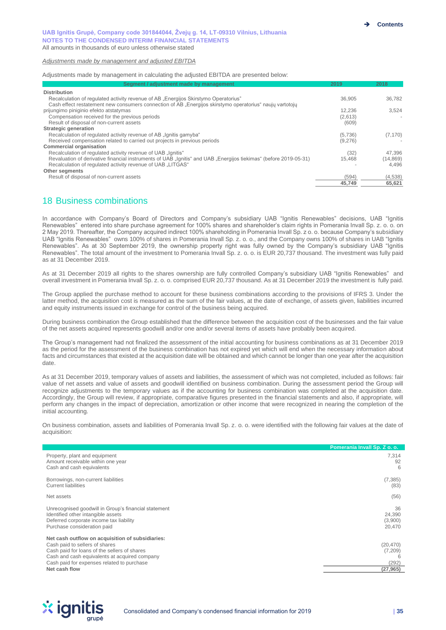#### *Adjustments made by management and adjusted EBITDA*

Adjustments made by management in calculating the adjusted EBITDA are presented below:

| Segment / adjustment made by management                                                                           | 2019    | 2018      |
|-------------------------------------------------------------------------------------------------------------------|---------|-----------|
| <b>Distribution</b>                                                                                               |         |           |
| Recalculation of regulated activity revenue of AB "Energijos Skirstymo Operatorius"                               | 36.905  | 36.782    |
| Cash effect restatement new consumers connection of AB "Energijos skirstymo operatorius" naujų vartotojų          |         |           |
| prijungimo piniginio efekto atstatymas                                                                            | 12.236  | 3.524     |
| Compensation received for the previous periods                                                                    | (2,613) |           |
| Result of disposal of non-current assets                                                                          | (609)   |           |
| <b>Strategic generation</b>                                                                                       |         |           |
| Recalculation of regulated activity revenue of AB "Ignitis gamyba"                                                | (5,736) | (7, 170)  |
| Received compensation related to carried out projects in previous periods                                         | (9,276) |           |
| <b>Commercial organisation</b>                                                                                    |         |           |
| Recalculation of regulated activity revenue of UAB "Ignitis"                                                      | (32)    | 47.396    |
| Revaluation of derivative financial instruments of UAB "Ignitis" and UAB "Energijos tiekimas" (before 2019-05-31) | 15.468  | (14, 869) |
| Recalculation of regulated activity revenue of UAB "LITGAS"                                                       |         | 4.496     |
| Other segments                                                                                                    |         |           |
| Result of disposal of non-current assets                                                                          | (594)   | (4,538)   |
|                                                                                                                   | 45,749  | 65,621    |

# 18 Business combinations

In accordance with Company's Board of Directors and Company's subsidiary UAB "Ignitis Renewables" decisions, UAB "Ignitis Renewables" entered into share purchase agreement for 100% shares and shareholder's claim rights in Pomerania Invall Sp. z. o. o. on 2 May 2019. Thereafter, the Company acquired indirect 100% shareholding in Pomerania Invall Sp. z o. o. because Company's subsidiary UAB "Ignitis Renewables" owns 100% of shares in Pomerania Invall Sp. z. o. o., and the Company owns 100% of shares in UAB "Ignitis Renewables". As at 30 September 2019, the ownership property right was fully owned by the Company's subsidiary UAB "Ignitis Renewables". The total amount of the investment to Pomerania Invall Sp. z. o. o. is EUR 20,737 thousand. The investment was fully paid as at 31 December 2019.

As at 31 December 2019 all rights to the shares ownership are fully controlled Company's subsidiary UAB "Ignitis Renewables" and overall investment in Pomerania Invall Sp. z. o. o. comprised EUR 20,737 thousand. As at 31 December 2019 the investment is fully paid.

The Group applied the purchase method to account for these business combinations according to the provisions of IFRS 3. Under the latter method, the acquisition cost is measured as the sum of the fair values, at the date of exchange, of assets given, liabilities incurred and equity instruments issued in exchange for control of the business being acquired.

During business combination the Group established that the difference between the acquisition cost of the businesses and the fair value of the net assets acquired represents goodwill and/or one and/or several items of assets have probably been acquired.

The Group's management had not finalized the assessment of the initial accounting for business combinations as at 31 December 2019 as the period for the assessment of the business combination has not expired yet which will end when the necessary information about facts and circumstances that existed at the acquisition date will be obtained and which cannot be longer than one year after the acquisition date.

As at 31 December 2019, temporary values of assets and liabilities, the assessment of which was not completed, included as follows: fair value of net assets and value of assets and goodwill identified on business combination. During the assessment period the Group will recognize adjustments to the temporary values as if the accounting for business combination was completed at the acquisition date. Accordingly, the Group will review, if appropriate, comparative figures presented in the financial statements and also, if appropriate, will perform any changes in the impact of depreciation, amortization or other income that were recognized in nearing the completion of the initial accounting.

On business combination, assets and liabilities of Pomerania Invall Sp. z. o. o. were identified with the following fair values at the date of acquisition:

|                                                                                                                                                                                                                                   | Pomerania Invall Sp. Z o. o.      |
|-----------------------------------------------------------------------------------------------------------------------------------------------------------------------------------------------------------------------------------|-----------------------------------|
| Property, plant and equipment<br>Amount receivable within one year<br>Cash and cash equivalents                                                                                                                                   | 7,314<br>92<br>6                  |
| Borrowings, non-current liabilities<br><b>Current liabilities</b>                                                                                                                                                                 | (7, 385)<br>(83)                  |
| Net assets                                                                                                                                                                                                                        | (56)                              |
| Unrecognised goodwill in Group's financial statement<br>Identified other intangible assets<br>Deferred corporate income tax liability<br>Purchase consideration paid                                                              | 36<br>24,390<br>(3,900)<br>20,470 |
| Net cash outflow on acquisition of subsidiaries:<br>Cash paid to sellers of shares<br>Cash paid for loans of the sellers of shares<br>Cash and cash equivalents at acquired company<br>Cash paid for expenses related to purchase | (20, 470)<br>(7,209)<br>(292)     |
| Net cash flow                                                                                                                                                                                                                     | (27, 965)                         |

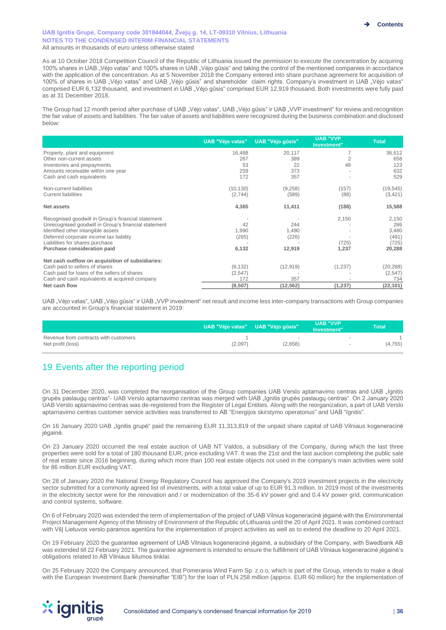As at 10 October 2018 Competition Council of the Republic of Lithuania issued the permission to execute the concentration by acquiring 100% shares in UAB "Vėjo vatas" and 100% shares in UAB "Vėjo gūsis" and taking the control of the mentioned companies in accordance with the application of the concentration. As at 5 November 2018 the Company entered into share purchase agreement for acquisition of 100% of shares in UAB "Vėjo vatas" and UAB "Vėjo gūsis" and shareholder claim rights. Company's investment in UAB "Vėjo vatas" comprised EUR 6,132 thousand, and investment in UAB "Vėjo gūsis" comprised EUR 12,919 thousand. Both investments were fully paid as at 31 December 2018.

The Group had 12 month period after purchase of UAB "Vėjo vatas", UAB "Vėjo gūsis" ir UAB "VVP investment" for review and recognition the fair value of assets and liabilities. The fair value of assets and liabilities were recognized during the business combination and disclosed below:

|                                                      | <b>UAB "Vėjo vatas"</b> | UAB "Vėjo gūsis" | <b>UAB "VVP</b><br>Investment" | <b>Total</b> |
|------------------------------------------------------|-------------------------|------------------|--------------------------------|--------------|
| Property, plant and equipment                        | 16,488                  | 20,117           |                                | 36,612       |
| Other non-current assets                             | 267                     | 389              |                                | 658          |
| Inventories and prepayments                          | 53                      | 22               | 48                             | 123          |
| Amounts receivable within one year                   | 259                     | 373              |                                | 632          |
| Cash and cash equivalents                            | 172                     | 357              |                                | 529          |
| Non-current liabilities                              | (10, 130)               | (9,258)          | (157)                          | (19, 545)    |
| <b>Current liabilities</b>                           | (2,744)                 | (589)            | (88)                           | (3, 421)     |
| Net assets                                           | 4,365                   | 11,411           | (188)                          | 15,588       |
| Recognised goodwill in Group's financial statement   |                         |                  | 2,150                          | 2,150        |
| Unrecognised goodwill in Group's financial statement | 42                      | 244              |                                | 286          |
| Identified other intangible assets                   | 1,990                   | 1,490            |                                | 3,480        |
| Deferred corporate income tax liability              | (265)                   | (226)            |                                | (491)        |
| Liabilities for shares purchase                      |                         |                  | (725)                          | (725)        |
| Purchase consideration paid                          | 6,132                   | 12,919           | 1,237                          | 20,288       |
| Net cash outflow on acquisition of subsidiaries:     |                         |                  |                                |              |
| Cash paid to sellers of shares                       | (6, 132)                | (12, 919)        | (1, 237)                       | (20, 288)    |
| Cash paid for loans of the sellers of shares         | (2, 547)                |                  |                                | (2, 547)     |
| Cash and cash equivalents at acquired company        | 172                     | 357              |                                | 734          |
| Net cash flow                                        | (8, 507)                | (12, 562)        | (1, 237)                       | (22,101)     |

UAB "Vėjo vatas", UAB "Vėjo gūsis" ir UAB "VVP investment" net result and income less inter-company transactions with Group companies are accounted in Group's financial statement in 2019:

|                                                            | UAB "Vėjo vatas" UAB "Vėjo gūsis" |                                     | <b>UAB "VVP</b><br>Investment" | <b>Total'</b> |
|------------------------------------------------------------|-----------------------------------|-------------------------------------|--------------------------------|---------------|
| Revenue from contracts with customers<br>Net profit (loss) | (2.097)                           | $\overline{\phantom{a}}$<br>(2,658) | $\sim$                         | (4, 755)      |

# 19 Events after the reporting period

On 31 December 2020, was completed the reorganisation of the Group companies UAB Verslo aptarnavimo centras and UAB "Ignitis grupės paslaugų centras"- UAB Verslo aptarnavimo centras was merged with UAB "Ignitis grupės paslaugų centras". On 2 January 2020 UAB Verslo aptarnavimo centras was de-registered from the Register of Legal Entities. Along with the reorganization, a part of UAB Verslo aptarnavimo centras customer service activities was transferred to AB "Energijos skirstymo operatorius" and UAB "Ignitis".

On 16 January 2020 UAB "Ignitis grupė" paid the remaining EUR 11,313,819 of the unpaid share capital of UAB Vilniaus kogeneracinė jėgainė.

On 23 January 2020 occurred the real estate auction of UAB NT Valdos, a subsidiary of the Company, during which the last three properties were sold for a total of 180 thousand EUR, price excluding VAT. It was the 21st and the last auction completing the public sale of real estate since 2016 beginning, during which more than 100 real estate objects not used in the company's main activities were sold for 86 million EUR excluding VAT.

On 28 of January 2020 the National Energy Regulatory Council has approved the Company's 2019 investment projects in the electricity sector submitted for a commonly agreed list of investments, with a total value of up to EUR 91.3 million. In 2019 most of the investments in the electricity sector were for the renovation and / or modernization of the 35-6 kV power grid and 0.4 kV power grid, communication and control systems, software.

On 6 of February 2020 was extended the term of implementation of the project of UAB Vilnius kogeneracinė jėgainė with the Environmental Project Management Agency of the Ministry of Environment of the Republic of Lithuania until the 20 of April 2021. It was combined contract with VšI Lietuvos verslo paramos agentūra for the implementation of project activities as well as to extend the deadline to 20 April 2021.

On 19 February 2020 the guarantee agreement of UAB Vilniaus kogeneracinė jėgainė, a subsidiary of the Company, with Swedbank AB was extended till 22 February 2021. The guarantee agreement is intended to ensure the fulfillment of UAB Vilniaus kogeneracinė jėgainė's obligations related to AB Vilniaus šilumos tinklai.

On 25 February 2020 the Company announced, that Pomerania Wind Farm Sp. z.o.o, which is part of the Group, intends to make a deal with the European Investment Bank (hereinafter "EIB") for the loan of PLN 258 million (approx. EUR 60 million) for the implementation of